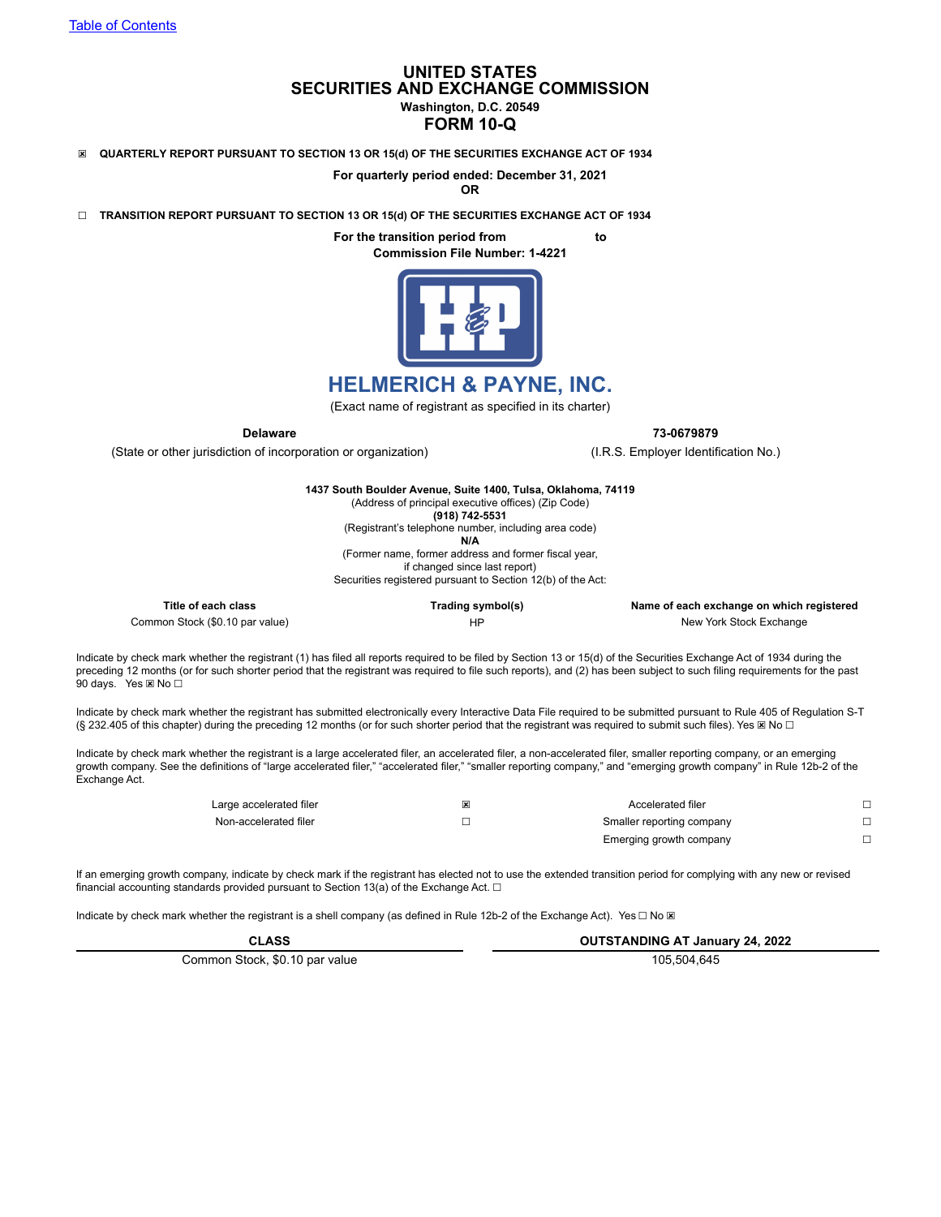# **UNITED STATES SECURITIES AND EXCHANGE COMMISSION Washington, D.C. 20549**

## **FORM 10-Q**

☒ **QUARTERLY REPORT PURSUANT TO SECTION 13 OR 15(d) OF THE SECURITIES EXCHANGE ACT OF 1934**

**For quarterly period ended: December 31, 2021**

**OR**

☐ **TRANSITION REPORT PURSUANT TO SECTION 13 OR 15(d) OF THE SECURITIES EXCHANGE ACT OF 1934**

**For the transition period from to Commission File Number: 1-4221**



# **HELMERICH & PAYNE, INC.**

(Exact name of registrant as specified in its charter)

**Delaware 73-0679879**

(State or other jurisdiction of incorporation or organization) (I.R.S. Employer Identification No.)

**1437 South Boulder Avenue, Suite 1400, Tulsa, Oklahoma, 74119** (Address of principal executive offices) (Zip Code) **(918) 742-5531** (Registrant's telephone number, including area code) **N/A** (Former name, former address and former fiscal year, if changed since last report) Securities registered pursuant to Section 12(b) of the Act:

**Title of each class Trading symbol(s) Name of each exchange on which registered** Common Stock (\$0.10 par value) The New York Stock Exchange is a state of the HP New York Stock Exchange

Indicate by check mark whether the registrant (1) has filed all reports required to be filed by Section 13 or 15(d) of the Securities Exchange Act of 1934 during the preceding 12 months (or for such shorter period that the registrant was required to file such reports), and (2) has been subject to such filing requirements for the past 90 days. Yes ⊠ No □

Indicate by check mark whether the registrant has submitted electronically every Interactive Data File required to be submitted pursuant to Rule 405 of Regulation S-T (§ 232.405 of this chapter) during the preceding 12 months (or for such shorter period that the registrant was required to submit such files). Yes ⊠ No □

Indicate by check mark whether the registrant is a large accelerated filer, an accelerated filer, a non-accelerated filer, smaller reporting company, or an emerging growth company. See the definitions of "large accelerated filer," "accelerated filer," "smaller reporting company," and "emerging growth company" in Rule 12b-2 of the Exchange Act.

| Large accelerated filer |                           | Accelerated filer       |  |
|-------------------------|---------------------------|-------------------------|--|
| Non-accelerated filer   | Smaller reporting company |                         |  |
|                         |                           | Emerging growth company |  |

If an emerging growth company, indicate by check mark if the registrant has elected not to use the extended transition period for complying with any new or revised financial accounting standards provided pursuant to Section 13(a) of the Exchange Act.  $\Box$ 

Indicate by check mark whether the registrant is a shell company (as defined in Rule 12b-2 of the Exchange Act). Yes □ No ⊠

| <b>CLASS</b>                   | <b>OUTSTANDING AT January 24, 2022</b> |  |  |  |  |  |
|--------------------------------|----------------------------------------|--|--|--|--|--|
| Common Stock, \$0.10 par value | 105.504.645                            |  |  |  |  |  |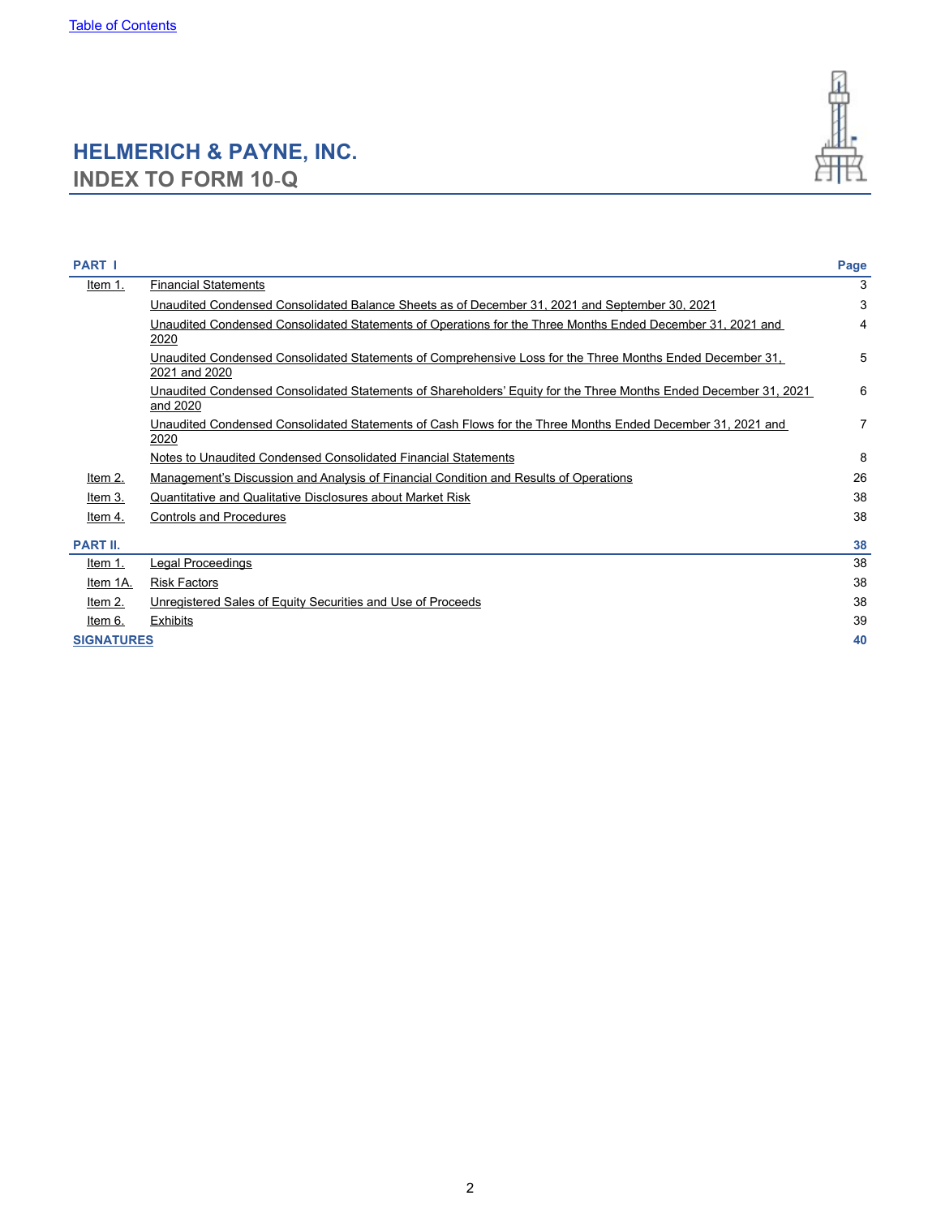# <span id="page-1-0"></span>**HELMERICH & PAYNE, INC. INDEX TO FORM 10**‑**Q**



| <b>PART I</b>     |                                                                                                                              | Page |
|-------------------|------------------------------------------------------------------------------------------------------------------------------|------|
| Item 1.           | <b>Financial Statements</b>                                                                                                  | 3    |
|                   | Unaudited Condensed Consolidated Balance Sheets as of December 31, 2021 and September 30, 2021                               | 3    |
|                   | Unaudited Condensed Consolidated Statements of Operations for the Three Months Ended December 31, 2021 and<br>2020           | 4    |
|                   | Unaudited Condensed Consolidated Statements of Comprehensive Loss for the Three Months Ended December 31,<br>2021 and 2020   | 5    |
|                   | Unaudited Condensed Consolidated Statements of Shareholders' Equity for the Three Months Ended December 31, 2021<br>and 2020 | 6    |
|                   | Unaudited Condensed Consolidated Statements of Cash Flows for the Three Months Ended December 31, 2021 and<br>2020           | 7    |
|                   | Notes to Unaudited Condensed Consolidated Financial Statements                                                               | 8    |
| Item 2.           | Management's Discussion and Analysis of Financial Condition and Results of Operations                                        | 26   |
| Item 3.           | Quantitative and Qualitative Disclosures about Market Risk                                                                   | 38   |
| Item 4.           | <b>Controls and Procedures</b>                                                                                               | 38   |
| <b>PART II.</b>   |                                                                                                                              | 38   |
| Item 1.           | Legal Proceedings                                                                                                            | 38   |
| Item 1A.          | <b>Risk Factors</b>                                                                                                          | 38   |
| Item $2.$         | Unregistered Sales of Equity Securities and Use of Proceeds                                                                  | 38   |
| Item 6.           | Exhibits                                                                                                                     | 39   |
| <b>SIGNATURES</b> |                                                                                                                              | 40   |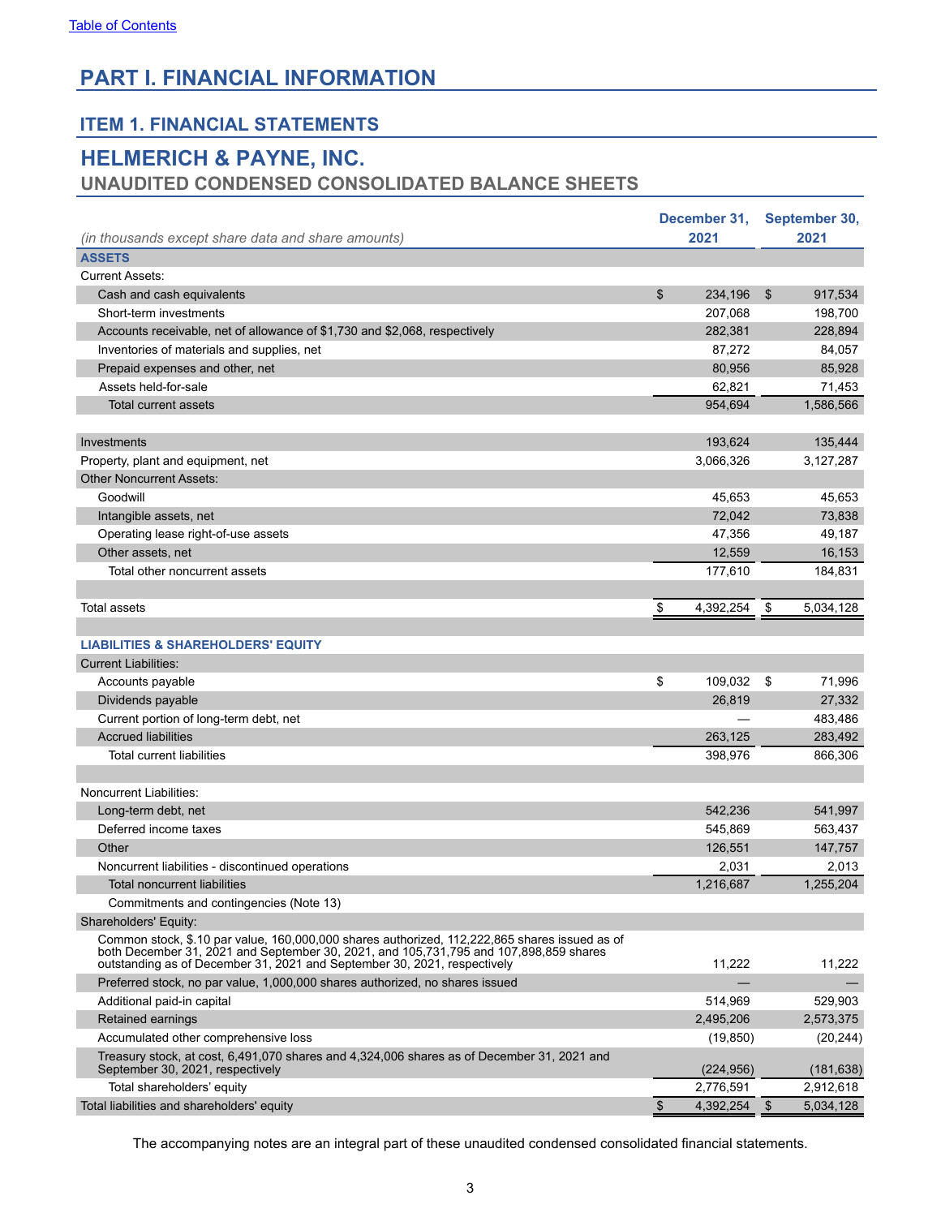# <span id="page-2-0"></span>**PART I. FINANCIAL INFORMATION**

# **ITEM 1. FINANCIAL STATEMENTS**

# **HELMERICH & PAYNE, INC.**

# **UNAUDITED CONDENSED CONSOLIDATED BALANCE SHEETS**

|                                                                                                                                                                                                                                                                        |               | December 31, |                | September 30, |
|------------------------------------------------------------------------------------------------------------------------------------------------------------------------------------------------------------------------------------------------------------------------|---------------|--------------|----------------|---------------|
| (in thousands except share data and share amounts)                                                                                                                                                                                                                     |               | 2021         |                | 2021          |
| <b>ASSETS</b>                                                                                                                                                                                                                                                          |               |              |                |               |
| <b>Current Assets:</b>                                                                                                                                                                                                                                                 |               |              |                |               |
| Cash and cash equivalents                                                                                                                                                                                                                                              | \$            | 234,196      | $\mathfrak{S}$ | 917,534       |
| Short-term investments                                                                                                                                                                                                                                                 |               | 207,068      |                | 198,700       |
| Accounts receivable, net of allowance of \$1,730 and \$2,068, respectively                                                                                                                                                                                             |               | 282,381      |                | 228,894       |
| Inventories of materials and supplies, net                                                                                                                                                                                                                             |               | 87,272       |                | 84,057        |
| Prepaid expenses and other, net                                                                                                                                                                                                                                        |               | 80,956       |                | 85,928        |
| Assets held-for-sale                                                                                                                                                                                                                                                   |               | 62,821       |                | 71,453        |
| <b>Total current assets</b>                                                                                                                                                                                                                                            |               | 954,694      |                | 1,586,566     |
|                                                                                                                                                                                                                                                                        |               |              |                |               |
| Investments                                                                                                                                                                                                                                                            |               | 193,624      |                | 135,444       |
| Property, plant and equipment, net                                                                                                                                                                                                                                     |               | 3,066,326    |                | 3,127,287     |
| <b>Other Noncurrent Assets:</b>                                                                                                                                                                                                                                        |               |              |                |               |
| Goodwill                                                                                                                                                                                                                                                               |               | 45,653       |                | 45,653        |
| Intangible assets, net                                                                                                                                                                                                                                                 |               | 72,042       |                | 73,838        |
| Operating lease right-of-use assets                                                                                                                                                                                                                                    |               | 47,356       |                | 49,187        |
| Other assets, net                                                                                                                                                                                                                                                      |               | 12,559       |                | 16,153        |
| Total other noncurrent assets                                                                                                                                                                                                                                          |               | 177,610      |                | 184,831       |
|                                                                                                                                                                                                                                                                        |               |              |                |               |
| <b>Total assets</b>                                                                                                                                                                                                                                                    | $\frac{1}{2}$ | 4,392,254    | \$             | 5,034,128     |
|                                                                                                                                                                                                                                                                        |               |              |                |               |
| <b>LIABILITIES &amp; SHAREHOLDERS' EQUITY</b>                                                                                                                                                                                                                          |               |              |                |               |
| <b>Current Liabilities:</b>                                                                                                                                                                                                                                            |               |              |                |               |
| Accounts payable                                                                                                                                                                                                                                                       | \$            | 109,032      | \$             | 71,996        |
| Dividends payable                                                                                                                                                                                                                                                      |               | 26,819       |                | 27,332        |
| Current portion of long-term debt, net                                                                                                                                                                                                                                 |               |              |                | 483,486       |
| <b>Accrued liabilities</b>                                                                                                                                                                                                                                             |               | 263,125      |                | 283,492       |
| <b>Total current liabilities</b>                                                                                                                                                                                                                                       |               | 398,976      |                | 866,306       |
|                                                                                                                                                                                                                                                                        |               |              |                |               |
| Noncurrent Liabilities:                                                                                                                                                                                                                                                |               |              |                |               |
| Long-term debt, net                                                                                                                                                                                                                                                    |               | 542,236      |                | 541,997       |
| Deferred income taxes                                                                                                                                                                                                                                                  |               | 545,869      |                | 563,437       |
| Other                                                                                                                                                                                                                                                                  |               | 126,551      |                | 147,757       |
| Noncurrent liabilities - discontinued operations                                                                                                                                                                                                                       |               | 2,031        |                | 2,013         |
| Total noncurrent liabilities                                                                                                                                                                                                                                           |               | 1,216,687    |                | 1,255,204     |
| Commitments and contingencies (Note 13)                                                                                                                                                                                                                                |               |              |                |               |
| Shareholders' Equity:                                                                                                                                                                                                                                                  |               |              |                |               |
| Common stock, \$.10 par value, 160,000,000 shares authorized, 112,222,865 shares issued as of<br>both December 31, 2021 and September 30, 2021, and 105, 731, 795 and 107, 898, 859 shares<br>outstanding as of December 31, 2021 and September 30, 2021, respectively |               | 11,222       |                | 11,222        |
| Preferred stock, no par value, 1,000,000 shares authorized, no shares issued                                                                                                                                                                                           |               |              |                |               |
| Additional paid-in capital                                                                                                                                                                                                                                             |               | 514,969      |                | 529,903       |
| Retained earnings                                                                                                                                                                                                                                                      |               | 2,495,206    |                | 2,573,375     |
| Accumulated other comprehensive loss                                                                                                                                                                                                                                   |               | (19, 850)    |                | (20, 244)     |
| Treasury stock, at cost, 6,491,070 shares and 4,324,006 shares as of December 31, 2021 and<br>September 30, 2021, respectively                                                                                                                                         |               | (224, 956)   |                | (181, 638)    |
| Total shareholders' equity                                                                                                                                                                                                                                             |               | 2,776,591    |                | 2,912,618     |
| Total liabilities and shareholders' equity                                                                                                                                                                                                                             | $\frac{1}{2}$ | 4,392,254    | - \$           | 5,034,128     |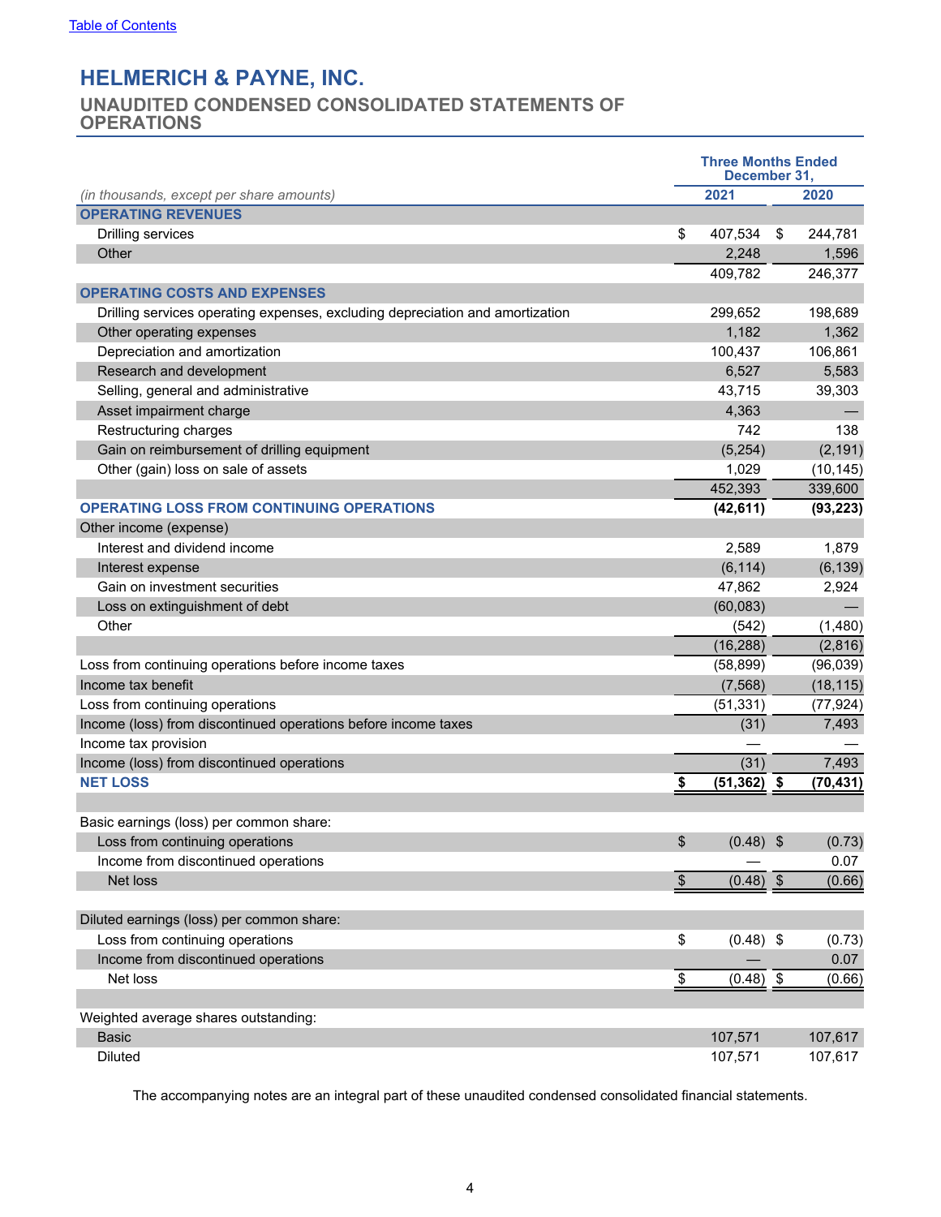# <span id="page-3-0"></span>**UNAUDITED CONDENSED CONSOLIDATED STATEMENTS OF OPERATIONS**

|                                                                               | <b>Three Months Ended</b><br>December 31, |                |    |           |  |  |
|-------------------------------------------------------------------------------|-------------------------------------------|----------------|----|-----------|--|--|
| (in thousands, except per share amounts)                                      |                                           | 2021           |    | 2020      |  |  |
| <b>OPERATING REVENUES</b>                                                     |                                           |                |    |           |  |  |
| Drilling services                                                             | \$                                        | 407,534        | \$ | 244,781   |  |  |
| Other                                                                         |                                           | 2,248          |    | 1,596     |  |  |
|                                                                               |                                           | 409,782        |    | 246,377   |  |  |
| <b>OPERATING COSTS AND EXPENSES</b>                                           |                                           |                |    |           |  |  |
| Drilling services operating expenses, excluding depreciation and amortization |                                           | 299,652        |    | 198,689   |  |  |
| Other operating expenses                                                      |                                           | 1,182          |    | 1,362     |  |  |
| Depreciation and amortization                                                 |                                           | 100,437        |    | 106,861   |  |  |
| Research and development                                                      |                                           | 6,527          |    | 5,583     |  |  |
| Selling, general and administrative                                           |                                           | 43,715         |    | 39,303    |  |  |
| Asset impairment charge                                                       |                                           | 4,363          |    |           |  |  |
| Restructuring charges                                                         |                                           | 742            |    | 138       |  |  |
| Gain on reimbursement of drilling equipment                                   |                                           | (5,254)        |    | (2, 191)  |  |  |
| Other (gain) loss on sale of assets                                           |                                           | 1,029          |    | (10, 145) |  |  |
|                                                                               |                                           | 452,393        |    | 339,600   |  |  |
| <b>OPERATING LOSS FROM CONTINUING OPERATIONS</b>                              |                                           | (42, 611)      |    | (93, 223) |  |  |
| Other income (expense)                                                        |                                           |                |    |           |  |  |
| Interest and dividend income                                                  |                                           | 2,589          |    | 1,879     |  |  |
| Interest expense                                                              |                                           | (6, 114)       |    | (6, 139)  |  |  |
| Gain on investment securities                                                 |                                           | 47,862         |    | 2,924     |  |  |
| Loss on extinguishment of debt                                                |                                           | (60,083)       |    |           |  |  |
| Other                                                                         |                                           | (542)          |    | (1,480)   |  |  |
|                                                                               |                                           | (16, 288)      |    | (2,816)   |  |  |
| Loss from continuing operations before income taxes                           |                                           | (58, 899)      |    | (96,039)  |  |  |
| Income tax benefit                                                            |                                           | (7, 568)       |    | (18, 115) |  |  |
| Loss from continuing operations                                               |                                           | (51, 331)      |    | (77, 924) |  |  |
| Income (loss) from discontinued operations before income taxes                |                                           | (31)           |    | 7,493     |  |  |
| Income tax provision                                                          |                                           |                |    |           |  |  |
| Income (loss) from discontinued operations                                    |                                           | (31)           |    | 7,493     |  |  |
| <b>NET LOSS</b>                                                               | \$                                        | $(51, 362)$ \$ |    | (70, 431) |  |  |
|                                                                               |                                           |                |    |           |  |  |
| Basic earnings (loss) per common share:                                       |                                           |                |    |           |  |  |
| Loss from continuing operations                                               | \$                                        | $(0.48)$ \$    |    | (0.73)    |  |  |
| Income from discontinued operations                                           |                                           |                |    | 0.07      |  |  |
| Net loss                                                                      | $\mathbb{S}$                              | $(0.48)$ \$    |    | (0.66)    |  |  |
|                                                                               |                                           |                |    |           |  |  |
| Diluted earnings (loss) per common share:                                     |                                           |                |    |           |  |  |
| Loss from continuing operations                                               | \$                                        | $(0.48)$ \$    |    | (0.73)    |  |  |
| Income from discontinued operations                                           |                                           |                |    | 0.07      |  |  |
| Net loss                                                                      | \$                                        | $(0.48)$ \$    |    | (0.66)    |  |  |
|                                                                               |                                           |                |    |           |  |  |
| Weighted average shares outstanding:                                          |                                           |                |    |           |  |  |
| <b>Basic</b>                                                                  |                                           | 107,571        |    | 107,617   |  |  |
| Diluted                                                                       |                                           | 107,571        |    | 107,617   |  |  |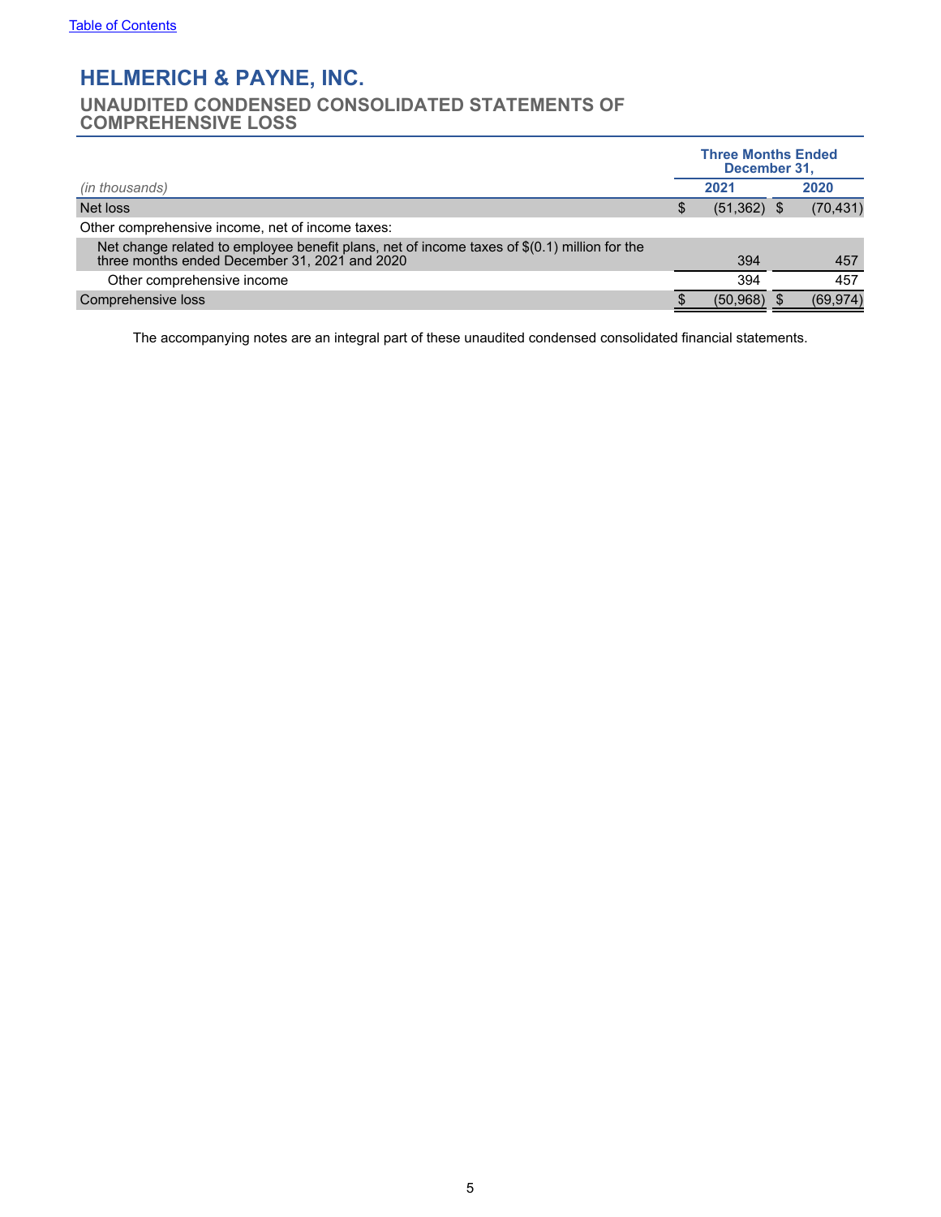# <span id="page-4-0"></span>**UNAUDITED CONDENSED CONSOLIDATED STATEMENTS OF COMPREHENSIVE LOSS**

|                                                                                                                                                | <b>Three Months Ended</b><br>December 31, |               |  |           |
|------------------------------------------------------------------------------------------------------------------------------------------------|-------------------------------------------|---------------|--|-----------|
| (in thousands)                                                                                                                                 |                                           | 2021          |  | 2020      |
| Net loss                                                                                                                                       | S                                         | $(51,362)$ \$ |  | (70, 431) |
| Other comprehensive income, net of income taxes:                                                                                               |                                           |               |  |           |
| Net change related to employee benefit plans, net of income taxes of $$(0.1)$ million for the<br>three months ended December 31, 2021 and 2020 |                                           | 394           |  | 457       |
| Other comprehensive income                                                                                                                     |                                           | 394           |  | 457       |
| Comprehensive loss                                                                                                                             |                                           | (50, 968)     |  | (69, 974) |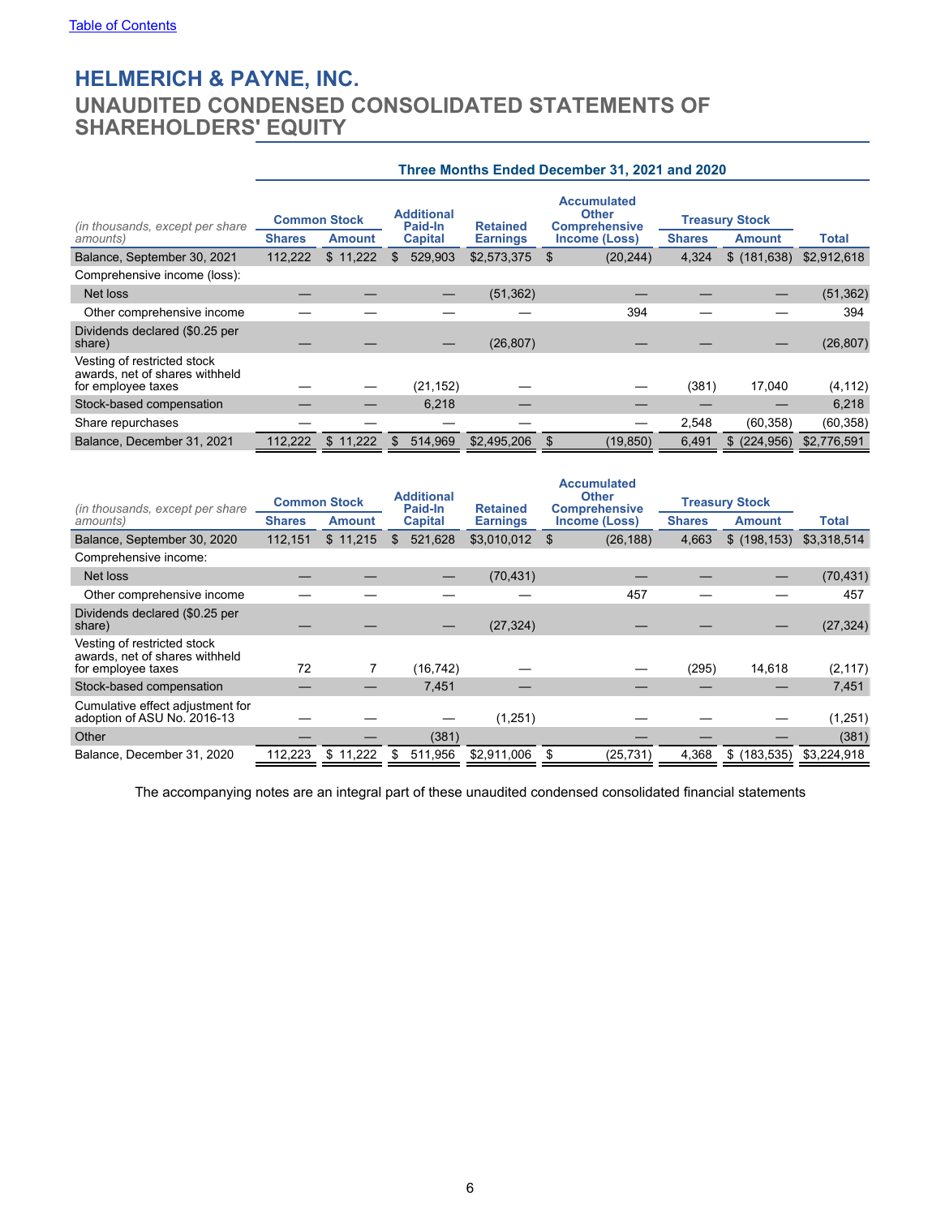<span id="page-5-0"></span>**UNAUDITED CONDENSED CONSOLIDATED STATEMENTS OF SHAREHOLDERS' EQUITY**

|                                                                                     | Three Months Ended December 31, 2021 and 2020         |               |               |             |                   |       |                                                |                                    |                                                                             |               |                                        |       |
|-------------------------------------------------------------------------------------|-------------------------------------------------------|---------------|---------------|-------------|-------------------|-------|------------------------------------------------|------------------------------------|-----------------------------------------------------------------------------|---------------|----------------------------------------|-------|
| (in thousands, except per share)<br>amounts)                                        | <b>Common Stock</b><br><b>Shares</b><br><b>Amount</b> |               |               |             |                   |       | <b>Additional</b><br>Paid-In<br><b>Capital</b> | <b>Retained</b><br><b>Earnings</b> | <b>Accumulated</b><br><b>Other</b><br><b>Comprehensive</b><br>Income (Loss) | <b>Shares</b> | <b>Treasury Stock</b><br><b>Amount</b> | Total |
| Balance, September 30, 2021                                                         | 112,222                                               | \$11,222      | 529,903<br>\$ | \$2,573,375 | (20, 244)<br>- \$ | 4,324 | \$(181,638)                                    | \$2,912,618                        |                                                                             |               |                                        |       |
| Comprehensive income (loss):                                                        |                                                       |               |               |             |                   |       |                                                |                                    |                                                                             |               |                                        |       |
| Net loss                                                                            |                                                       |               |               | (51, 362)   |                   |       |                                                | (51, 362)                          |                                                                             |               |                                        |       |
| Other comprehensive income                                                          |                                                       |               |               |             | 394               |       |                                                | 394                                |                                                                             |               |                                        |       |
| Dividends declared (\$0.25 per<br>share)                                            |                                                       |               |               | (26, 807)   |                   |       |                                                | (26, 807)                          |                                                                             |               |                                        |       |
| Vesting of restricted stock<br>awards, net of shares withheld<br>for employee taxes |                                                       |               | (21, 152)     |             |                   | (381) | 17,040                                         | (4, 112)                           |                                                                             |               |                                        |       |
| Stock-based compensation                                                            |                                                       |               | 6,218         |             |                   |       |                                                | 6,218                              |                                                                             |               |                                        |       |
| Share repurchases                                                                   |                                                       |               |               |             |                   | 2,548 | (60, 358)                                      | (60, 358)                          |                                                                             |               |                                        |       |
| Balance, December 31, 2021                                                          | 112,222                                               | 11,222<br>\$. | 514,969<br>\$ | \$2,495,206 | (19, 850)<br>\$   | 6,491 | (224, 956)<br>\$.                              | \$2,776,591                        |                                                                             |               |                                        |       |

| (in thousands, except per share                                                     | <b>Common Stock</b> |               | <b>Additional</b><br>Paid-In | <b>Retained</b> | <b>Accumulated</b><br><b>Other</b><br><b>Comprehensive</b> | <b>Treasury Stock</b> |               |              |
|-------------------------------------------------------------------------------------|---------------------|---------------|------------------------------|-----------------|------------------------------------------------------------|-----------------------|---------------|--------------|
| amounts)                                                                            | <b>Shares</b>       | <b>Amount</b> | <b>Capital</b>               | <b>Earnings</b> | Income (Loss)                                              | <b>Shares</b>         | <b>Amount</b> | <b>Total</b> |
| Balance, September 30, 2020                                                         | 112.151             | \$11,215      | 521,628<br>\$.               | \$3,010,012     | (26, 188)                                                  | 4,663                 | \$(198, 153)  | \$3,318,514  |
| Comprehensive income:                                                               |                     |               |                              |                 |                                                            |                       |               |              |
| Net loss                                                                            |                     |               |                              | (70, 431)       |                                                            |                       |               | (70, 431)    |
| Other comprehensive income                                                          |                     |               |                              |                 | 457                                                        |                       |               | 457          |
| Dividends declared (\$0.25 per<br>share)                                            |                     |               |                              | (27, 324)       |                                                            |                       |               | (27, 324)    |
| Vesting of restricted stock<br>awards, net of shares withheld<br>for employee taxes | 72                  |               | (16, 742)                    |                 |                                                            | (295)                 | 14,618        | (2, 117)     |
| Stock-based compensation                                                            |                     |               | 7,451                        |                 |                                                            |                       |               | 7,451        |
| Cumulative effect adjustment for<br>adoption of ASU No. 2016-13                     |                     |               |                              | (1,251)         |                                                            |                       |               | (1,251)      |
| Other                                                                               |                     |               | (381)                        |                 |                                                            |                       |               | (381)        |
| Balance, December 31, 2020                                                          | 112,223             | \$<br>11,222  | 511.956                      | \$2,911,006     | (25, 731)                                                  | 4,368                 | \$(183, 535)  | \$3,224,918  |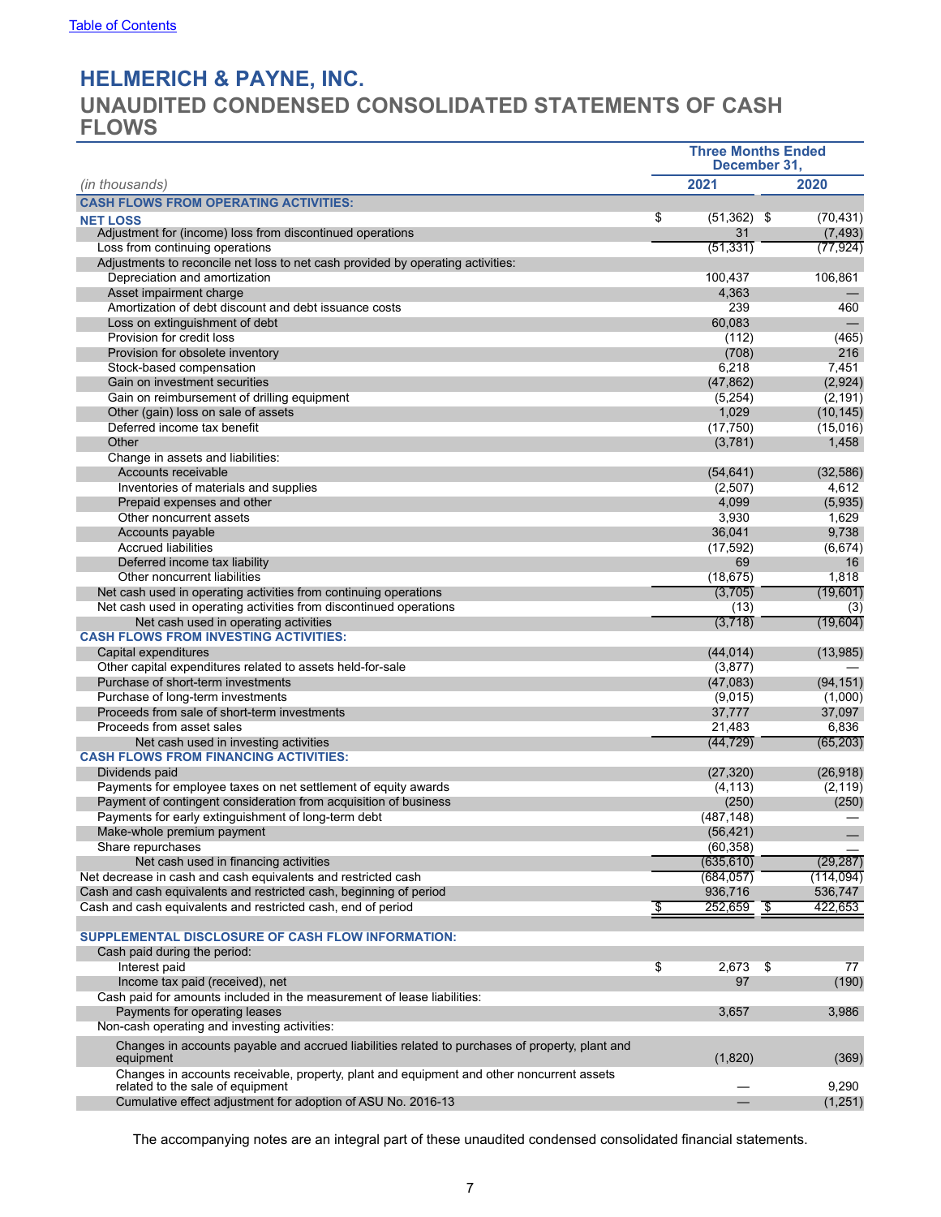# <span id="page-6-0"></span>**UNAUDITED CONDENSED CONSOLIDATED STATEMENTS OF CASH FLOWS**

|                                                                                                              | <b>Three Months Ended</b><br>December 31, |               |     |            |
|--------------------------------------------------------------------------------------------------------------|-------------------------------------------|---------------|-----|------------|
| (in thousands)                                                                                               |                                           | 2021          |     | 2020       |
| <b>CASH FLOWS FROM OPERATING ACTIVITIES:</b>                                                                 |                                           |               |     |            |
| <b>NET LOSS</b>                                                                                              | \$                                        | $(51,362)$ \$ |     | (70, 431)  |
| Adjustment for (income) loss from discontinued operations                                                    |                                           | 31            |     | (7, 493)   |
| Loss from continuing operations                                                                              |                                           | (51, 331)     |     | (77, 924)  |
| Adjustments to reconcile net loss to net cash provided by operating activities:                              |                                           |               |     |            |
| Depreciation and amortization                                                                                |                                           | 100,437       |     | 106,861    |
| Asset impairment charge                                                                                      |                                           | 4,363         |     |            |
| Amortization of debt discount and debt issuance costs                                                        |                                           | 239           |     | 460        |
| Loss on extinguishment of debt                                                                               |                                           | 60.083        |     |            |
| Provision for credit loss                                                                                    |                                           | (112)         |     | (465)      |
| Provision for obsolete inventory                                                                             |                                           | (708)         |     | 216        |
| Stock-based compensation                                                                                     |                                           | 6,218         |     | 7,451      |
| Gain on investment securities                                                                                |                                           | (47, 862)     |     | (2,924)    |
| Gain on reimbursement of drilling equipment                                                                  |                                           | (5,254)       |     | (2, 191)   |
| Other (gain) loss on sale of assets                                                                          |                                           | 1,029         |     | (10, 145)  |
| Deferred income tax benefit                                                                                  |                                           | (17, 750)     |     | (15,016)   |
| Other                                                                                                        |                                           | (3,781)       |     | 1,458      |
| Change in assets and liabilities:                                                                            |                                           |               |     |            |
| Accounts receivable                                                                                          |                                           | (54, 641)     |     | (32, 586)  |
| Inventories of materials and supplies                                                                        |                                           | (2,507)       |     | 4,612      |
| Prepaid expenses and other                                                                                   |                                           | 4,099         |     | (5,935)    |
| Other noncurrent assets                                                                                      |                                           | 3,930         |     | 1,629      |
| Accounts payable                                                                                             |                                           | 36,041        |     | 9,738      |
| <b>Accrued liabilities</b>                                                                                   |                                           | (17, 592)     |     | (6,674)    |
| Deferred income tax liability                                                                                |                                           | 69            |     | 16         |
| Other noncurrent liabilities                                                                                 |                                           | (18, 675)     |     | 1,818      |
| Net cash used in operating activities from continuing operations                                             |                                           | (3,705)       |     | (19,601)   |
| Net cash used in operating activities from discontinued operations                                           |                                           | (13)          |     | (3)        |
| Net cash used in operating activities                                                                        |                                           | (3,718)       |     | (19,604)   |
| <b>CASH FLOWS FROM INVESTING ACTIVITIES:</b>                                                                 |                                           |               |     |            |
| Capital expenditures                                                                                         |                                           | (44, 014)     |     | (13,985)   |
| Other capital expenditures related to assets held-for-sale                                                   |                                           | (3, 877)      |     |            |
| Purchase of short-term investments                                                                           |                                           | (47,083)      |     | (94, 151)  |
| Purchase of long-term investments                                                                            |                                           | (9,015)       |     | (1,000)    |
| Proceeds from sale of short-term investments                                                                 |                                           | 37,777        |     | 37,097     |
| Proceeds from asset sales                                                                                    |                                           | 21,483        |     | 6,836      |
| Net cash used in investing activities                                                                        |                                           | (44, 729)     |     | (65, 203)  |
| <b>CASH FLOWS FROM FINANCING ACTIVITIES:</b>                                                                 |                                           |               |     |            |
| Dividends paid                                                                                               |                                           | (27, 320)     |     | (26, 918)  |
| Payments for employee taxes on net settlement of equity awards                                               |                                           | (4, 113)      |     | (2, 119)   |
| Payment of contingent consideration from acquisition of business                                             |                                           | (250)         |     | (250)      |
| Payments for early extinguishment of long-term debt                                                          |                                           | (487, 148)    |     |            |
| Make-whole premium payment                                                                                   |                                           | (56, 421)     |     |            |
| Share repurchases                                                                                            |                                           | (60, 358)     |     |            |
| Net cash used in financing activities                                                                        |                                           | (635, 610)    |     | (29, 287)  |
| Net decrease in cash and cash equivalents and restricted cash                                                |                                           | (684, 057)    |     | (114, 094) |
| Cash and cash equivalents and restricted cash, beginning of period                                           |                                           | 936,716       |     | 536,747    |
| Cash and cash equivalents and restricted cash, end of period                                                 | \$                                        | 252,659       | -\$ | 422,653    |
|                                                                                                              |                                           |               |     |            |
| <b>SUPPLEMENTAL DISCLOSURE OF CASH FLOW INFORMATION:</b>                                                     |                                           |               |     |            |
| Cash paid during the period:                                                                                 |                                           |               |     |            |
| Interest paid                                                                                                | \$                                        | 2,673         | \$  | 77         |
| Income tax paid (received), net                                                                              |                                           | 97            |     |            |
| Cash paid for amounts included in the measurement of lease liabilities:                                      |                                           |               |     | (190)      |
|                                                                                                              |                                           |               |     |            |
| Payments for operating leases                                                                                |                                           | 3,657         |     | 3,986      |
| Non-cash operating and investing activities:                                                                 |                                           |               |     |            |
| Changes in accounts payable and accrued liabilities related to purchases of property, plant and<br>equipment |                                           | (1,820)       |     | (369)      |
| Changes in accounts receivable, property, plant and equipment and other noncurrent assets                    |                                           |               |     |            |
| related to the sale of equipment                                                                             |                                           |               |     | 9,290      |
| Cumulative effect adjustment for adoption of ASU No. 2016-13                                                 |                                           |               |     | (1,251)    |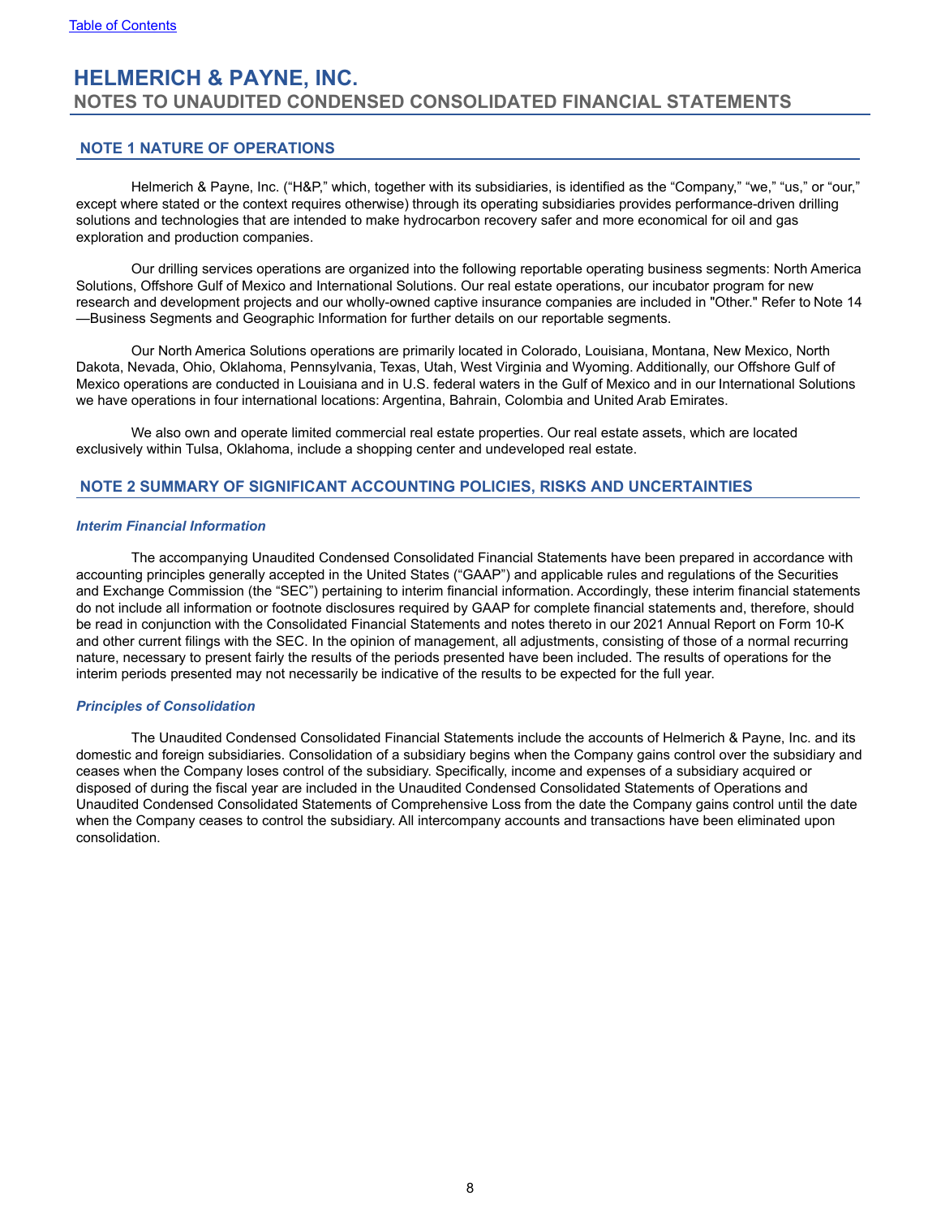# <span id="page-7-0"></span>**HELMERICH & PAYNE, INC. NOTES TO UNAUDITED CONDENSED CONSOLIDATED FINANCIAL STATEMENTS**

## **NOTE 1 NATURE OF OPERATIONS**

Helmerich & Payne, Inc. ("H&P," which, together with its subsidiaries, is identified as the "Company," "we," "us," or "our," except where stated or the context requires otherwise) through its operating subsidiaries provides performance-driven drilling solutions and technologies that are intended to make hydrocarbon recovery safer and more economical for oil and gas exploration and production companies.

Our drilling services operations are organized into the following reportable operating business segments: North America Solutions, Offshore Gulf of Mexico and International Solutions. Our real estate operations, our incubator program for new research and development projects and our wholly-owned captive insurance companies are included in "Other." Refer to Note 14 —Business Segments and Geographic Information for further details on our reportable segments.

Our North America Solutions operations are primarily located in Colorado, Louisiana, Montana, New Mexico, North Dakota, Nevada, Ohio, Oklahoma, Pennsylvania, Texas, Utah, West Virginia and Wyoming. Additionally, our Offshore Gulf of Mexico operations are conducted in Louisiana and in U.S. federal waters in the Gulf of Mexico and in our International Solutions we have operations in four international locations: Argentina, Bahrain, Colombia and United Arab Emirates.

We also own and operate limited commercial real estate properties. Our real estate assets, which are located exclusively within Tulsa, Oklahoma, include a shopping center and undeveloped real estate.

### **NOTE 2 SUMMARY OF SIGNIFICANT ACCOUNTING POLICIES, RISKS AND UNCERTAINTIES**

#### *Interim Financial Information*

The accompanying Unaudited Condensed Consolidated Financial Statements have been prepared in accordance with accounting principles generally accepted in the United States ("GAAP") and applicable rules and regulations of the Securities and Exchange Commission (the "SEC") pertaining to interim financial information. Accordingly, these interim financial statements do not include all information or footnote disclosures required by GAAP for complete financial statements and, therefore, should be read in conjunction with the Consolidated Financial Statements and notes thereto in our 2021 Annual Report on Form 10-K and other current filings with the SEC. In the opinion of management, all adjustments, consisting of those of a normal recurring nature, necessary to present fairly the results of the periods presented have been included. The results of operations for the interim periods presented may not necessarily be indicative of the results to be expected for the full year.

### *Principles of Consolidation*

The Unaudited Condensed Consolidated Financial Statements include the accounts of Helmerich & Payne, Inc. and its domestic and foreign subsidiaries. Consolidation of a subsidiary begins when the Company gains control over the subsidiary and ceases when the Company loses control of the subsidiary. Specifically, income and expenses of a subsidiary acquired or disposed of during the fiscal year are included in the Unaudited Condensed Consolidated Statements of Operations and Unaudited Condensed Consolidated Statements of Comprehensive Loss from the date the Company gains control until the date when the Company ceases to control the subsidiary. All intercompany accounts and transactions have been eliminated upon consolidation.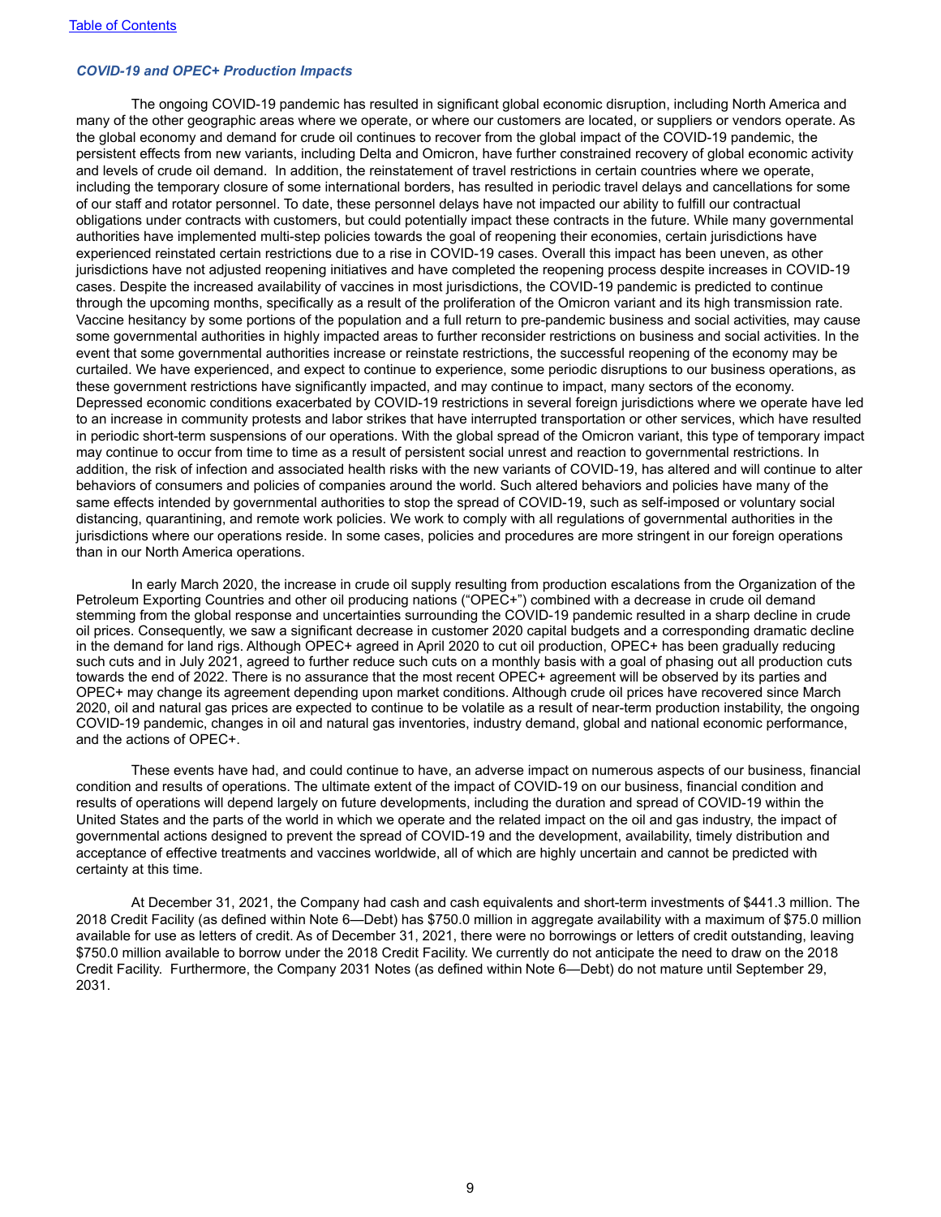#### *COVID-19 and OPEC+ Production Impacts*

The ongoing COVID-19 pandemic has resulted in significant global economic disruption, including North America and many of the other geographic areas where we operate, or where our customers are located, or suppliers or vendors operate. As the global economy and demand for crude oil continues to recover from the global impact of the COVID-19 pandemic, the persistent effects from new variants, including Delta and Omicron, have further constrained recovery of global economic activity and levels of crude oil demand. In addition, the reinstatement of travel restrictions in certain countries where we operate, including the temporary closure of some international borders, has resulted in periodic travel delays and cancellations for some of our staff and rotator personnel. To date, these personnel delays have not impacted our ability to fulfill our contractual obligations under contracts with customers, but could potentially impact these contracts in the future. While many governmental authorities have implemented multi-step policies towards the goal of reopening their economies, certain jurisdictions have experienced reinstated certain restrictions due to a rise in COVID-19 cases. Overall this impact has been uneven, as other jurisdictions have not adjusted reopening initiatives and have completed the reopening process despite increases in COVID-19 cases. Despite the increased availability of vaccines in most jurisdictions, the COVID-19 pandemic is predicted to continue through the upcoming months, specifically as a result of the proliferation of the Omicron variant and its high transmission rate. Vaccine hesitancy by some portions of the population and a full return to pre-pandemic business and social activities, may cause some governmental authorities in highly impacted areas to further reconsider restrictions on business and social activities. In the event that some governmental authorities increase or reinstate restrictions, the successful reopening of the economy may be curtailed. We have experienced, and expect to continue to experience, some periodic disruptions to our business operations, as these government restrictions have significantly impacted, and may continue to impact, many sectors of the economy. Depressed economic conditions exacerbated by COVID-19 restrictions in several foreign jurisdictions where we operate have led to an increase in community protests and labor strikes that have interrupted transportation or other services, which have resulted in periodic short-term suspensions of our operations. With the global spread of the Omicron variant, this type of temporary impact may continue to occur from time to time as a result of persistent social unrest and reaction to governmental restrictions. In addition, the risk of infection and associated health risks with the new variants of COVID-19, has altered and will continue to alter behaviors of consumers and policies of companies around the world. Such altered behaviors and policies have many of the same effects intended by governmental authorities to stop the spread of COVID-19, such as self-imposed or voluntary social distancing, quarantining, and remote work policies. We work to comply with all regulations of governmental authorities in the jurisdictions where our operations reside. In some cases, policies and procedures are more stringent in our foreign operations than in our North America operations.

In early March 2020, the increase in crude oil supply resulting from production escalations from the Organization of the Petroleum Exporting Countries and other oil producing nations ("OPEC+") combined with a decrease in crude oil demand stemming from the global response and uncertainties surrounding the COVID-19 pandemic resulted in a sharp decline in crude oil prices. Consequently, we saw a significant decrease in customer 2020 capital budgets and a corresponding dramatic decline in the demand for land rigs. Although OPEC+ agreed in April 2020 to cut oil production, OPEC+ has been gradually reducing such cuts and in July 2021, agreed to further reduce such cuts on a monthly basis with a goal of phasing out all production cuts towards the end of 2022. There is no assurance that the most recent OPEC+ agreement will be observed by its parties and OPEC+ may change its agreement depending upon market conditions. Although crude oil prices have recovered since March 2020, oil and natural gas prices are expected to continue to be volatile as a result of near-term production instability, the ongoing COVID-19 pandemic, changes in oil and natural gas inventories, industry demand, global and national economic performance, and the actions of OPEC+.

These events have had, and could continue to have, an adverse impact on numerous aspects of our business, financial condition and results of operations. The ultimate extent of the impact of COVID-19 on our business, financial condition and results of operations will depend largely on future developments, including the duration and spread of COVID-19 within the United States and the parts of the world in which we operate and the related impact on the oil and gas industry, the impact of governmental actions designed to prevent the spread of COVID-19 and the development, availability, timely distribution and acceptance of effective treatments and vaccines worldwide, all of which are highly uncertain and cannot be predicted with certainty at this time.

 At December 31, 2021, the Company had cash and cash equivalents and short-term investments of \$441.3 million. The 2018 Credit Facility (as defined within Note 6—Debt) has \$750.0 million in aggregate availability with a maximum of \$75.0 million available for use as letters of credit. As of December 31, 2021, there were no borrowings or letters of credit outstanding, leaving \$750.0 million available to borrow under the 2018 Credit Facility. We currently do not anticipate the need to draw on the 2018 Credit Facility. Furthermore, the Company 2031 Notes (as defined within Note 6—Debt) do not mature until September 29, 2031.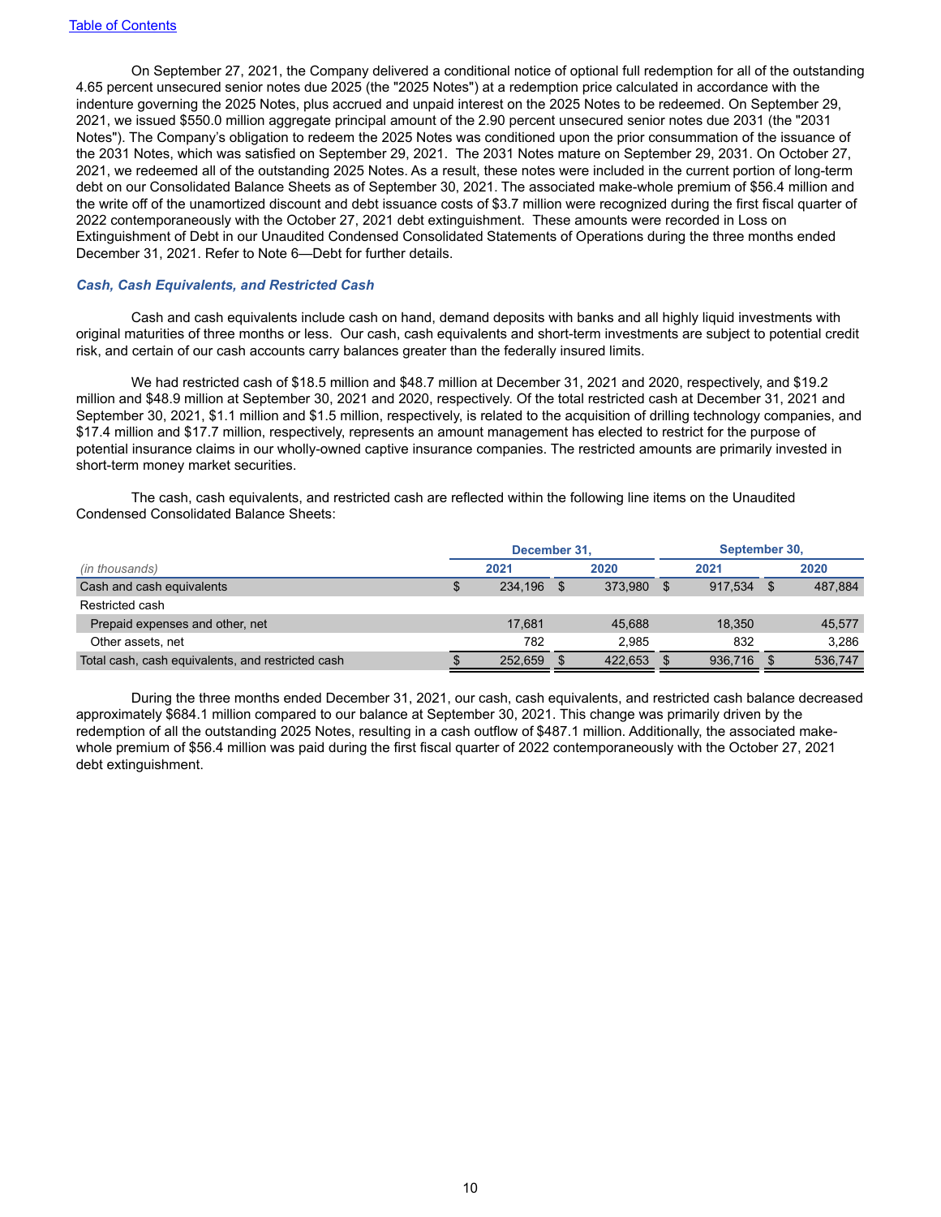On September 27, 2021, the Company delivered a conditional notice of optional full redemption for all of the outstanding 4.65 percent unsecured senior notes due 2025 (the "2025 Notes") at a redemption price calculated in accordance with the indenture governing the 2025 Notes, plus accrued and unpaid interest on the 2025 Notes to be redeemed. On September 29, 2021, we issued \$550.0 million aggregate principal amount of the 2.90 percent unsecured senior notes due 2031 (the "2031 Notes"). The Company's obligation to redeem the 2025 Notes was conditioned upon the prior consummation of the issuance of the 2031 Notes, which was satisfied on September 29, 2021. The 2031 Notes mature on September 29, 2031. On October 27, 2021, we redeemed all of the outstanding 2025 Notes. As a result, these notes were included in the current portion of long-term debt on our Consolidated Balance Sheets as of September 30, 2021. The associated make-whole premium of \$56.4 million and the write off of the unamortized discount and debt issuance costs of \$3.7 million were recognized during the first fiscal quarter of 2022 contemporaneously with the October 27, 2021 debt extinguishment. These amounts were recorded in Loss on Extinguishment of Debt in our Unaudited Condensed Consolidated Statements of Operations during the three months ended December 31, 2021. Refer to Note 6—Debt for further details.

### *Cash, Cash Equivalents, and Restricted Cash*

Cash and cash equivalents include cash on hand, demand deposits with banks and all highly liquid investments with original maturities of three months or less. Our cash, cash equivalents and short-term investments are subject to potential credit risk, and certain of our cash accounts carry balances greater than the federally insured limits.

We had restricted cash of \$18.5 million and \$48.7 million at December 31, 2021 and 2020, respectively, and \$19.2 million and \$48.9 million at September 30, 2021 and 2020, respectively. Of the total restricted cash at December 31, 2021 and September 30, 2021, \$1.1 million and \$1.5 million, respectively, is related to the acquisition of drilling technology companies, and \$17.4 million and \$17.7 million, respectively, represents an amount management has elected to restrict for the purpose of potential insurance claims in our wholly-owned captive insurance companies. The restricted amounts are primarily invested in short-term money market securities.

The cash, cash equivalents, and restricted cash are reflected within the following line items on the Unaudited Condensed Consolidated Balance Sheets:

|                                                   | December 31. |  |         | September 30, |         |  |         |
|---------------------------------------------------|--------------|--|---------|---------------|---------|--|---------|
| (in thousands)                                    | 2021         |  | 2020    |               | 2021    |  | 2020    |
| Cash and cash equivalents                         | 234.196      |  | 373.980 |               | 917.534 |  | 487,884 |
| Restricted cash                                   |              |  |         |               |         |  |         |
| Prepaid expenses and other, net                   | 17.681       |  | 45.688  |               | 18.350  |  | 45,577  |
| Other assets, net                                 | 782          |  | 2.985   |               | 832     |  | 3.286   |
| Total cash, cash equivalents, and restricted cash | 252.659      |  | 422.653 |               | 936.716 |  | 536,747 |

During the three months ended December 31, 2021, our cash, cash equivalents, and restricted cash balance decreased approximately \$684.1 million compared to our balance at September 30, 2021. This change was primarily driven by the redemption of all the outstanding 2025 Notes, resulting in a cash outflow of \$487.1 million. Additionally, the associated makewhole premium of \$56.4 million was paid during the first fiscal quarter of 2022 contemporaneously with the October 27, 2021 debt extinguishment.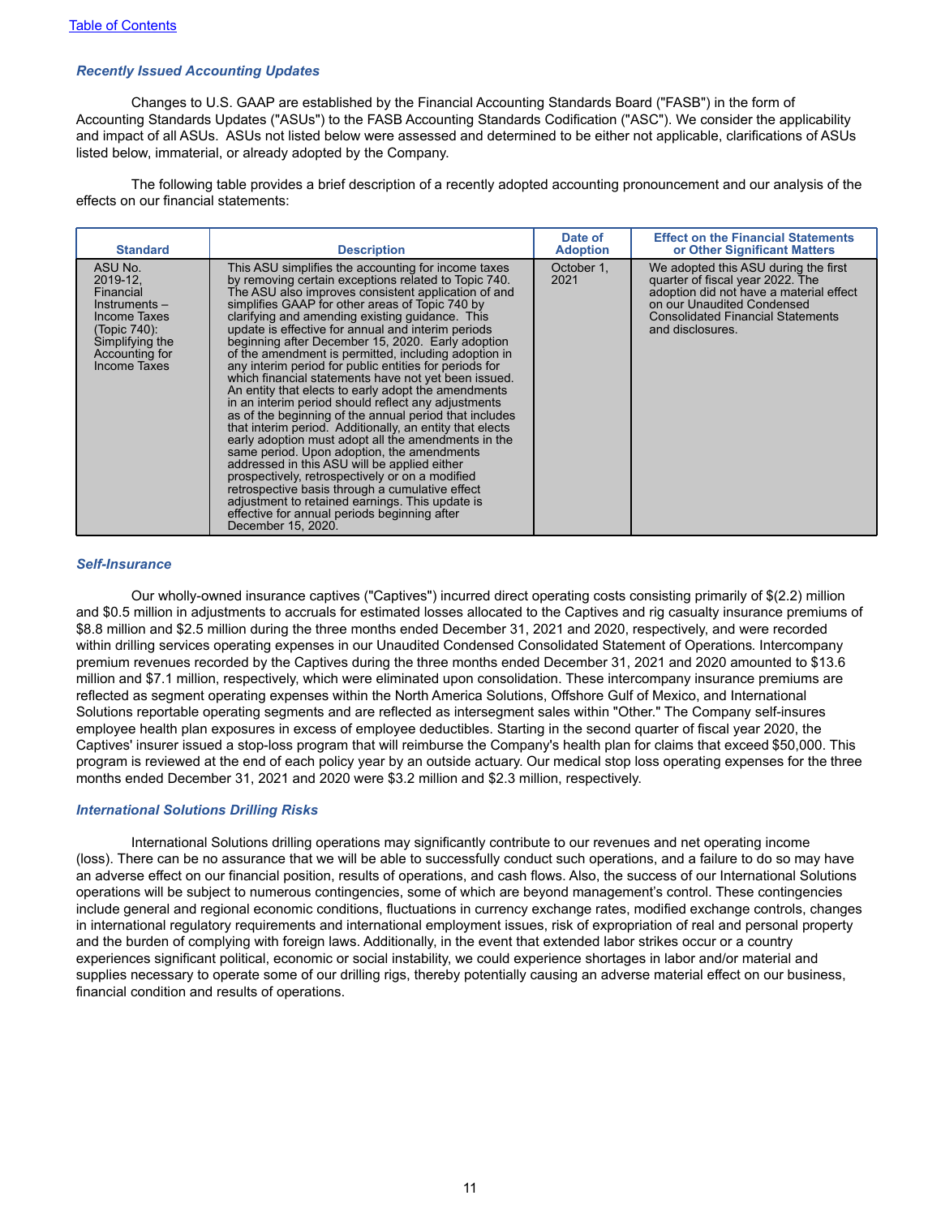### *Recently Issued Accounting Updates*

Changes to U.S. GAAP are established by the Financial Accounting Standards Board ("FASB") in the form of Accounting Standards Updates ("ASUs") to the FASB Accounting Standards Codification ("ASC"). We consider the applicability and impact of all ASUs. ASUs not listed below were assessed and determined to be either not applicable, clarifications of ASUs listed below, immaterial, or already adopted by the Company.

The following table provides a brief description of a recently adopted accounting pronouncement and our analysis of the effects on our financial statements:

| <b>Standard</b>                                                                                                                          | <b>Description</b>                                                                                                                                                                                                                                                                                                                                                                                                                                                                                                                                                                                                                                                                                                                                                                                                                                                                                                                                                                                                                                                                                                                                                                    | Date of<br><b>Adoption</b> | <b>Effect on the Financial Statements</b><br>or Other Significant Matters                                                                                                                                         |
|------------------------------------------------------------------------------------------------------------------------------------------|---------------------------------------------------------------------------------------------------------------------------------------------------------------------------------------------------------------------------------------------------------------------------------------------------------------------------------------------------------------------------------------------------------------------------------------------------------------------------------------------------------------------------------------------------------------------------------------------------------------------------------------------------------------------------------------------------------------------------------------------------------------------------------------------------------------------------------------------------------------------------------------------------------------------------------------------------------------------------------------------------------------------------------------------------------------------------------------------------------------------------------------------------------------------------------------|----------------------------|-------------------------------------------------------------------------------------------------------------------------------------------------------------------------------------------------------------------|
| ASU No.<br>2019-12.<br>Financial<br>$Instruments -$<br>Income Taxes<br>(Topic 740):<br>Simplifying the<br>Accounting for<br>Income Taxes | This ASU simplifies the accounting for income taxes<br>by removing certain exceptions related to Topic 740.<br>The ASU also improves consistent application of and<br>simplifies GAAP for other areas of Topic 740 by<br>clarifying and amending existing guidance. This<br>update is effective for annual and interim periods<br>beginning after December 15, 2020. Early adoption<br>of the amendment is permitted, including adoption in<br>any interim period for public entities for periods for<br>which financial statements have not yet been issued.<br>An entity that elects to early adopt the amendments<br>in an interim period should reflect any adjustments<br>as of the beginning of the annual period that includes<br>that interim period. Additionally, an entity that elects<br>early adoption must adopt all the amendments in the<br>same period. Upon adoption, the amendments<br>addressed in this ASU will be applied either<br>prospectively, retrospectively or on a modified<br>retrospective basis through a cumulative effect<br>adjustment to retained earnings. This update is<br>effective for annual periods beginning after<br>December 15, 2020. | October 1,<br>2021         | We adopted this ASU during the first<br>quarter of fiscal year 2022. The<br>adoption did not have a material effect<br>on our Unaudited Condensed<br><b>Consolidated Financial Statements</b><br>and disclosures. |

#### *Self-Insurance*

Our wholly-owned insurance captives ("Captives") incurred direct operating costs consisting primarily of \$(2.2) million and \$0.5 million in adjustments to accruals for estimated losses allocated to the Captives and rig casualty insurance premiums of \$8.8 million and \$2.5 million during the three months ended December 31, 2021 and 2020, respectively, and were recorded within drilling services operating expenses in our Unaudited Condensed Consolidated Statement of Operations. Intercompany premium revenues recorded by the Captives during the three months ended December 31, 2021 and 2020 amounted to \$13.6 million and \$7.1 million, respectively, which were eliminated upon consolidation. These intercompany insurance premiums are reflected as segment operating expenses within the North America Solutions, Offshore Gulf of Mexico, and International Solutions reportable operating segments and are reflected as intersegment sales within "Other." The Company self-insures employee health plan exposures in excess of employee deductibles. Starting in the second quarter of fiscal year 2020, the Captives' insurer issued a stop-loss program that will reimburse the Company's health plan for claims that exceed \$50,000. This program is reviewed at the end of each policy year by an outside actuary. Our medical stop loss operating expenses for the three months ended December 31, 2021 and 2020 were \$3.2 million and \$2.3 million, respectively.

### *International Solutions Drilling Risks*

International Solutions drilling operations may significantly contribute to our revenues and net operating income (loss). There can be no assurance that we will be able to successfully conduct such operations, and a failure to do so may have an adverse effect on our financial position, results of operations, and cash flows. Also, the success of our International Solutions operations will be subject to numerous contingencies, some of which are beyond management's control. These contingencies include general and regional economic conditions, fluctuations in currency exchange rates, modified exchange controls, changes in international regulatory requirements and international employment issues, risk of expropriation of real and personal property and the burden of complying with foreign laws. Additionally, in the event that extended labor strikes occur or a country experiences significant political, economic or social instability, we could experience shortages in labor and/or material and supplies necessary to operate some of our drilling rigs, thereby potentially causing an adverse material effect on our business, financial condition and results of operations.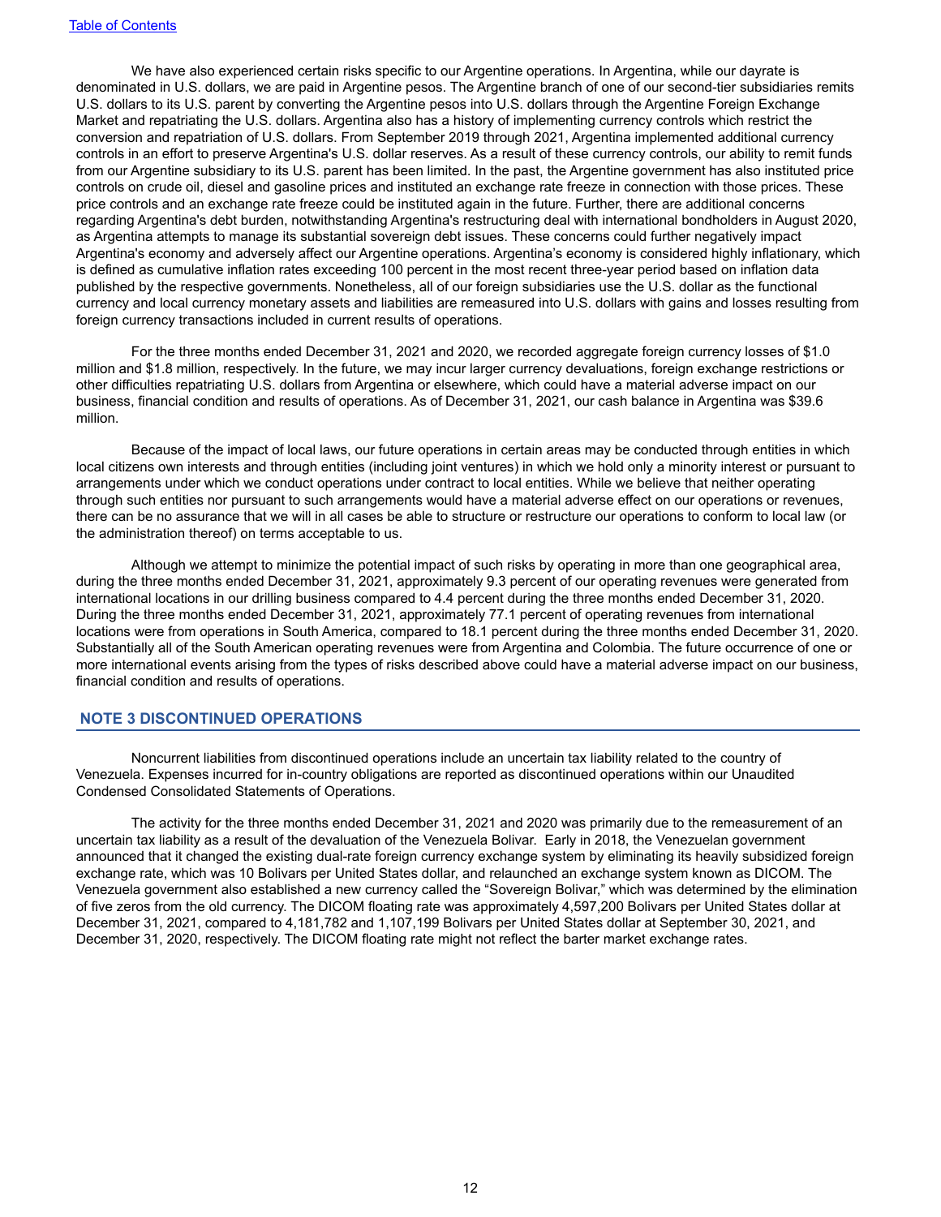We have also experienced certain risks specific to our Argentine operations. In Argentina, while our dayrate is denominated in U.S. dollars, we are paid in Argentine pesos. The Argentine branch of one of our second-tier subsidiaries remits U.S. dollars to its U.S. parent by converting the Argentine pesos into U.S. dollars through the Argentine Foreign Exchange Market and repatriating the U.S. dollars. Argentina also has a history of implementing currency controls which restrict the conversion and repatriation of U.S. dollars. From September 2019 through 2021, Argentina implemented additional currency controls in an effort to preserve Argentina's U.S. dollar reserves. As a result of these currency controls, our ability to remit funds from our Argentine subsidiary to its U.S. parent has been limited. In the past, the Argentine government has also instituted price controls on crude oil, diesel and gasoline prices and instituted an exchange rate freeze in connection with those prices. These price controls and an exchange rate freeze could be instituted again in the future. Further, there are additional concerns regarding Argentina's debt burden, notwithstanding Argentina's restructuring deal with international bondholders in August 2020, as Argentina attempts to manage its substantial sovereign debt issues. These concerns could further negatively impact Argentina's economy and adversely affect our Argentine operations. Argentina's economy is considered highly inflationary, which is defined as cumulative inflation rates exceeding 100 percent in the most recent three-year period based on inflation data published by the respective governments. Nonetheless, all of our foreign subsidiaries use the U.S. dollar as the functional currency and local currency monetary assets and liabilities are remeasured into U.S. dollars with gains and losses resulting from foreign currency transactions included in current results of operations.

For the three months ended December 31, 2021 and 2020, we recorded aggregate foreign currency losses of \$1.0 million and \$1.8 million, respectively. In the future, we may incur larger currency devaluations, foreign exchange restrictions or other difficulties repatriating U.S. dollars from Argentina or elsewhere, which could have a material adverse impact on our business, financial condition and results of operations. As of December 31, 2021, our cash balance in Argentina was \$39.6 million.

Because of the impact of local laws, our future operations in certain areas may be conducted through entities in which local citizens own interests and through entities (including joint ventures) in which we hold only a minority interest or pursuant to arrangements under which we conduct operations under contract to local entities. While we believe that neither operating through such entities nor pursuant to such arrangements would have a material adverse effect on our operations or revenues, there can be no assurance that we will in all cases be able to structure or restructure our operations to conform to local law (or the administration thereof) on terms acceptable to us.

Although we attempt to minimize the potential impact of such risks by operating in more than one geographical area, during the three months ended December 31, 2021, approximately 9.3 percent of our operating revenues were generated from international locations in our drilling business compared to 4.4 percent during the three months ended December 31, 2020. During the three months ended December 31, 2021, approximately 77.1 percent of operating revenues from international locations were from operations in South America, compared to 18.1 percent during the three months ended December 31, 2020. Substantially all of the South American operating revenues were from Argentina and Colombia. The future occurrence of one or more international events arising from the types of risks described above could have a material adverse impact on our business, financial condition and results of operations.

## **NOTE 3 DISCONTINUED OPERATIONS**

Noncurrent liabilities from discontinued operations include an uncertain tax liability related to the country of Venezuela. Expenses incurred for in-country obligations are reported as discontinued operations within our Unaudited Condensed Consolidated Statements of Operations.

The activity for the three months ended December 31, 2021 and 2020 was primarily due to the remeasurement of an uncertain tax liability as a result of the devaluation of the Venezuela Bolivar. Early in 2018, the Venezuelan government announced that it changed the existing dual-rate foreign currency exchange system by eliminating its heavily subsidized foreign exchange rate, which was 10 Bolivars per United States dollar, and relaunched an exchange system known as DICOM. The Venezuela government also established a new currency called the "Sovereign Bolivar," which was determined by the elimination of five zeros from the old currency. The DICOM floating rate was approximately 4,597,200 Bolivars per United States dollar at December 31, 2021, compared to 4,181,782 and 1,107,199 Bolivars per United States dollar at September 30, 2021, and December 31, 2020, respectively. The DICOM floating rate might not reflect the barter market exchange rates.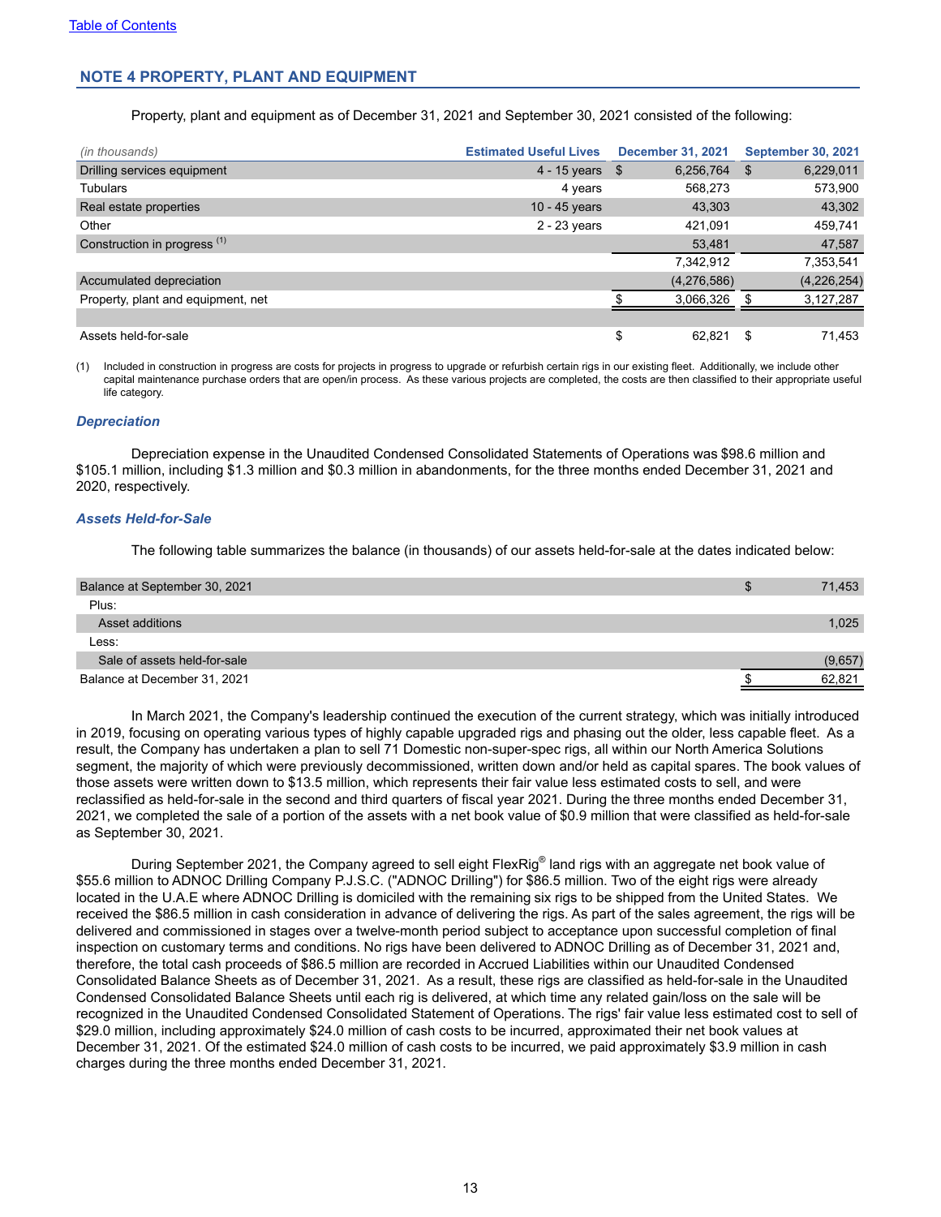## **NOTE 4 PROPERTY, PLANT AND EQUIPMENT**

Property, plant and equipment as of December 31, 2021 and September 30, 2021 consisted of the following:

| (in thousands)                          | <b>Estimated Useful Lives</b> |      | <b>December 31, 2021</b> |      | <b>September 30, 2021</b> |
|-----------------------------------------|-------------------------------|------|--------------------------|------|---------------------------|
| Drilling services equipment             | $4 - 15$ years                | - \$ | 6,256,764                | - \$ | 6,229,011                 |
| <b>Tubulars</b>                         | 4 years                       |      | 568.273                  |      | 573,900                   |
| Real estate properties                  | 10 - 45 years                 |      | 43,303                   |      | 43,302                    |
| Other                                   | $2 - 23$ years                |      | 421.091                  |      | 459,741                   |
| Construction in progress <sup>(1)</sup> |                               |      | 53,481                   |      | 47,587                    |
|                                         |                               |      | 7,342,912                |      | 7,353,541                 |
| Accumulated depreciation                |                               |      | (4,276,586)              |      | (4,226,254)               |
| Property, plant and equipment, net      |                               |      | 3,066,326                |      | 3,127,287                 |
|                                         |                               |      |                          |      |                           |
| Assets held-for-sale                    |                               | \$   | 62.821                   | \$.  | 71,453                    |

(1) Included in construction in progress are costs for projects in progress to upgrade or refurbish certain rigs in our existing fleet. Additionally, we include other capital maintenance purchase orders that are open/in process. As these various projects are completed, the costs are then classified to their appropriate useful life category.

#### *Depreciation*

Depreciation expense in the Unaudited Condensed Consolidated Statements of Operations was \$98.6 million and \$105.1 million, including \$1.3 million and \$0.3 million in abandonments, for the three months ended December 31, 2021 and 2020, respectively.

#### *Assets Held-for-Sale*

The following table summarizes the balance (in thousands) of our assets held-for-sale at the dates indicated below:

| Balance at September 30, 2021 | 71,453  |
|-------------------------------|---------|
| Plus:                         |         |
| Asset additions               | 1,025   |
| Less:                         |         |
| Sale of assets held-for-sale  | (9,657) |
| Balance at December 31, 2021  | 62,821  |

In March 2021, the Company's leadership continued the execution of the current strategy, which was initially introduced in 2019, focusing on operating various types of highly capable upgraded rigs and phasing out the older, less capable fleet. As a result, the Company has undertaken a plan to sell 71 Domestic non-super-spec rigs, all within our North America Solutions segment, the majority of which were previously decommissioned, written down and/or held as capital spares. The book values of those assets were written down to \$13.5 million, which represents their fair value less estimated costs to sell, and were reclassified as held-for-sale in the second and third quarters of fiscal year 2021. During the three months ended December 31, 2021, we completed the sale of a portion of the assets with a net book value of \$0.9 million that were classified as held-for-sale as September 30, 2021.

During September 2021, the Company agreed to sell eight FlexRig® land rigs with an aggregate net book value of \$55.6 million to ADNOC Drilling Company P.J.S.C. ("ADNOC Drilling") for \$86.5 million. Two of the eight rigs were already located in the U.A.E where ADNOC Drilling is domiciled with the remaining six rigs to be shipped from the United States. We received the \$86.5 million in cash consideration in advance of delivering the rigs. As part of the sales agreement, the rigs will be delivered and commissioned in stages over a twelve-month period subject to acceptance upon successful completion of final inspection on customary terms and conditions. No rigs have been delivered to ADNOC Drilling as of December 31, 2021 and, therefore, the total cash proceeds of \$86.5 million are recorded in Accrued Liabilities within our Unaudited Condensed Consolidated Balance Sheets as of December 31, 2021. As a result, these rigs are classified as held-for-sale in the Unaudited Condensed Consolidated Balance Sheets until each rig is delivered, at which time any related gain/loss on the sale will be recognized in the Unaudited Condensed Consolidated Statement of Operations. The rigs' fair value less estimated cost to sell of \$29.0 million, including approximately \$24.0 million of cash costs to be incurred, approximated their net book values at December 31, 2021. Of the estimated \$24.0 million of cash costs to be incurred, we paid approximately \$3.9 million in cash charges during the three months ended December 31, 2021.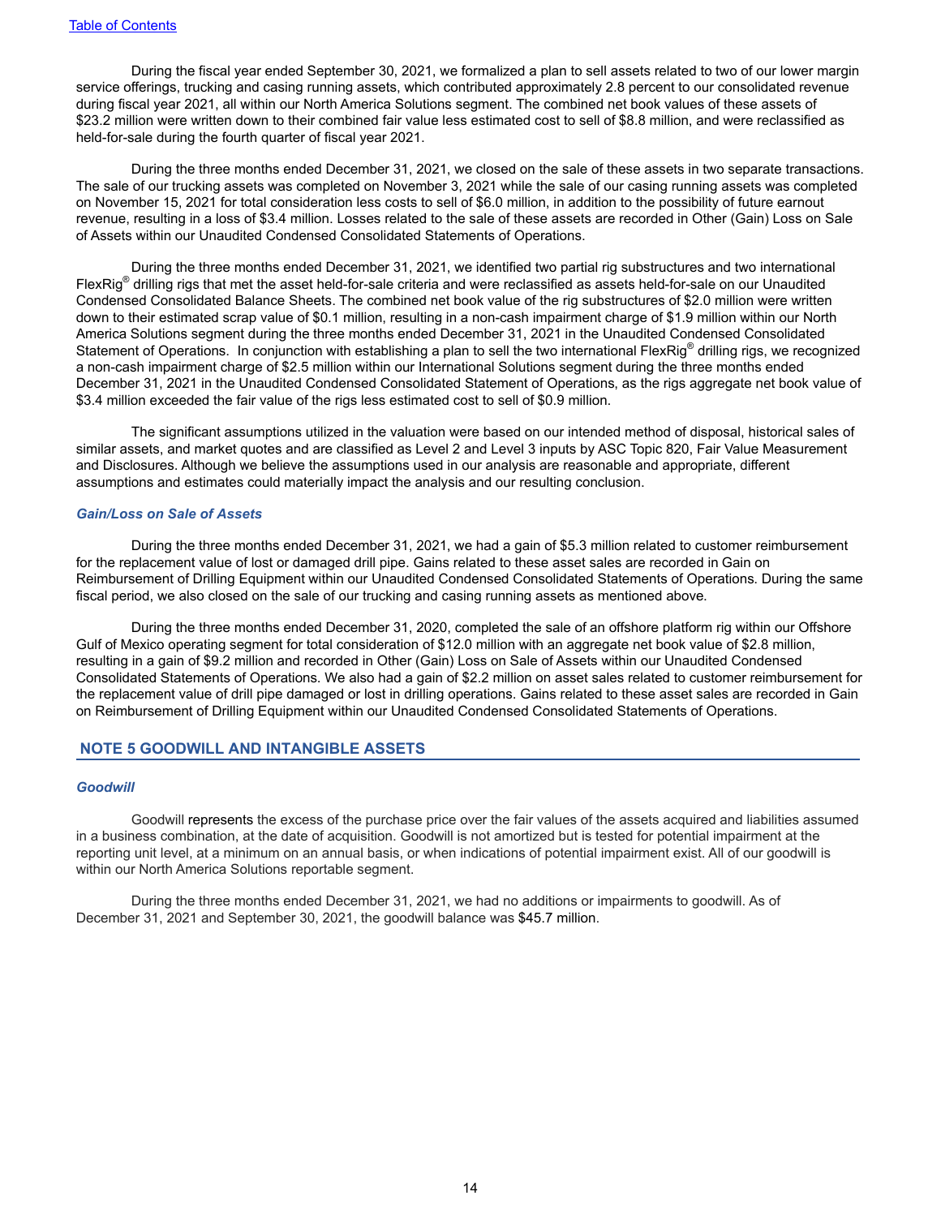During the fiscal year ended September 30, 2021, we formalized a plan to sell assets related to two of our lower margin service offerings, trucking and casing running assets, which contributed approximately 2.8 percent to our consolidated revenue during fiscal year 2021, all within our North America Solutions segment. The combined net book values of these assets of \$23.2 million were written down to their combined fair value less estimated cost to sell of \$8.8 million, and were reclassified as held-for-sale during the fourth quarter of fiscal year 2021.

During the three months ended December 31, 2021, we closed on the sale of these assets in two separate transactions. The sale of our trucking assets was completed on November 3, 2021 while the sale of our casing running assets was completed on November 15, 2021 for total consideration less costs to sell of \$6.0 million, in addition to the possibility of future earnout revenue, resulting in a loss of \$3.4 million. Losses related to the sale of these assets are recorded in Other (Gain) Loss on Sale of Assets within our Unaudited Condensed Consolidated Statements of Operations.

During the three months ended December 31, 2021, we identified two partial rig substructures and two international FlexRig<sup>®</sup> drilling rigs that met the asset held-for-sale criteria and were reclassified as assets held-for-sale on our Unaudited Condensed Consolidated Balance Sheets. The combined net book value of the rig substructures of \$2.0 million were written down to their estimated scrap value of \$0.1 million, resulting in a non-cash impairment charge of \$1.9 million within our North America Solutions segment during the three months ended December 31, 2021 in the Unaudited Condensed Consolidated Statement of Operations. In conjunction with establishing a plan to sell the two international FlexRig® drilling rigs, we recognized a non-cash impairment charge of \$2.5 million within our International Solutions segment during the three months ended December 31, 2021 in the Unaudited Condensed Consolidated Statement of Operations, as the rigs aggregate net book value of \$3.4 million exceeded the fair value of the rigs less estimated cost to sell of \$0.9 million.

The significant assumptions utilized in the valuation were based on our intended method of disposal, historical sales of similar assets, and market quotes and are classified as Level 2 and Level 3 inputs by ASC Topic 820, Fair Value Measurement and Disclosures. Although we believe the assumptions used in our analysis are reasonable and appropriate, different assumptions and estimates could materially impact the analysis and our resulting conclusion.

#### *Gain/Loss on Sale of Assets*

During the three months ended December 31, 2021, we had a gain of \$5.3 million related to customer reimbursement for the replacement value of lost or damaged drill pipe. Gains related to these asset sales are recorded in Gain on Reimbursement of Drilling Equipment within our Unaudited Condensed Consolidated Statements of Operations. During the same fiscal period, we also closed on the sale of our trucking and casing running assets as mentioned above.

During the three months ended December 31, 2020, completed the sale of an offshore platform rig within our Offshore Gulf of Mexico operating segment for total consideration of \$12.0 million with an aggregate net book value of \$2.8 million, resulting in a gain of \$9.2 million and recorded in Other (Gain) Loss on Sale of Assets within our Unaudited Condensed Consolidated Statements of Operations. We also had a gain of \$2.2 million on asset sales related to customer reimbursement for the replacement value of drill pipe damaged or lost in drilling operations. Gains related to these asset sales are recorded in Gain on Reimbursement of Drilling Equipment within our Unaudited Condensed Consolidated Statements of Operations.

### **NOTE 5 GOODWILL AND INTANGIBLE ASSETS**

#### *Goodwill*

Goodwill represents the excess of the purchase price over the fair values of the assets acquired and liabilities assumed in a business combination, at the date of acquisition. Goodwill is not amortized but is tested for potential impairment at the reporting unit level, at a minimum on an annual basis, or when indications of potential impairment exist. All of our goodwill is within our North America Solutions reportable segment.

During the three months ended December 31, 2021, we had no additions or impairments to goodwill. As of December 31, 2021 and September 30, 2021, the goodwill balance was \$45.7 million.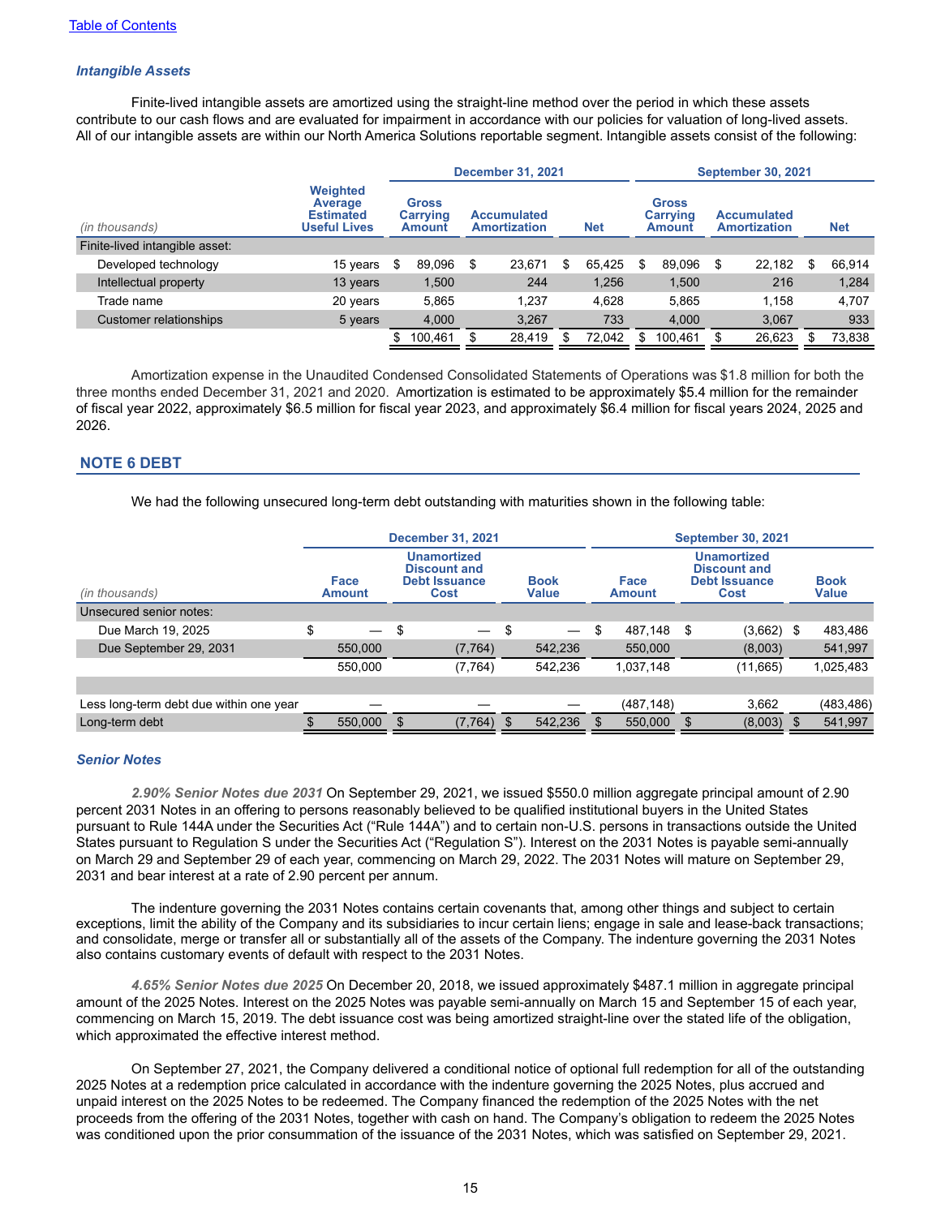### *Intangible Assets*

Finite-lived intangible assets are amortized using the straight-line method over the period in which these assets contribute to our cash flows and are evaluated for impairment in accordance with our policies for valuation of long-lived assets. All of our intangible assets are within our North America Solutions reportable segment. Intangible assets consist of the following:

|                                |                                                                       |                                           |   | <b>December 31, 2021</b>                  |   |            |   |                                           | <b>September 30, 2021</b>                 |   |            |
|--------------------------------|-----------------------------------------------------------------------|-------------------------------------------|---|-------------------------------------------|---|------------|---|-------------------------------------------|-------------------------------------------|---|------------|
| (in thousands)                 | <b>Weighted</b><br>Average<br><b>Estimated</b><br><b>Useful Lives</b> | <b>Gross</b><br><b>Carrying</b><br>Amount |   | <b>Accumulated</b><br><b>Amortization</b> |   | <b>Net</b> |   | <b>Gross</b><br><b>Carrying</b><br>Amount | <b>Accumulated</b><br><b>Amortization</b> |   | <b>Net</b> |
| Finite-lived intangible asset: |                                                                       |                                           |   |                                           |   |            |   |                                           |                                           |   |            |
| Developed technology           | 15 years                                                              | \$<br>89,096                              | S | 23.671                                    | S | 65.425     | S | 89.096                                    | \$<br>22,182                              | S | 66,914     |
| Intellectual property          | 13 years                                                              | 1.500                                     |   | 244                                       |   | 1.256      |   | 1.500                                     | 216                                       |   | 1,284      |
| Trade name                     | 20 years                                                              | 5.865                                     |   | 1.237                                     |   | 4.628      |   | 5.865                                     | 1.158                                     |   | 4.707      |
| Customer relationships         | 5 years                                                               | 4,000                                     |   | 3,267                                     |   | 733        |   | 4.000                                     | 3,067                                     |   | 933        |
|                                |                                                                       | 100.461                                   |   | 28,419                                    |   | 72.042     |   | 100.461                                   | 26,623                                    |   | 73,838     |

Amortization expense in the Unaudited Condensed Consolidated Statements of Operations was \$1.8 million for both the three months ended December 31, 2021 and 2020. Amortization is estimated to be approximately \$5.4 million for the remainder of fiscal year 2022, approximately \$6.5 million for fiscal year 2023, and approximately \$6.4 million for fiscal years 2024, 2025 and 2026.

### **NOTE 6 DEBT**

We had the following unsecured long-term debt outstanding with maturities shown in the following table:

|                                         |                                     |     | <b>December 31, 2021</b>                                                  |    |                               |                       |     | <b>September 30, 2021</b>                                                        |      |                             |
|-----------------------------------------|-------------------------------------|-----|---------------------------------------------------------------------------|----|-------------------------------|-----------------------|-----|----------------------------------------------------------------------------------|------|-----------------------------|
| (in thousands)                          | Face<br><b>Amount</b>               |     | <b>Unamortized</b><br><b>Discount and</b><br><b>Debt Issuance</b><br>Cost |    | <b>Book</b><br><b>Value</b>   | Face<br><b>Amount</b> |     | <b>Unamortized</b><br><b>Discount and</b><br><b>Debt Issuance</b><br><b>Cost</b> |      | <b>Book</b><br><b>Value</b> |
| Unsecured senior notes:                 |                                     |     |                                                                           |    |                               |                       |     |                                                                                  |      |                             |
| Due March 19, 2025                      | \$<br>$\overbrace{\phantom{13333}}$ | \$  |                                                                           | \$ | $\overbrace{\phantom{13333}}$ | \$<br>487,148         | \$. | (3,662)                                                                          | - \$ | 483,486                     |
| Due September 29, 2031                  | 550,000                             |     | (7, 764)                                                                  |    | 542,236                       | 550,000               |     | (8,003)                                                                          |      | 541,997                     |
|                                         | 550,000                             |     | (7, 764)                                                                  |    | 542.236                       | 1,037,148             |     | (11,665)                                                                         |      | 1,025,483                   |
|                                         |                                     |     |                                                                           |    |                               |                       |     |                                                                                  |      |                             |
| Less long-term debt due within one year |                                     |     |                                                                           |    |                               | (487, 148)            |     | 3,662                                                                            |      | (483, 486)                  |
| Long-term debt                          | 550,000                             | \$. | (7, 764)                                                                  | -S | 542,236                       | 550,000               | .S  | (8,003)                                                                          |      | 541,997                     |
|                                         |                                     |     |                                                                           |    |                               |                       |     |                                                                                  |      |                             |

### *Senior Notes*

*2.90% Senior Notes due 2031* On September 29, 2021, we issued \$550.0 million aggregate principal amount of 2.90 percent 2031 Notes in an offering to persons reasonably believed to be qualified institutional buyers in the United States pursuant to Rule 144A under the Securities Act ("Rule 144A") and to certain non-U.S. persons in transactions outside the United States pursuant to Regulation S under the Securities Act ("Regulation S"). Interest on the 2031 Notes is payable semi-annually on March 29 and September 29 of each year, commencing on March 29, 2022. The 2031 Notes will mature on September 29, 2031 and bear interest at a rate of 2.90 percent per annum.

The indenture governing the 2031 Notes contains certain covenants that, among other things and subject to certain exceptions, limit the ability of the Company and its subsidiaries to incur certain liens; engage in sale and lease-back transactions; and consolidate, merge or transfer all or substantially all of the assets of the Company. The indenture governing the 2031 Notes also contains customary events of default with respect to the 2031 Notes.

*4.65% Senior Notes due 2025* On December 20, 2018, we issued approximately \$487.1 million in aggregate principal amount of the 2025 Notes. Interest on the 2025 Notes was payable semi-annually on March 15 and September 15 of each year, commencing on March 15, 2019. The debt issuance cost was being amortized straight-line over the stated life of the obligation, which approximated the effective interest method.

On September 27, 2021, the Company delivered a conditional notice of optional full redemption for all of the outstanding 2025 Notes at a redemption price calculated in accordance with the indenture governing the 2025 Notes, plus accrued and unpaid interest on the 2025 Notes to be redeemed. The Company financed the redemption of the 2025 Notes with the net proceeds from the offering of the 2031 Notes, together with cash on hand. The Company's obligation to redeem the 2025 Notes was conditioned upon the prior consummation of the issuance of the 2031 Notes, which was satisfied on September 29, 2021.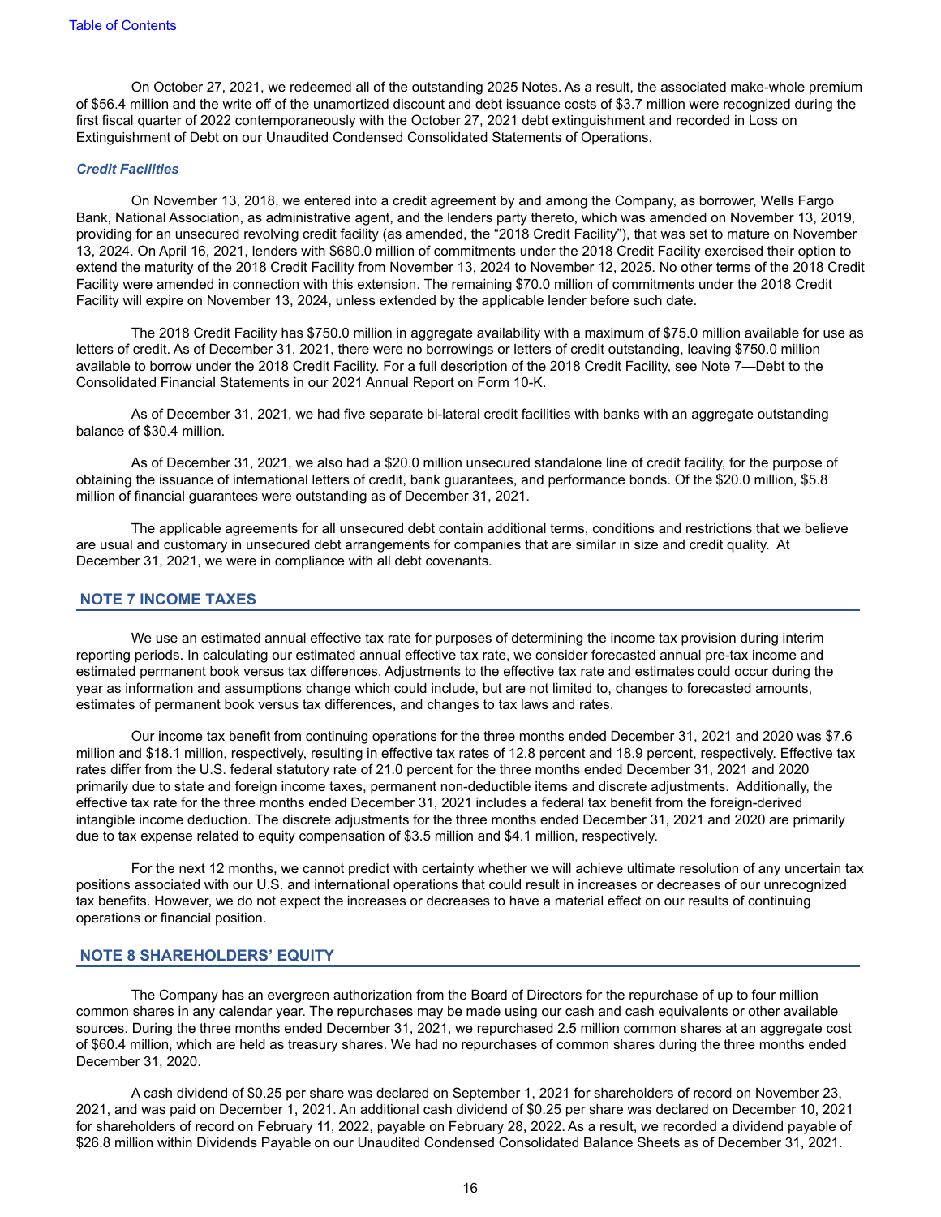On October 27, 2021, we redeemed all of the outstanding 2025 Notes. As a result, the associated make-whole premium of \$56.4 million and the write off of the unamortized discount and debt issuance costs of \$3.7 million were recognized during the first fiscal quarter of 2022 contemporaneously with the October 27, 2021 debt extinguishment and recorded in Loss on Extinguishment of Debt on our Unaudited Condensed Consolidated Statements of Operations.

#### *Credit Facilities*

On November 13, 2018, we entered into a credit agreement by and among the Company, as borrower, Wells Fargo Bank, National Association, as administrative agent, and the lenders party thereto, which was amended on November 13, 2019, providing for an unsecured revolving credit facility (as amended, the "2018 Credit Facility"), that was set to mature on November 13, 2024. On April 16, 2021, lenders with \$680.0 million of commitments under the 2018 Credit Facility exercised their option to extend the maturity of the 2018 Credit Facility from November 13, 2024 to November 12, 2025. No other terms of the 2018 Credit Facility were amended in connection with this extension. The remaining \$70.0 million of commitments under the 2018 Credit Facility will expire on November 13, 2024, unless extended by the applicable lender before such date.

The 2018 Credit Facility has \$750.0 million in aggregate availability with a maximum of \$75.0 million available for use as letters of credit. As of December 31, 2021, there were no borrowings or letters of credit outstanding, leaving \$750.0 million available to borrow under the 2018 Credit Facility. For a full description of the 2018 Credit Facility, see Note 7—Debt to the Consolidated Financial Statements in our 2021 Annual Report on Form 10-K.

As of December 31, 2021, we had five separate bi-lateral credit facilities with banks with an aggregate outstanding balance of \$30.4 million.

As of December 31, 2021, we also had a \$20.0 million unsecured standalone line of credit facility, for the purpose of obtaining the issuance of international letters of credit, bank guarantees, and performance bonds. Of the \$20.0 million, \$5.8 million of financial guarantees were outstanding as of December 31, 2021.

The applicable agreements for all unsecured debt contain additional terms, conditions and restrictions that we believe are usual and customary in unsecured debt arrangements for companies that are similar in size and credit quality. At December 31, 2021, we were in compliance with all debt covenants.

### **NOTE 7 INCOME TAXES**

We use an estimated annual effective tax rate for purposes of determining the income tax provision during interim reporting periods. In calculating our estimated annual effective tax rate, we consider forecasted annual pre-tax income and estimated permanent book versus tax differences. Adjustments to the effective tax rate and estimates could occur during the year as information and assumptions change which could include, but are not limited to, changes to forecasted amounts, estimates of permanent book versus tax differences, and changes to tax laws and rates.

Our income tax benefit from continuing operations for the three months ended December 31, 2021 and 2020 was \$7.6 million and \$18.1 million, respectively, resulting in effective tax rates of 12.8 percent and 18.9 percent, respectively. Effective tax rates differ from the U.S. federal statutory rate of 21.0 percent for the three months ended December 31, 2021 and 2020 primarily due to state and foreign income taxes, permanent non-deductible items and discrete adjustments. Additionally, the effective tax rate for the three months ended December 31, 2021 includes a federal tax benefit from the foreign-derived intangible income deduction. The discrete adjustments for the three months ended December 31, 2021 and 2020 are primarily due to tax expense related to equity compensation of \$3.5 million and \$4.1 million, respectively.

For the next 12 months, we cannot predict with certainty whether we will achieve ultimate resolution of any uncertain tax positions associated with our U.S. and international operations that could result in increases or decreases of our unrecognized tax benefits. However, we do not expect the increases or decreases to have a material effect on our results of continuing operations or financial position.

### **NOTE 8 SHAREHOLDERS' EQUITY**

The Company has an evergreen authorization from the Board of Directors for the repurchase of up to four million common shares in any calendar year. The repurchases may be made using our cash and cash equivalents or other available sources. During the three months ended December 31, 2021, we repurchased 2.5 million common shares at an aggregate cost of \$60.4 million, which are held as treasury shares. We had no repurchases of common shares during the three months ended December 31, 2020.

A cash dividend of \$0.25 per share was declared on September 1, 2021 for shareholders of record on November 23, 2021, and was paid on December 1, 2021. An additional cash dividend of \$0.25 per share was declared on December 10, 2021 for shareholders of record on February 11, 2022, payable on February 28, 2022. As a result, we recorded a dividend payable of \$26.8 million within Dividends Payable on our Unaudited Condensed Consolidated Balance Sheets as of December 31, 2021.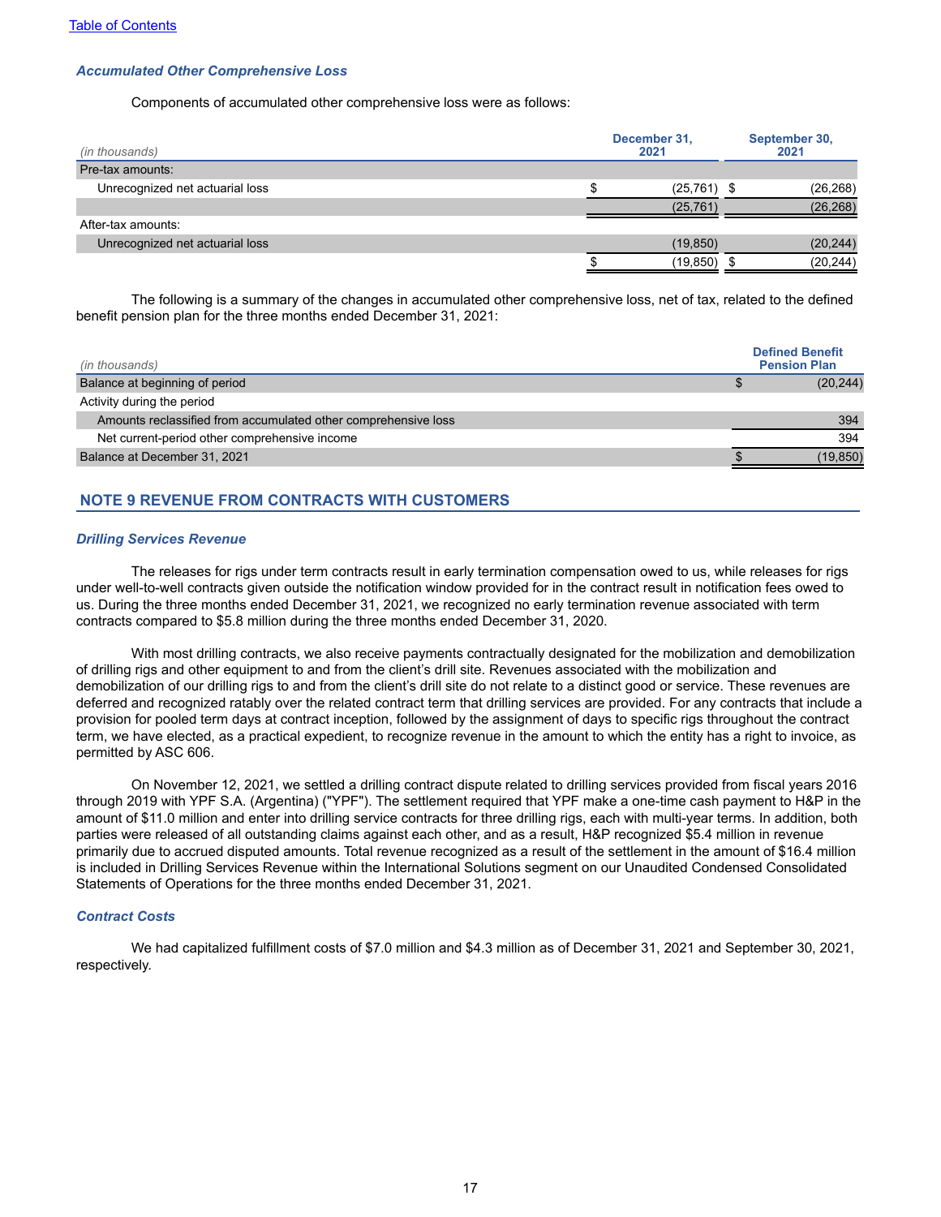#### *Accumulated Other Comprehensive Loss*

Components of accumulated other comprehensive loss were as follows:

| (in thousands)                  | December 31,<br>2021 | September 30,<br>2021 |
|---------------------------------|----------------------|-----------------------|
| Pre-tax amounts:                |                      |                       |
| Unrecognized net actuarial loss | $(25,761)$ \$        | (26, 268)             |
|                                 | (25, 761)            | (26, 268)             |
| After-tax amounts:              |                      |                       |
| Unrecognized net actuarial loss | (19, 850)            | (20, 244)             |
|                                 | (19, 850)            | (20, 244)             |

The following is a summary of the changes in accumulated other comprehensive loss, net of tax, related to the defined benefit pension plan for the three months ended December 31, 2021:

| (in thousands)                                                 | <b>Defined Benefit</b><br><b>Pension Plan</b> |
|----------------------------------------------------------------|-----------------------------------------------|
| Balance at beginning of period                                 | (20, 244)                                     |
| Activity during the period                                     |                                               |
| Amounts reclassified from accumulated other comprehensive loss | 394                                           |
| Net current-period other comprehensive income                  | 394                                           |
| Balance at December 31, 2021                                   | (19, 850)                                     |

## **NOTE 9 REVENUE FROM CONTRACTS WITH CUSTOMERS**

#### *Drilling Services Revenue*

The releases for rigs under term contracts result in early termination compensation owed to us, while releases for rigs under well-to-well contracts given outside the notification window provided for in the contract result in notification fees owed to us. During the three months ended December 31, 2021, we recognized no early termination revenue associated with term contracts compared to \$5.8 million during the three months ended December 31, 2020.

With most drilling contracts, we also receive payments contractually designated for the mobilization and demobilization of drilling rigs and other equipment to and from the client's drill site. Revenues associated with the mobilization and demobilization of our drilling rigs to and from the client's drill site do not relate to a distinct good or service. These revenues are deferred and recognized ratably over the related contract term that drilling services are provided. For any contracts that include a provision for pooled term days at contract inception, followed by the assignment of days to specific rigs throughout the contract term, we have elected, as a practical expedient, to recognize revenue in the amount to which the entity has a right to invoice, as permitted by ASC 606.

On November 12, 2021, we settled a drilling contract dispute related to drilling services provided from fiscal years 2016 through 2019 with YPF S.A. (Argentina) ("YPF"). The settlement required that YPF make a one-time cash payment to H&P in the amount of \$11.0 million and enter into drilling service contracts for three drilling rigs, each with multi-year terms. In addition, both parties were released of all outstanding claims against each other, and as a result, H&P recognized \$5.4 million in revenue primarily due to accrued disputed amounts. Total revenue recognized as a result of the settlement in the amount of \$16.4 million is included in Drilling Services Revenue within the International Solutions segment on our Unaudited Condensed Consolidated Statements of Operations for the three months ended December 31, 2021.

#### *Contract Costs*

We had capitalized fulfillment costs of \$7.0 million and \$4.3 million as of December 31, 2021 and September 30, 2021, respectively.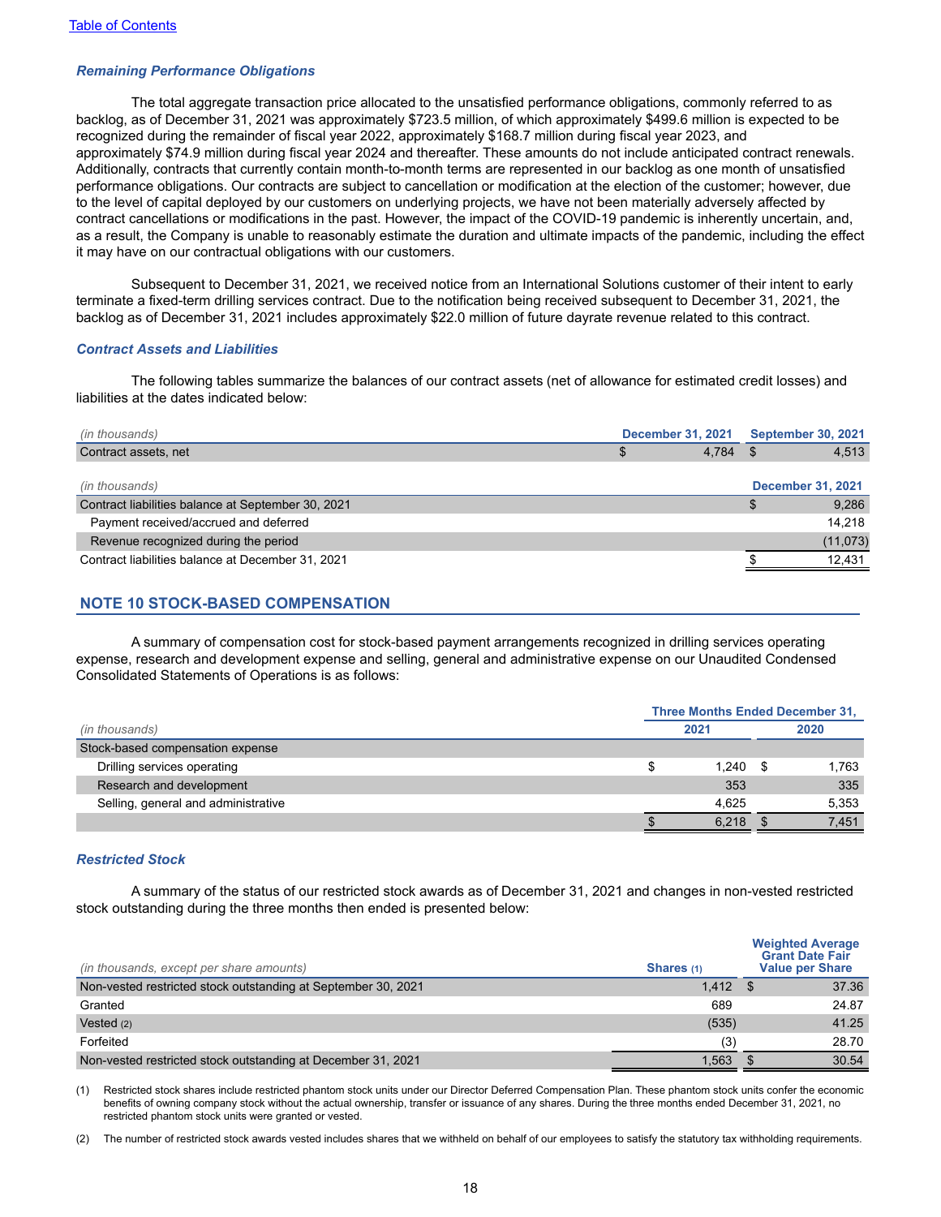#### *Remaining Performance Obligations*

The total aggregate transaction price allocated to the unsatisfied performance obligations, commonly referred to as backlog, as of December 31, 2021 was approximately \$723.5 million, of which approximately \$499.6 million is expected to be recognized during the remainder of fiscal year 2022, approximately \$168.7 million during fiscal year 2023, and approximately \$74.9 million during fiscal year 2024 and thereafter. These amounts do not include anticipated contract renewals. Additionally, contracts that currently contain month-to-month terms are represented in our backlog as one month of unsatisfied performance obligations. Our contracts are subject to cancellation or modification at the election of the customer; however, due to the level of capital deployed by our customers on underlying projects, we have not been materially adversely affected by contract cancellations or modifications in the past. However, the impact of the COVID-19 pandemic is inherently uncertain, and, as a result, the Company is unable to reasonably estimate the duration and ultimate impacts of the pandemic, including the effect it may have on our contractual obligations with our customers.

Subsequent to December 31, 2021, we received notice from an International Solutions customer of their intent to early terminate a fixed-term drilling services contract. Due to the notification being received subsequent to December 31, 2021, the backlog as of December 31, 2021 includes approximately \$22.0 million of future dayrate revenue related to this contract.

#### *Contract Assets and Liabilities*

The following tables summarize the balances of our contract assets (net of allowance for estimated credit losses) and liabilities at the dates indicated below:

| (in thousands)                                     | <b>December 31, 2021</b> |       | <b>September 30, 2021</b> |           |
|----------------------------------------------------|--------------------------|-------|---------------------------|-----------|
| Contract assets, net                               |                          | 4.784 |                           | 4,513     |
|                                                    |                          |       |                           |           |
| (in thousands)                                     |                          |       | <b>December 31, 2021</b>  |           |
| Contract liabilities balance at September 30, 2021 |                          |       |                           | 9,286     |
| Payment received/accrued and deferred              |                          |       |                           | 14.218    |
| Revenue recognized during the period               |                          |       |                           | (11, 073) |
| Contract liabilities balance at December 31, 2021  |                          |       |                           | 12,431    |
|                                                    |                          |       |                           |           |

## **NOTE 10 STOCK-BASED COMPENSATION**

A summary of compensation cost for stock-based payment arrangements recognized in drilling services operating expense, research and development expense and selling, general and administrative expense on our Unaudited Condensed Consolidated Statements of Operations is as follows:

|                                     |  | <b>Three Months Ended December 31,</b> |  |       |  |
|-------------------------------------|--|----------------------------------------|--|-------|--|
| (in thousands)                      |  | 2021                                   |  | 2020  |  |
| Stock-based compensation expense    |  |                                        |  |       |  |
| Drilling services operating         |  | 1.240                                  |  | 1.763 |  |
| Research and development            |  | 353                                    |  | 335   |  |
| Selling, general and administrative |  | 4.625                                  |  | 5.353 |  |
|                                     |  | 6,218                                  |  | 7.451 |  |

#### *Restricted Stock*

A summary of the status of our restricted stock awards as of December 31, 2021 and changes in non-vested restricted stock outstanding during the three months then ended is presented below:

| (in thousands, except per share amounts)                      | Shares (1) | <b>Weighted Average</b><br><b>Grant Date Fair</b><br><b>Value per Share</b> |
|---------------------------------------------------------------|------------|-----------------------------------------------------------------------------|
| Non-vested restricted stock outstanding at September 30, 2021 | 1.412      | 37.36                                                                       |
| Granted                                                       | 689        | 24.87                                                                       |
| Vested $(2)$                                                  | (535)      | 41.25                                                                       |
| Forfeited                                                     | (3)        | 28.70                                                                       |
| Non-vested restricted stock outstanding at December 31, 2021  | 1,563      | 30.54                                                                       |

(1) Restricted stock shares include restricted phantom stock units under our Director Deferred Compensation Plan. These phantom stock units confer the economic benefits of owning company stock without the actual ownership, transfer or issuance of any shares. During the three months ended December 31, 2021, no restricted phantom stock units were granted or vested.

(2) The number of restricted stock awards vested includes shares that we withheld on behalf of our employees to satisfy the statutory tax withholding requirements.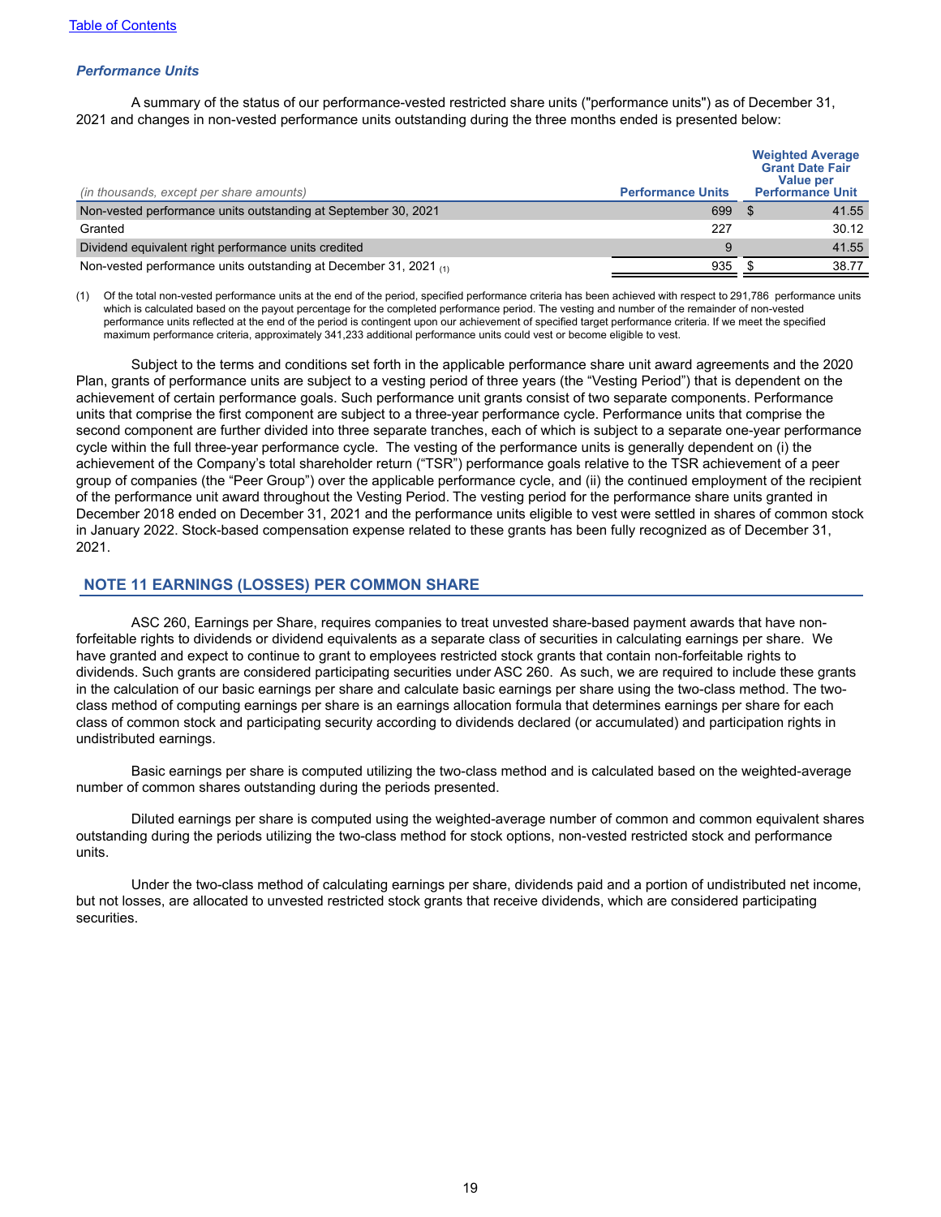## *Performance Units*

A summary of the status of our performance-vested restricted share units ("performance units") as of December 31, 2021 and changes in non-vested performance units outstanding during the three months ended is presented below:

| (in thousands, except per share amounts)                               | <b>Performance Units</b> | <b>Weighted Average</b><br><b>Grant Date Fair</b><br><b>Value per</b><br><b>Performance Unit</b> |
|------------------------------------------------------------------------|--------------------------|--------------------------------------------------------------------------------------------------|
| Non-vested performance units outstanding at September 30, 2021         | 699                      | 41.55                                                                                            |
| Granted                                                                | 227                      | 30.12                                                                                            |
| Dividend equivalent right performance units credited                   | q                        | 41.55                                                                                            |
| Non-vested performance units outstanding at December 31, 2021 $_{(1)}$ | 935                      | 38.77                                                                                            |

(1) Of the total non-vested performance units at the end of the period, specified performance criteria has been achieved with respect to 291,786 performance units which is calculated based on the payout percentage for the completed performance period. The vesting and number of the remainder of non-vested performance units reflected at the end of the period is contingent upon our achievement of specified target performance criteria. If we meet the specified maximum performance criteria, approximately 341,233 additional performance units could vest or become eligible to vest.

Subject to the terms and conditions set forth in the applicable performance share unit award agreements and the 2020 Plan, grants of performance units are subject to a vesting period of three years (the "Vesting Period") that is dependent on the achievement of certain performance goals. Such performance unit grants consist of two separate components. Performance units that comprise the first component are subject to a three-year performance cycle. Performance units that comprise the second component are further divided into three separate tranches, each of which is subject to a separate one-year performance cycle within the full three-year performance cycle. The vesting of the performance units is generally dependent on (i) the achievement of the Company's total shareholder return ("TSR") performance goals relative to the TSR achievement of a peer group of companies (the "Peer Group") over the applicable performance cycle, and (ii) the continued employment of the recipient of the performance unit award throughout the Vesting Period. The vesting period for the performance share units granted in December 2018 ended on December 31, 2021 and the performance units eligible to vest were settled in shares of common stock in January 2022. Stock-based compensation expense related to these grants has been fully recognized as of December 31, 2021.

## **NOTE 11 EARNINGS (LOSSES) PER COMMON SHARE**

ASC 260, Earnings per Share, requires companies to treat unvested share-based payment awards that have nonforfeitable rights to dividends or dividend equivalents as a separate class of securities in calculating earnings per share. We have granted and expect to continue to grant to employees restricted stock grants that contain non-forfeitable rights to dividends. Such grants are considered participating securities under ASC 260. As such, we are required to include these grants in the calculation of our basic earnings per share and calculate basic earnings per share using the two-class method. The twoclass method of computing earnings per share is an earnings allocation formula that determines earnings per share for each class of common stock and participating security according to dividends declared (or accumulated) and participation rights in undistributed earnings.

Basic earnings per share is computed utilizing the two-class method and is calculated based on the weighted-average number of common shares outstanding during the periods presented.

Diluted earnings per share is computed using the weighted-average number of common and common equivalent shares outstanding during the periods utilizing the two-class method for stock options, non-vested restricted stock and performance units.

Under the two-class method of calculating earnings per share, dividends paid and a portion of undistributed net income, but not losses, are allocated to unvested restricted stock grants that receive dividends, which are considered participating securities.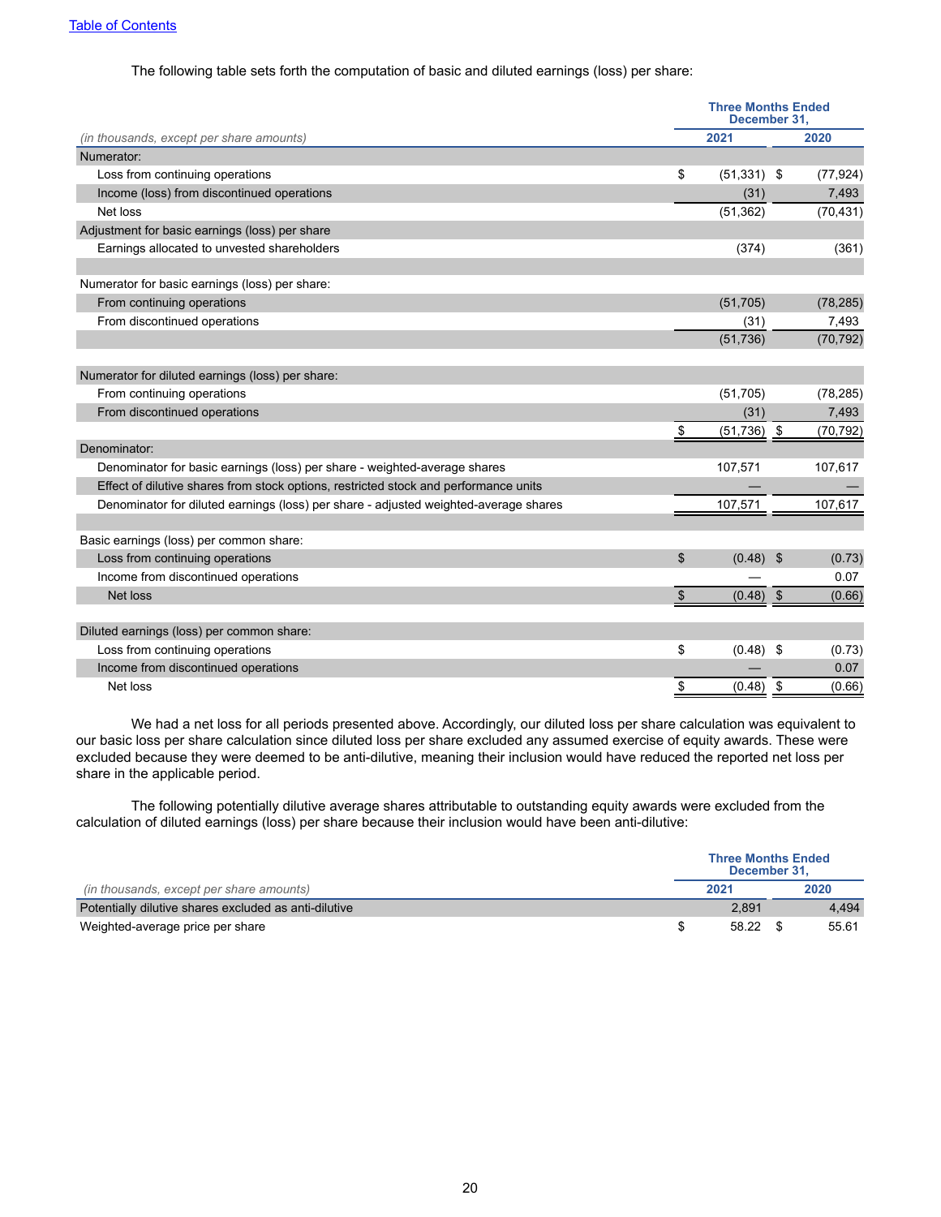### The following table sets forth the computation of basic and diluted earnings (loss) per share:

|                                                                                      |               | <b>Three Months Ended</b><br>December 31, |      |           |
|--------------------------------------------------------------------------------------|---------------|-------------------------------------------|------|-----------|
| (in thousands, except per share amounts)                                             |               | 2021                                      |      | 2020      |
| Numerator:                                                                           |               |                                           |      |           |
| Loss from continuing operations                                                      | \$            | $(51,331)$ \$                             |      | (77, 924) |
| Income (loss) from discontinued operations                                           |               | (31)                                      |      | 7,493     |
| Net loss                                                                             |               | (51, 362)                                 |      | (70, 431) |
| Adjustment for basic earnings (loss) per share                                       |               |                                           |      |           |
| Earnings allocated to unvested shareholders                                          |               | (374)                                     |      | (361)     |
| Numerator for basic earnings (loss) per share:                                       |               |                                           |      |           |
| From continuing operations                                                           |               | (51, 705)                                 |      | (78, 285) |
| From discontinued operations                                                         |               | (31)                                      |      | 7,493     |
|                                                                                      |               | (51, 736)                                 |      | (70, 792) |
|                                                                                      |               |                                           |      |           |
| Numerator for diluted earnings (loss) per share:                                     |               |                                           |      |           |
| From continuing operations                                                           |               | (51,705)                                  |      | (78, 285) |
| From discontinued operations                                                         |               | (31)                                      |      | 7,493     |
|                                                                                      | \$            | (51, 736)                                 | \$   | (70, 792) |
| Denominator:                                                                         |               |                                           |      |           |
| Denominator for basic earnings (loss) per share - weighted-average shares            |               | 107,571                                   |      | 107,617   |
| Effect of dilutive shares from stock options, restricted stock and performance units |               |                                           |      |           |
| Denominator for diluted earnings (loss) per share - adjusted weighted-average shares |               | 107,571                                   |      | 107,617   |
|                                                                                      |               |                                           |      |           |
| Basic earnings (loss) per common share:                                              |               |                                           |      |           |
| Loss from continuing operations                                                      | \$            | (0.48)                                    | - \$ | (0.73)    |
| Income from discontinued operations                                                  |               |                                           |      | 0.07      |
| Net loss                                                                             | \$            | (0.48)                                    | \$   | (0.66)    |
| Diluted earnings (loss) per common share:                                            |               |                                           |      |           |
| Loss from continuing operations                                                      | \$            | (0.48)                                    | -\$  | (0.73)    |
| Income from discontinued operations                                                  |               |                                           |      | 0.07      |
| Net loss                                                                             | $\frac{1}{2}$ | (0.48)                                    | \$   | (0.66)    |
|                                                                                      |               |                                           |      |           |

We had a net loss for all periods presented above. Accordingly, our diluted loss per share calculation was equivalent to our basic loss per share calculation since diluted loss per share excluded any assumed exercise of equity awards. These were excluded because they were deemed to be anti-dilutive, meaning their inclusion would have reduced the reported net loss per share in the applicable period.

The following potentially dilutive average shares attributable to outstanding equity awards were excluded from the calculation of diluted earnings (loss) per share because their inclusion would have been anti-dilutive:

|                                                       | <b>Three Months Ended</b><br>December 31. |       |
|-------------------------------------------------------|-------------------------------------------|-------|
| (in thousands, except per share amounts)              | 2021                                      | 2020  |
| Potentially dilutive shares excluded as anti-dilutive | 2.891                                     | 4.494 |
| Weighted-average price per share                      | 58.22                                     | 55.61 |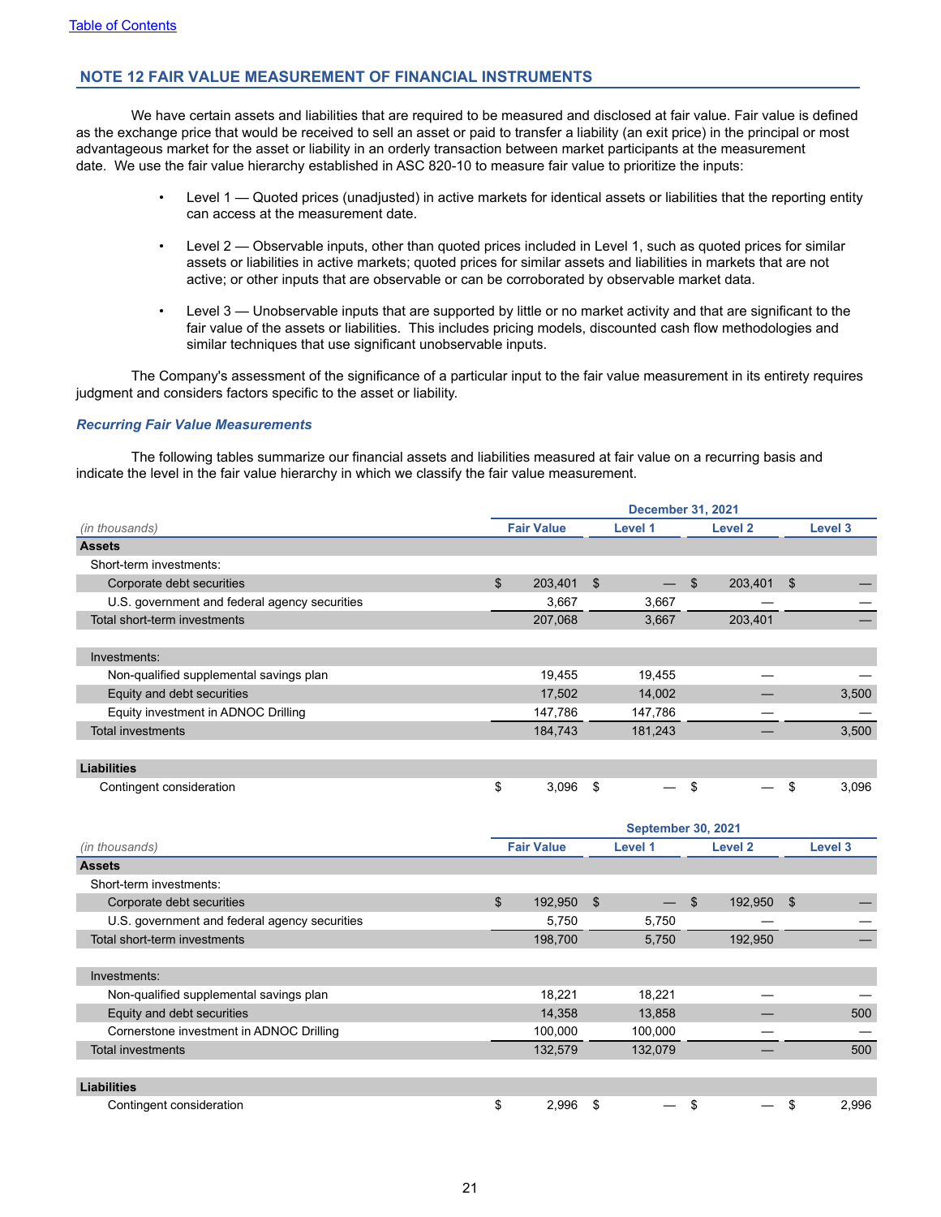## **NOTE 12 FAIR VALUE MEASUREMENT OF FINANCIAL INSTRUMENTS**

We have certain assets and liabilities that are required to be measured and disclosed at fair value. Fair value is defined as the exchange price that would be received to sell an asset or paid to transfer a liability (an exit price) in the principal or most advantageous market for the asset or liability in an orderly transaction between market participants at the measurement date. We use the fair value hierarchy established in ASC 820-10 to measure fair value to prioritize the inputs:

- Level 1 Quoted prices (unadjusted) in active markets for identical assets or liabilities that the reporting entity can access at the measurement date.
- Level 2 Observable inputs, other than quoted prices included in Level 1, such as quoted prices for similar assets or liabilities in active markets; quoted prices for similar assets and liabilities in markets that are not active; or other inputs that are observable or can be corroborated by observable market data.
- Level 3 Unobservable inputs that are supported by little or no market activity and that are significant to the fair value of the assets or liabilities. This includes pricing models, discounted cash flow methodologies and similar techniques that use significant unobservable inputs.

The Company's assessment of the significance of a particular input to the fair value measurement in its entirety requires judgment and considers factors specific to the asset or liability.

### *Recurring Fair Value Measurements*

The following tables summarize our financial assets and liabilities measured at fair value on a recurring basis and indicate the level in the fair value hierarchy in which we classify the fair value measurement.

|                                               |                |                   |                | <b>December 31, 2021</b>  |                |                    |             |
|-----------------------------------------------|----------------|-------------------|----------------|---------------------------|----------------|--------------------|-------------|
| (in thousands)                                |                | <b>Fair Value</b> |                | Level 1                   |                | Level <sub>2</sub> | Level 3     |
| <b>Assets</b>                                 |                |                   |                |                           |                |                    |             |
| Short-term investments:                       |                |                   |                |                           |                |                    |             |
| Corporate debt securities                     | \$             | 203,401           | $\mathfrak{S}$ | $\overline{\phantom{0}}$  | $\mathfrak{S}$ | 203,401            | \$          |
| U.S. government and federal agency securities |                | 3,667             |                | 3,667                     |                |                    |             |
| Total short-term investments                  |                | 207,068           |                | 3,667                     |                | 203,401            |             |
| Investments:                                  |                |                   |                |                           |                |                    |             |
| Non-qualified supplemental savings plan       |                | 19,455            |                | 19,455                    |                |                    |             |
| Equity and debt securities                    |                | 17,502            |                | 14,002                    |                |                    | 3,500       |
| Equity investment in ADNOC Drilling           |                | 147,786           |                | 147,786                   |                |                    |             |
| <b>Total investments</b>                      |                | 184,743           |                | 181,243                   |                |                    | 3,500       |
|                                               |                |                   |                |                           |                |                    |             |
| <b>Liabilities</b>                            |                |                   |                |                           |                |                    |             |
| Contingent consideration                      | \$             | 3,096             | \$             |                           | \$             |                    | \$<br>3,096 |
|                                               |                |                   |                |                           |                |                    |             |
|                                               |                |                   |                | <b>September 30, 2021</b> |                |                    |             |
| (in thousands)                                |                | <b>Fair Value</b> |                | Level 1                   |                | Level <sub>2</sub> | Level 3     |
| <b>Assets</b>                                 |                |                   |                |                           |                |                    |             |
| Short-term investments:                       |                |                   |                |                           |                |                    |             |
| Corporate debt securities                     | $\mathfrak{S}$ | 192,950           | $\mathfrak{F}$ | $\overline{\phantom{0}}$  | $\mathfrak{S}$ | 192,950            | \$          |
| U.S. government and federal agency securities |                | 5,750             |                | 5,750                     |                |                    |             |
| Total short-term investments                  |                | 198,700           |                | 5,750                     |                | 192,950            |             |
|                                               |                |                   |                |                           |                |                    |             |
| Investments:                                  |                |                   |                |                           |                |                    |             |
| Non-qualified supplemental savings plan       |                | 18,221            |                | 18,221                    |                |                    |             |
| Equity and debt securities                    |                | 14,358            |                | 13,858                    |                |                    | 500         |
| Cornerstone investment in ADNOC Drilling      |                | 100,000           |                | 100,000                   |                |                    |             |
| <b>Total investments</b>                      |                | 132,579           |                | 132,079                   |                |                    | 500         |
| <b>Liabilities</b>                            |                |                   |                |                           |                |                    |             |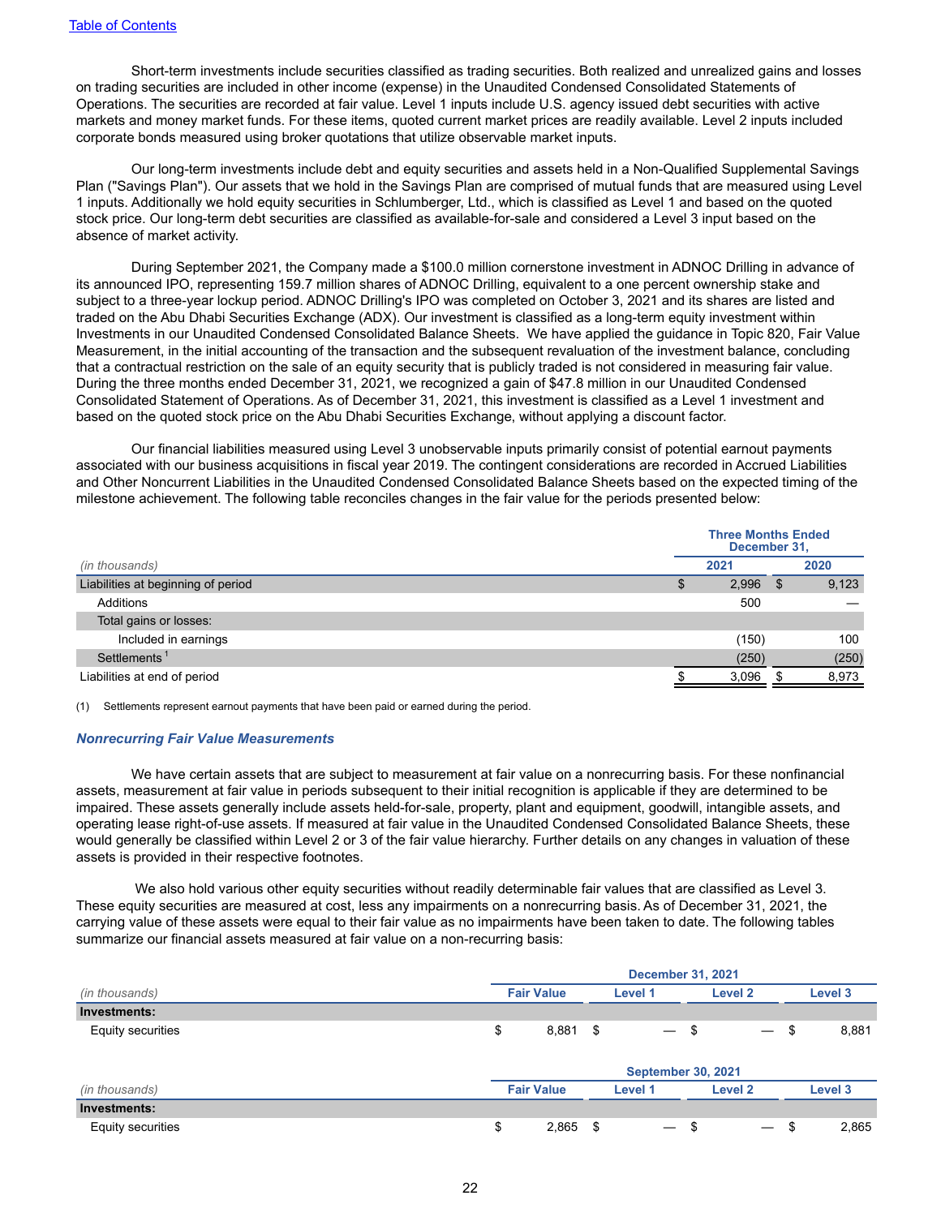Short-term investments include securities classified as trading securities. Both realized and unrealized gains and losses on trading securities are included in other income (expense) in the Unaudited Condensed Consolidated Statements of Operations. The securities are recorded at fair value. Level 1 inputs include U.S. agency issued debt securities with active markets and money market funds. For these items, quoted current market prices are readily available. Level 2 inputs included corporate bonds measured using broker quotations that utilize observable market inputs.

Our long-term investments include debt and equity securities and assets held in a Non-Qualified Supplemental Savings Plan ("Savings Plan"). Our assets that we hold in the Savings Plan are comprised of mutual funds that are measured using Level 1 inputs. Additionally we hold equity securities in Schlumberger, Ltd., which is classified as Level 1 and based on the quoted stock price. Our long-term debt securities are classified as available-for-sale and considered a Level 3 input based on the absence of market activity.

During September 2021, the Company made a \$100.0 million cornerstone investment in ADNOC Drilling in advance of its announced IPO, representing 159.7 million shares of ADNOC Drilling, equivalent to a one percent ownership stake and subject to a three-year lockup period. ADNOC Drilling's IPO was completed on October 3, 2021 and its shares are listed and traded on the Abu Dhabi Securities Exchange (ADX). Our investment is classified as a long-term equity investment within Investments in our Unaudited Condensed Consolidated Balance Sheets. We have applied the guidance in Topic 820, Fair Value Measurement, in the initial accounting of the transaction and the subsequent revaluation of the investment balance, concluding that a contractual restriction on the sale of an equity security that is publicly traded is not considered in measuring fair value. During the three months ended December 31, 2021, we recognized a gain of \$47.8 million in our Unaudited Condensed Consolidated Statement of Operations. As of December 31, 2021, this investment is classified as a Level 1 investment and based on the quoted stock price on the Abu Dhabi Securities Exchange, without applying a discount factor.

Our financial liabilities measured using Level 3 unobservable inputs primarily consist of potential earnout payments associated with our business acquisitions in fiscal year 2019. The contingent considerations are recorded in Accrued Liabilities and Other Noncurrent Liabilities in the Unaudited Condensed Consolidated Balance Sheets based on the expected timing of the milestone achievement. The following table reconciles changes in the fair value for the periods presented below:

| 2020<br>2021<br>(in thousands)<br>Liabilities at beginning of period<br>2,996 |       |
|-------------------------------------------------------------------------------|-------|
|                                                                               |       |
|                                                                               | 9,123 |
| 500<br>Additions                                                              |       |
| Total gains or losses:                                                        |       |
| Included in earnings<br>(150)                                                 | 100   |
| Settlements <sup>1</sup><br>(250)                                             | (250) |
| Liabilities at end of period<br>3,096                                         | 8,973 |

(1) Settlements represent earnout payments that have been paid or earned during the period.

#### *Nonrecurring Fair Value Measurements*

We have certain assets that are subject to measurement at fair value on a nonrecurring basis. For these nonfinancial assets, measurement at fair value in periods subsequent to their initial recognition is applicable if they are determined to be impaired. These assets generally include assets held-for-sale, property, plant and equipment, goodwill, intangible assets, and operating lease right-of-use assets. If measured at fair value in the Unaudited Condensed Consolidated Balance Sheets, these would generally be classified within Level 2 or 3 of the fair value hierarchy. Further details on any changes in valuation of these assets is provided in their respective footnotes.

 We also hold various other equity securities without readily determinable fair values that are classified as Level 3. These equity securities are measured at cost, less any impairments on a nonrecurring basis. As of December 31, 2021, the carrying value of these assets were equal to their fair value as no impairments have been taken to date. The following tables summarize our financial assets measured at fair value on a non-recurring basis:

|                   |                   | <b>December 31, 2021</b> |                                  |             |  |  |  |  |  |  |  |
|-------------------|-------------------|--------------------------|----------------------------------|-------------|--|--|--|--|--|--|--|
| (in thousands)    | <b>Fair Value</b> | <b>Level 1</b>           | Level 2                          | Level 3     |  |  |  |  |  |  |  |
| Investments:      |                   |                          |                                  |             |  |  |  |  |  |  |  |
| Equity securities | 8,881<br>\$       | - \$                     | — \$                             | 8,881<br>\$ |  |  |  |  |  |  |  |
|                   |                   |                          |                                  |             |  |  |  |  |  |  |  |
|                   |                   |                          | <b>September 30, 2021</b>        |             |  |  |  |  |  |  |  |
| (in thousands)    | <b>Fair Value</b> | Level 1                  | Level 2                          | Level 3     |  |  |  |  |  |  |  |
| Investments:      |                   |                          |                                  |             |  |  |  |  |  |  |  |
| Equity securities | \$<br>2,865       | - \$                     | - \$<br>$\overline{\phantom{0}}$ | 2,865<br>\$ |  |  |  |  |  |  |  |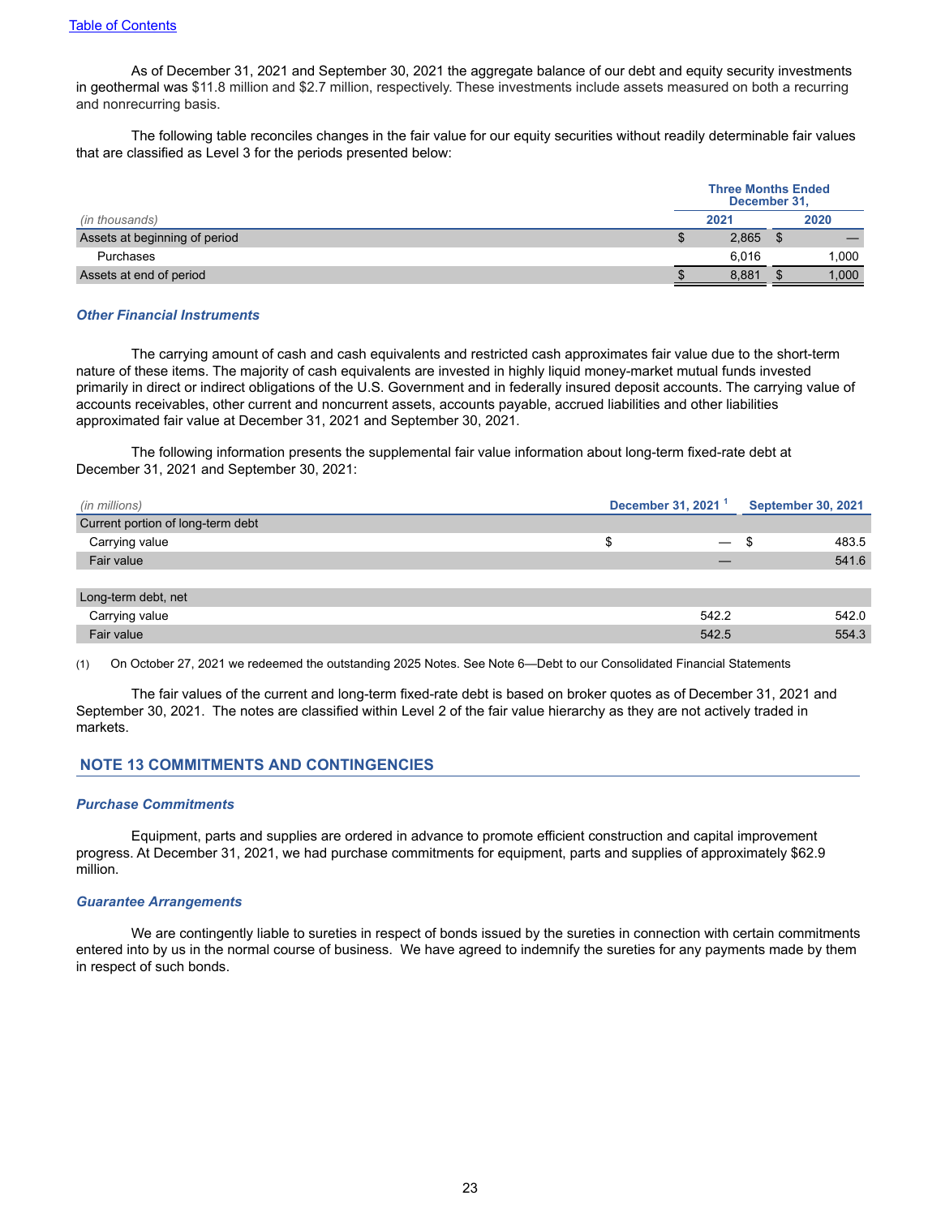As of December 31, 2021 and September 30, 2021 the aggregate balance of our debt and equity security investments in geothermal was \$11.8 million and \$2.7 million, respectively. These investments include assets measured on both a recurring and nonrecurring basis.

The following table reconciles changes in the fair value for our equity securities without readily determinable fair values that are classified as Level 3 for the periods presented below:

|                               | <b>Three Months Ended</b><br>December 31, |       |  |       |
|-------------------------------|-------------------------------------------|-------|--|-------|
| (in thousands)                |                                           | 2021  |  | 2020  |
| Assets at beginning of period |                                           | 2,865 |  |       |
| Purchases                     |                                           | 6.016 |  | 1.000 |
| Assets at end of period       |                                           | 8.881 |  | 1.000 |

#### *Other Financial Instruments*

The carrying amount of cash and cash equivalents and restricted cash approximates fair value due to the short-term nature of these items. The majority of cash equivalents are invested in highly liquid money-market mutual funds invested primarily in direct or indirect obligations of the U.S. Government and in federally insured deposit accounts. The carrying value of accounts receivables, other current and noncurrent assets, accounts payable, accrued liabilities and other liabilities approximated fair value at December 31, 2021 and September 30, 2021.

The following information presents the supplemental fair value information about long-term fixed-rate debt at December 31, 2021 and September 30, 2021:

| (in millions)                     | December 31, 2021 <sup>1</sup> |                          | <b>September 30, 2021</b> |  |
|-----------------------------------|--------------------------------|--------------------------|---------------------------|--|
| Current portion of long-term debt |                                |                          |                           |  |
| Carrying value                    | S                              | $\overline{\phantom{0}}$ | 483.5<br>- 35             |  |
| Fair value                        |                                |                          | 541.6                     |  |
|                                   |                                |                          |                           |  |
| Long-term debt, net               |                                |                          |                           |  |
| Carrying value                    |                                | 542.2                    | 542.0                     |  |
| Fair value                        |                                | 542.5                    | 554.3                     |  |

(1) On October 27, 2021 we redeemed the outstanding 2025 Notes. See Note 6—Debt to our Consolidated Financial Statements

The fair values of the current and long-term fixed-rate debt is based on broker quotes as of December 31, 2021 and September 30, 2021. The notes are classified within Level 2 of the fair value hierarchy as they are not actively traded in markets.

## **NOTE 13 COMMITMENTS AND CONTINGENCIES**

#### *Purchase Commitments*

Equipment, parts and supplies are ordered in advance to promote efficient construction and capital improvement progress. At December 31, 2021, we had purchase commitments for equipment, parts and supplies of approximately \$62.9 million.

#### *Guarantee Arrangements*

We are contingently liable to sureties in respect of bonds issued by the sureties in connection with certain commitments entered into by us in the normal course of business. We have agreed to indemnify the sureties for any payments made by them in respect of such bonds.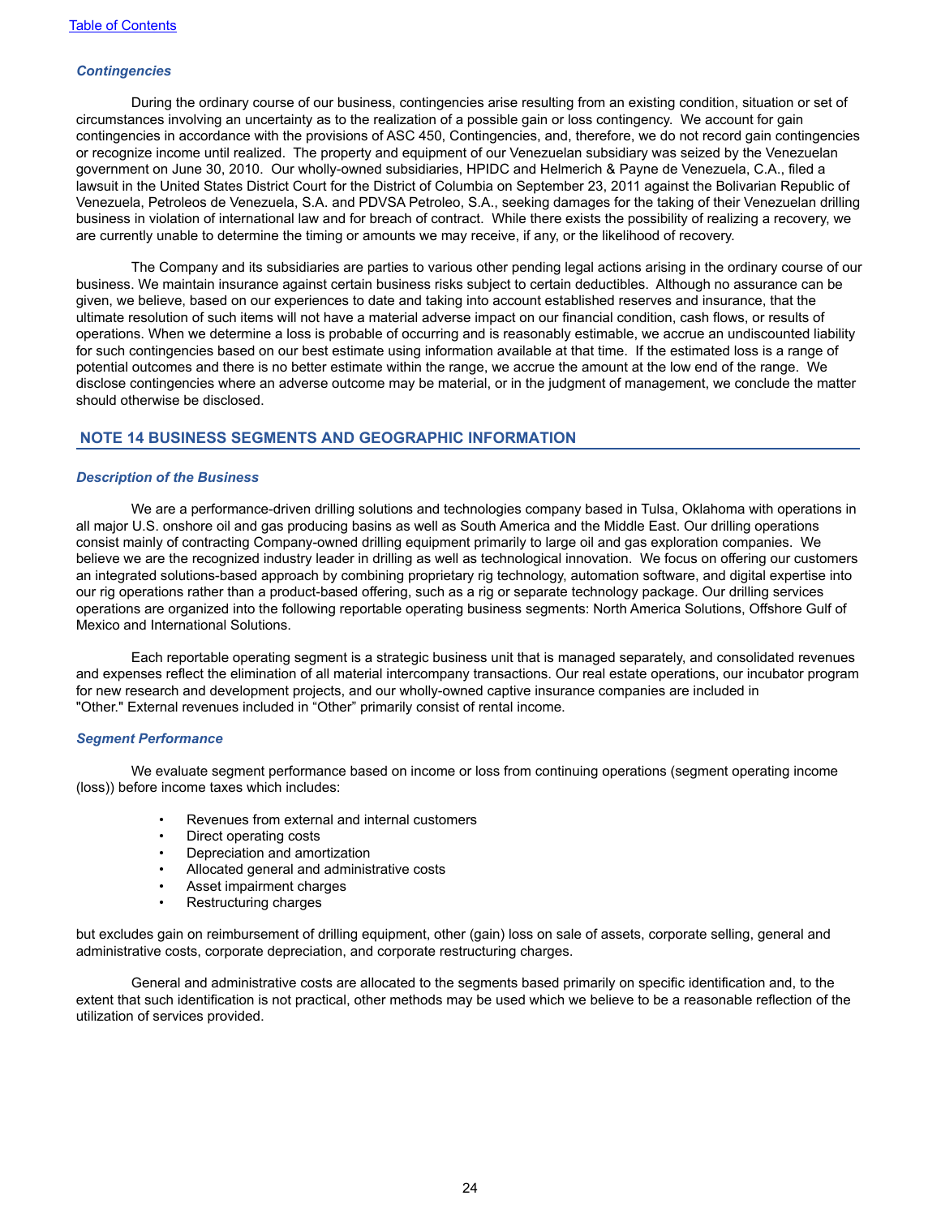#### *Contingencies*

During the ordinary course of our business, contingencies arise resulting from an existing condition, situation or set of circumstances involving an uncertainty as to the realization of a possible gain or loss contingency. We account for gain contingencies in accordance with the provisions of ASC 450, Contingencies, and, therefore, we do not record gain contingencies or recognize income until realized. The property and equipment of our Venezuelan subsidiary was seized by the Venezuelan government on June 30, 2010. Our wholly-owned subsidiaries, HPIDC and Helmerich & Payne de Venezuela, C.A., filed a lawsuit in the United States District Court for the District of Columbia on September 23, 2011 against the Bolivarian Republic of Venezuela, Petroleos de Venezuela, S.A. and PDVSA Petroleo, S.A., seeking damages for the taking of their Venezuelan drilling business in violation of international law and for breach of contract. While there exists the possibility of realizing a recovery, we are currently unable to determine the timing or amounts we may receive, if any, or the likelihood of recovery.

The Company and its subsidiaries are parties to various other pending legal actions arising in the ordinary course of our business. We maintain insurance against certain business risks subject to certain deductibles. Although no assurance can be given, we believe, based on our experiences to date and taking into account established reserves and insurance, that the ultimate resolution of such items will not have a material adverse impact on our financial condition, cash flows, or results of operations. When we determine a loss is probable of occurring and is reasonably estimable, we accrue an undiscounted liability for such contingencies based on our best estimate using information available at that time. If the estimated loss is a range of potential outcomes and there is no better estimate within the range, we accrue the amount at the low end of the range. We disclose contingencies where an adverse outcome may be material, or in the judgment of management, we conclude the matter should otherwise be disclosed.

### **NOTE 14 BUSINESS SEGMENTS AND GEOGRAPHIC INFORMATION**

#### *Description of the Business*

We are a performance-driven drilling solutions and technologies company based in Tulsa, Oklahoma with operations in all major U.S. onshore oil and gas producing basins as well as South America and the Middle East. Our drilling operations consist mainly of contracting Company-owned drilling equipment primarily to large oil and gas exploration companies. We believe we are the recognized industry leader in drilling as well as technological innovation. We focus on offering our customers an integrated solutions-based approach by combining proprietary rig technology, automation software, and digital expertise into our rig operations rather than a product-based offering, such as a rig or separate technology package. Our drilling services operations are organized into the following reportable operating business segments: North America Solutions, Offshore Gulf of Mexico and International Solutions.

Each reportable operating segment is a strategic business unit that is managed separately, and consolidated revenues and expenses reflect the elimination of all material intercompany transactions. Our real estate operations, our incubator program for new research and development projects, and our wholly-owned captive insurance companies are included in "Other." External revenues included in "Other" primarily consist of rental income.

#### *Segment Performance*

We evaluate segment performance based on income or loss from continuing operations (segment operating income (loss)) before income taxes which includes:

- Revenues from external and internal customers
- Direct operating costs
- Depreciation and amortization
- Allocated general and administrative costs
- Asset impairment charges
- Restructuring charges

but excludes gain on reimbursement of drilling equipment, other (gain) loss on sale of assets, corporate selling, general and administrative costs, corporate depreciation, and corporate restructuring charges.

General and administrative costs are allocated to the segments based primarily on specific identification and, to the extent that such identification is not practical, other methods may be used which we believe to be a reasonable reflection of the utilization of services provided.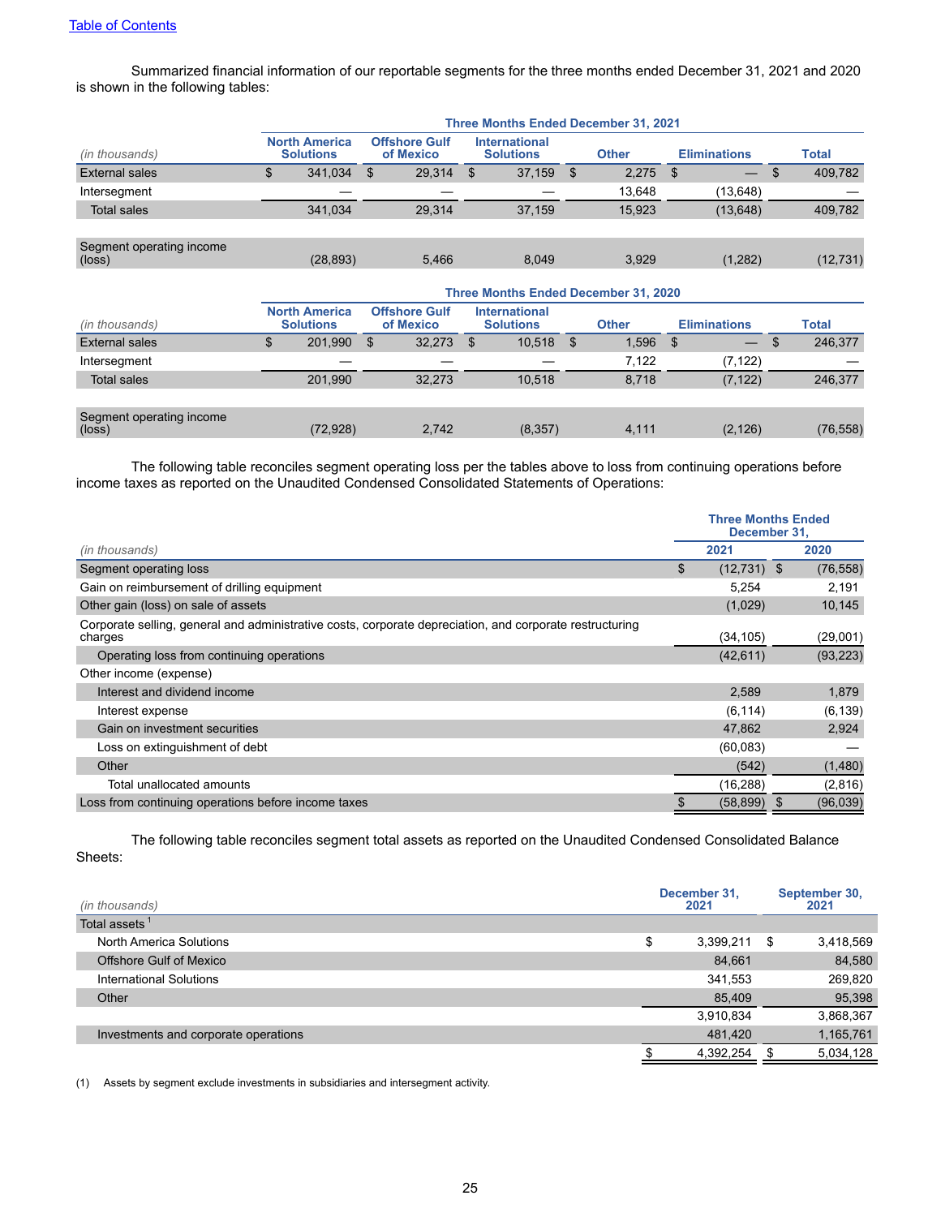Summarized financial information of our reportable segments for the three months ended December 31, 2021 and 2020 is shown in the following tables:

| <b>Three Months Ended December 31, 2021</b> |           |                                          |        |                                   |        |                                          |              |  |           |                     |              |
|---------------------------------------------|-----------|------------------------------------------|--------|-----------------------------------|--------|------------------------------------------|--------------|--|-----------|---------------------|--------------|
|                                             |           |                                          |        |                                   |        |                                          | <b>Other</b> |  |           |                     | <b>Total</b> |
| \$                                          | 341,034   | $\mathfrak{S}$                           | 29.314 | \$.                               | 37,159 | S.                                       | 2.275        |  |           | \$                  | 409,782      |
|                                             |           |                                          |        |                                   |        |                                          | 13.648       |  | (13, 648) |                     |              |
|                                             | 341.034   |                                          | 29.314 |                                   | 37,159 |                                          | 15.923       |  | (13, 648) |                     | 409,782      |
|                                             |           |                                          |        |                                   |        |                                          |              |  |           |                     |              |
|                                             | (28, 893) |                                          | 5.466  |                                   | 8.049  |                                          | 3.929        |  | (1,282)   |                     | (12, 731)    |
|                                             |           | <b>North America</b><br><b>Solutions</b> |        | <b>Offshore Gulf</b><br>of Mexico |        | <b>International</b><br><b>Solutions</b> |              |  | - \$      | <b>Eliminations</b> |              |

|                                             | Three Months Ended December 31, 2020 |                                          |    |                                   |     |                                          |   |              |      |                          |               |
|---------------------------------------------|--------------------------------------|------------------------------------------|----|-----------------------------------|-----|------------------------------------------|---|--------------|------|--------------------------|---------------|
| (in thousands)                              |                                      | <b>North America</b><br><b>Solutions</b> |    | <b>Offshore Gulf</b><br>of Mexico |     | <b>International</b><br><b>Solutions</b> |   | <b>Other</b> |      | <b>Eliminations</b>      | <b>Total</b>  |
| External sales                              | \$                                   | 201,990                                  | \$ | 32.273                            | \$. | 10,518                                   | S | 1.596        | - \$ | $\overline{\phantom{0}}$ | \$<br>246,377 |
| Intersegment                                |                                      |                                          |    |                                   |     |                                          |   | 7.122        |      | (7, 122)                 |               |
| <b>Total sales</b>                          |                                      | 201.990                                  |    | 32.273                            |     | 10.518                                   |   | 8.718        |      | (7, 122)                 | 246,377       |
|                                             |                                      |                                          |    |                                   |     |                                          |   |              |      |                          |               |
| Segment operating income<br>$(\text{loss})$ |                                      | (72, 928)                                |    | 2.742                             |     | (8, 357)                                 |   | 4,111        |      | (2, 126)                 | (76, 558)     |

The following table reconciles segment operating loss per the tables above to loss from continuing operations before income taxes as reported on the Unaudited Condensed Consolidated Statements of Operations:

|                                                                                                                     | <b>Three Months Ended</b><br>December 31. |           |
|---------------------------------------------------------------------------------------------------------------------|-------------------------------------------|-----------|
| (in thousands)                                                                                                      | 2021                                      | 2020      |
| Segment operating loss                                                                                              | \$<br>$(12, 731)$ \$                      | (76, 558) |
| Gain on reimbursement of drilling equipment                                                                         | 5,254                                     | 2,191     |
| Other gain (loss) on sale of assets                                                                                 | (1,029)                                   | 10,145    |
| Corporate selling, general and administrative costs, corporate depreciation, and corporate restructuring<br>charges | (34, 105)                                 | (29,001)  |
| Operating loss from continuing operations                                                                           | (42, 611)                                 | (93, 223) |
| Other income (expense)                                                                                              |                                           |           |
| Interest and dividend income                                                                                        | 2,589                                     | 1,879     |
| Interest expense                                                                                                    | (6, 114)                                  | (6, 139)  |
| Gain on investment securities                                                                                       | 47,862                                    | 2,924     |
| Loss on extinguishment of debt                                                                                      | (60,083)                                  |           |
| Other                                                                                                               | (542)                                     | (1,480)   |
| Total unallocated amounts                                                                                           | (16, 288)                                 | (2,816)   |
| Loss from continuing operations before income taxes                                                                 | (58, 899)                                 | (96, 039) |

The following table reconciles segment total assets as reported on the Unaudited Condensed Consolidated Balance Sheets:

| (in thousands)                       | December 31,<br>2021 |           |   | September 30,<br>2021 |
|--------------------------------------|----------------------|-----------|---|-----------------------|
| Total assets <sup>1</sup>            |                      |           |   |                       |
| <b>North America Solutions</b>       | \$                   | 3,399,211 | S | 3,418,569             |
| Offshore Gulf of Mexico              |                      | 84,661    |   | 84,580                |
| International Solutions              |                      | 341,553   |   | 269,820               |
| Other                                |                      | 85,409    |   | 95,398                |
|                                      |                      | 3,910,834 |   | 3,868,367             |
| Investments and corporate operations |                      | 481,420   |   | 1,165,761             |
|                                      |                      | 4,392,254 |   | 5,034,128             |

(1) Assets by segment exclude investments in subsidiaries and intersegment activity.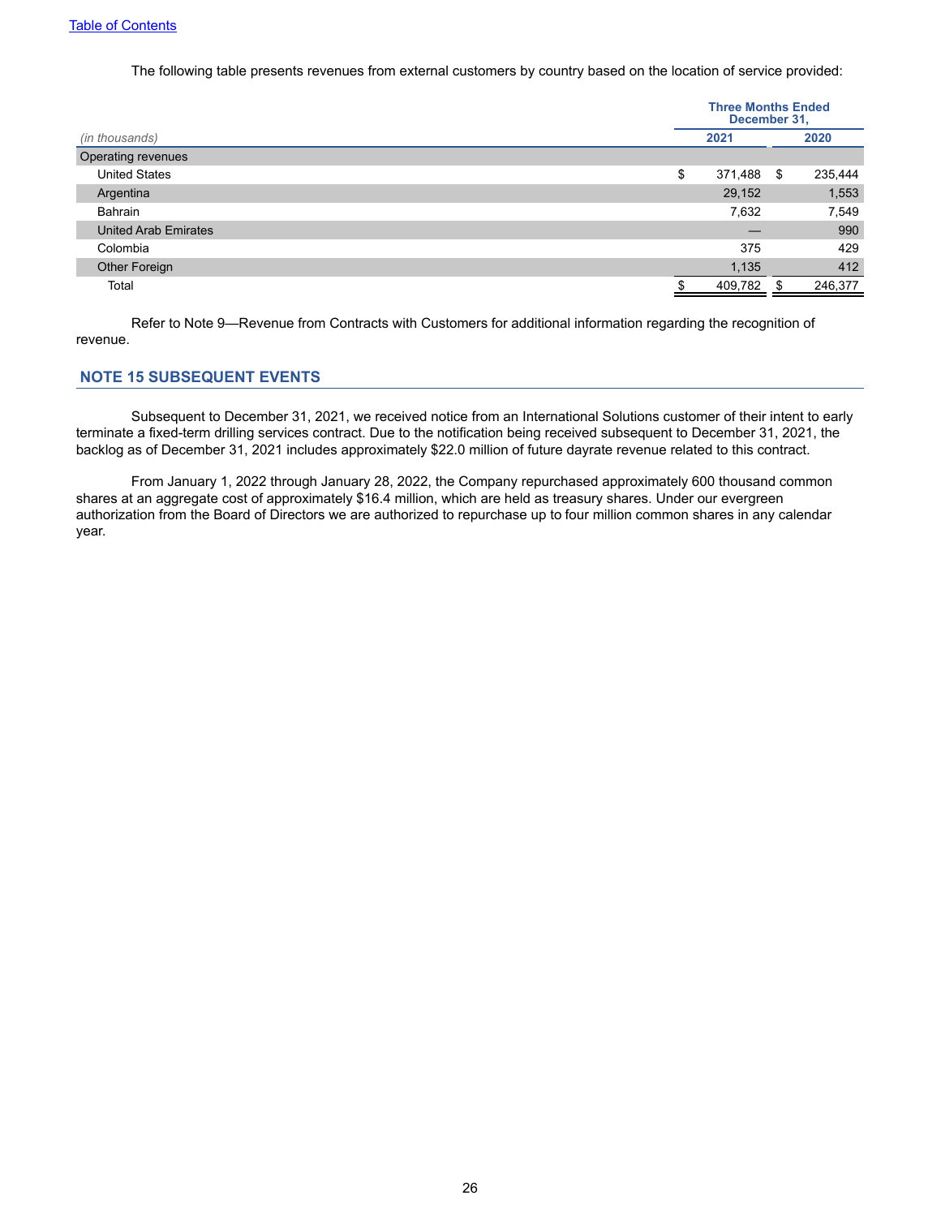The following table presents revenues from external customers by country based on the location of service provided:

<span id="page-25-0"></span>

|                             |    | <b>Three Months Ended</b><br>December 31, |      |         |
|-----------------------------|----|-------------------------------------------|------|---------|
| (in thousands)              |    | 2021                                      |      | 2020    |
| Operating revenues          |    |                                           |      |         |
| <b>United States</b>        | \$ | 371,488                                   | - \$ | 235,444 |
| Argentina                   |    | 29,152                                    |      | 1,553   |
| Bahrain                     |    | 7,632                                     |      | 7,549   |
| <b>United Arab Emirates</b> |    | __                                        |      | 990     |
| Colombia                    |    | 375                                       |      | 429     |
| Other Foreign               |    | 1,135                                     |      | 412     |
| Total                       |    | 409,782                                   |      | 246,377 |
|                             |    |                                           |      |         |

Refer to Note 9—Revenue from Contracts with Customers for additional information regarding the recognition of revenue.

## **NOTE 15 SUBSEQUENT EVENTS**

Subsequent to December 31, 2021, we received notice from an International Solutions customer of their intent to early terminate a fixed-term drilling services contract. Due to the notification being received subsequent to December 31, 2021, the backlog as of December 31, 2021 includes approximately \$22.0 million of future dayrate revenue related to this contract.

From January 1, 2022 through January 28, 2022, the Company repurchased approximately 600 thousand common shares at an aggregate cost of approximately \$16.4 million, which are held as treasury shares. Under our evergreen authorization from the Board of Directors we are authorized to repurchase up to four million common shares in any calendar year.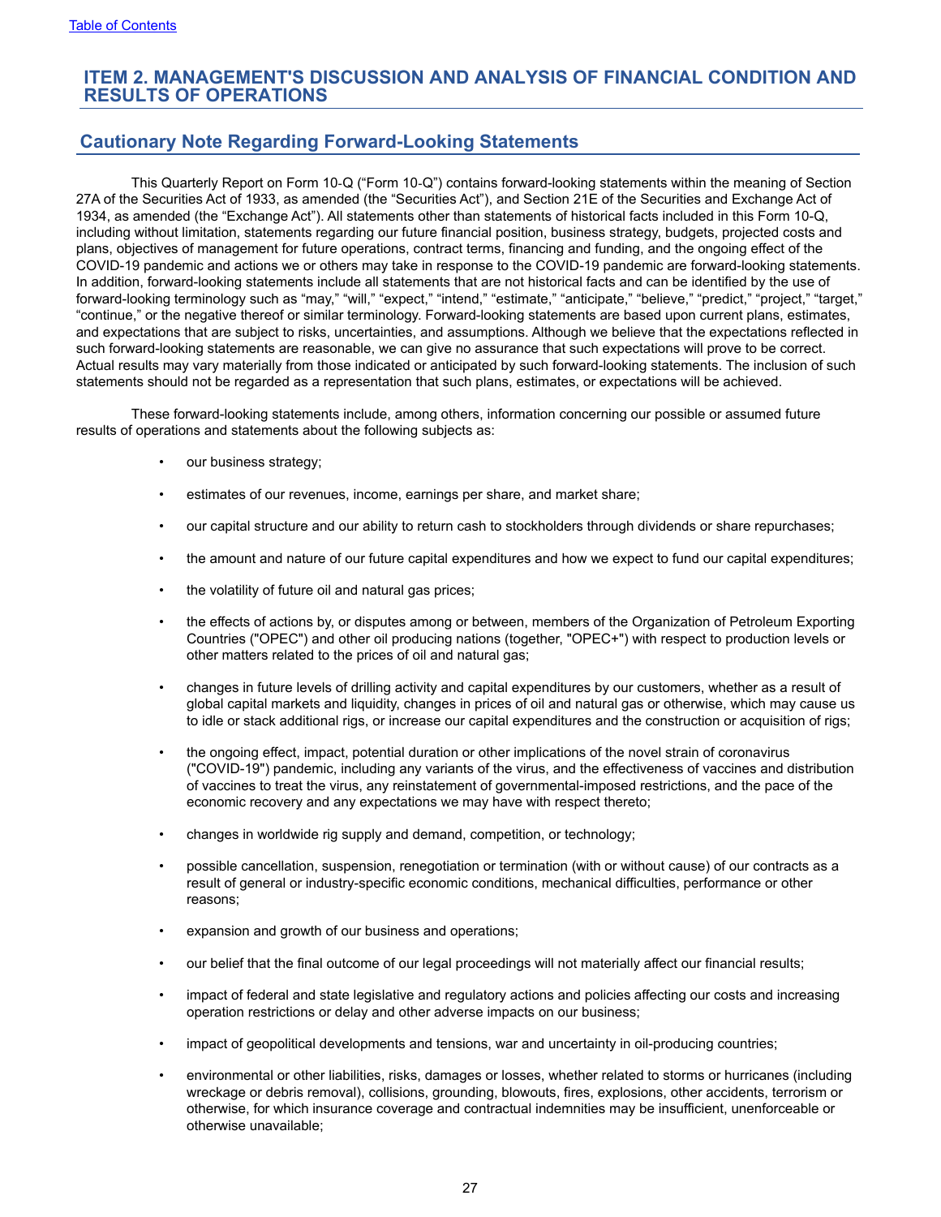# **ITEM 2. MANAGEMENT'S DISCUSSION AND ANALYSIS OF FINANCIAL CONDITION AND RESULTS OF OPERATIONS**

# **Cautionary Note Regarding Forward-Looking Statements**

This Quarterly Report on Form 10‑Q ("Form 10‑Q") contains forward-looking statements within the meaning of Section 27A of the Securities Act of 1933, as amended (the "Securities Act"), and Section 21E of the Securities and Exchange Act of 1934, as amended (the "Exchange Act"). All statements other than statements of historical facts included in this Form 10-Q, including without limitation, statements regarding our future financial position, business strategy, budgets, projected costs and plans, objectives of management for future operations, contract terms, financing and funding, and the ongoing effect of the COVID-19 pandemic and actions we or others may take in response to the COVID-19 pandemic are forward-looking statements. In addition, forward-looking statements include all statements that are not historical facts and can be identified by the use of forward-looking terminology such as "may," "will," "expect," "intend," "estimate," "anticipate," "believe," "predict," "project," "target," "continue," or the negative thereof or similar terminology. Forward-looking statements are based upon current plans, estimates, and expectations that are subject to risks, uncertainties, and assumptions. Although we believe that the expectations reflected in such forward-looking statements are reasonable, we can give no assurance that such expectations will prove to be correct. Actual results may vary materially from those indicated or anticipated by such forward-looking statements. The inclusion of such statements should not be regarded as a representation that such plans, estimates, or expectations will be achieved.

These forward-looking statements include, among others, information concerning our possible or assumed future results of operations and statements about the following subjects as:

- our business strategy;
- estimates of our revenues, income, earnings per share, and market share;
- our capital structure and our ability to return cash to stockholders through dividends or share repurchases;
- the amount and nature of our future capital expenditures and how we expect to fund our capital expenditures;
- the volatility of future oil and natural gas prices;
- the effects of actions by, or disputes among or between, members of the Organization of Petroleum Exporting Countries ("OPEC") and other oil producing nations (together, "OPEC+") with respect to production levels or other matters related to the prices of oil and natural gas;
- changes in future levels of drilling activity and capital expenditures by our customers, whether as a result of global capital markets and liquidity, changes in prices of oil and natural gas or otherwise, which may cause us to idle or stack additional rigs, or increase our capital expenditures and the construction or acquisition of rigs;
- the ongoing effect, impact, potential duration or other implications of the novel strain of coronavirus ("COVID-19") pandemic, including any variants of the virus, and the effectiveness of vaccines and distribution of vaccines to treat the virus, any reinstatement of governmental-imposed restrictions, and the pace of the economic recovery and any expectations we may have with respect thereto;
- changes in worldwide rig supply and demand, competition, or technology;
- possible cancellation, suspension, renegotiation or termination (with or without cause) of our contracts as a result of general or industry-specific economic conditions, mechanical difficulties, performance or other reasons;
- expansion and growth of our business and operations;
- our belief that the final outcome of our legal proceedings will not materially affect our financial results;
- impact of federal and state legislative and regulatory actions and policies affecting our costs and increasing operation restrictions or delay and other adverse impacts on our business;
- impact of geopolitical developments and tensions, war and uncertainty in oil-producing countries;
- environmental or other liabilities, risks, damages or losses, whether related to storms or hurricanes (including wreckage or debris removal), collisions, grounding, blowouts, fires, explosions, other accidents, terrorism or otherwise, for which insurance coverage and contractual indemnities may be insufficient, unenforceable or otherwise unavailable;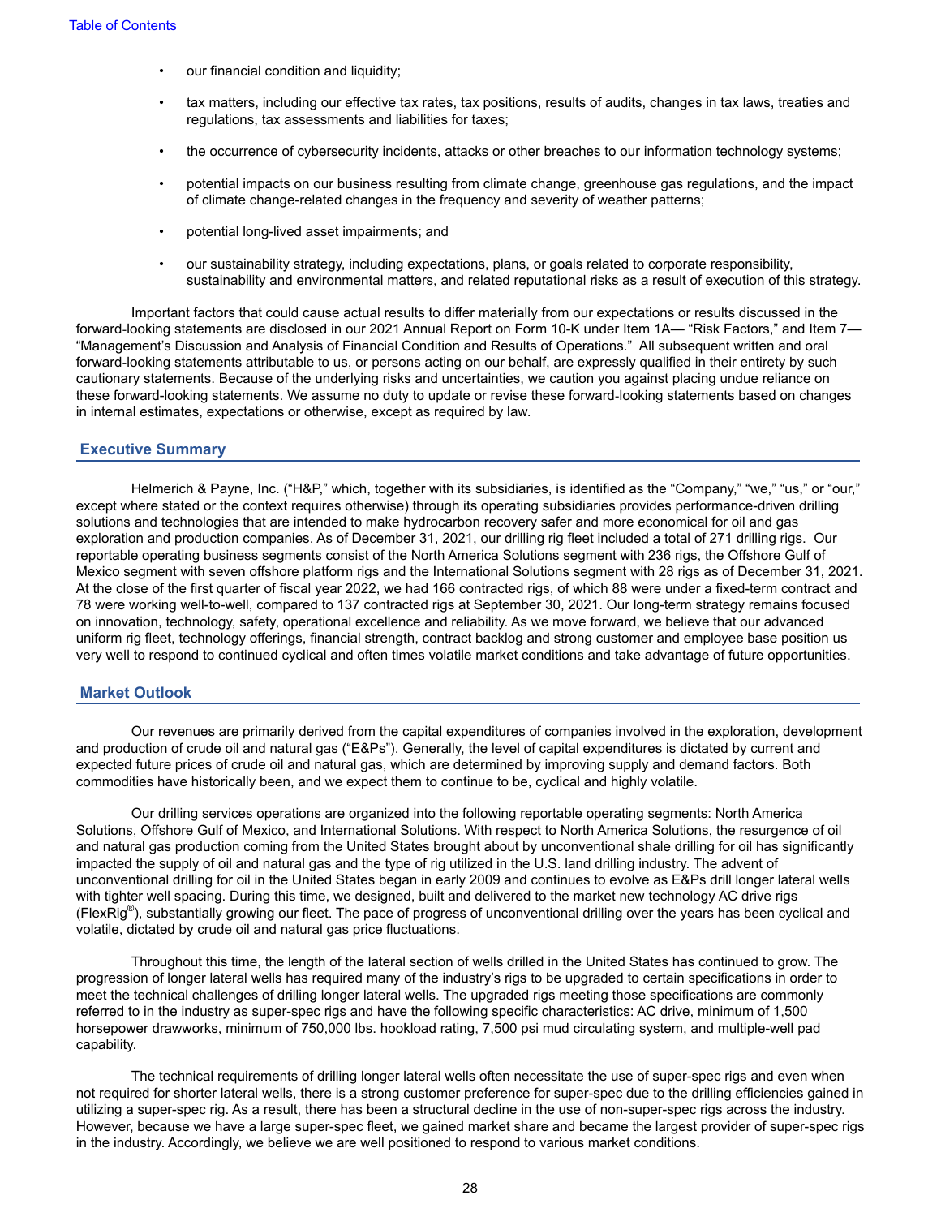- our financial condition and liquidity;
- tax matters, including our effective tax rates, tax positions, results of audits, changes in tax laws, treaties and regulations, tax assessments and liabilities for taxes;
- the occurrence of cybersecurity incidents, attacks or other breaches to our information technology systems;
- potential impacts on our business resulting from climate change, greenhouse gas regulations, and the impact of climate change-related changes in the frequency and severity of weather patterns;
- potential long-lived asset impairments; and
- our sustainability strategy, including expectations, plans, or goals related to corporate responsibility, sustainability and environmental matters, and related reputational risks as a result of execution of this strategy.

Important factors that could cause actual results to differ materially from our expectations or results discussed in the forward-looking statements are disclosed in our 2021 Annual Report on Form 10-K under Item 1A— "Risk Factors," and Item 7— "Management's Discussion and Analysis of Financial Condition and Results of Operations." All subsequent written and oral forward-looking statements attributable to us, or persons acting on our behalf, are expressly qualified in their entirety by such cautionary statements. Because of the underlying risks and uncertainties, we caution you against placing undue reliance on these forward-looking statements. We assume no duty to update or revise these forward‑looking statements based on changes in internal estimates, expectations or otherwise, except as required by law.

#### **Executive Summary**

Helmerich & Payne, Inc. ("H&P," which, together with its subsidiaries, is identified as the "Company," "we," "us," or "our," except where stated or the context requires otherwise) through its operating subsidiaries provides performance-driven drilling solutions and technologies that are intended to make hydrocarbon recovery safer and more economical for oil and gas exploration and production companies. As of December 31, 2021, our drilling rig fleet included a total of 271 drilling rigs. Our reportable operating business segments consist of the North America Solutions segment with 236 rigs, the Offshore Gulf of Mexico segment with seven offshore platform rigs and the International Solutions segment with 28 rigs as of December 31, 2021. At the close of the first quarter of fiscal year 2022, we had 166 contracted rigs, of which 88 were under a fixed-term contract and 78 were working well-to-well, compared to 137 contracted rigs at September 30, 2021. Our long-term strategy remains focused on innovation, technology, safety, operational excellence and reliability. As we move forward, we believe that our advanced uniform rig fleet, technology offerings, financial strength, contract backlog and strong customer and employee base position us very well to respond to continued cyclical and often times volatile market conditions and take advantage of future opportunities.

#### **Market Outlook**

Our revenues are primarily derived from the capital expenditures of companies involved in the exploration, development and production of crude oil and natural gas ("E&Ps"). Generally, the level of capital expenditures is dictated by current and expected future prices of crude oil and natural gas, which are determined by improving supply and demand factors. Both commodities have historically been, and we expect them to continue to be, cyclical and highly volatile.

Our drilling services operations are organized into the following reportable operating segments: North America Solutions, Offshore Gulf of Mexico, and International Solutions. With respect to North America Solutions, the resurgence of oil and natural gas production coming from the United States brought about by unconventional shale drilling for oil has significantly impacted the supply of oil and natural gas and the type of rig utilized in the U.S. land drilling industry. The advent of unconventional drilling for oil in the United States began in early 2009 and continues to evolve as E&Ps drill longer lateral wells with tighter well spacing. During this time, we designed, built and delivered to the market new technology AC drive rigs (FlexRig® ), substantially growing our fleet. The pace of progress of unconventional drilling over the years has been cyclical and volatile, dictated by crude oil and natural gas price fluctuations.

Throughout this time, the length of the lateral section of wells drilled in the United States has continued to grow. The progression of longer lateral wells has required many of the industry's rigs to be upgraded to certain specifications in order to meet the technical challenges of drilling longer lateral wells. The upgraded rigs meeting those specifications are commonly referred to in the industry as super-spec rigs and have the following specific characteristics: AC drive, minimum of 1,500 horsepower drawworks, minimum of 750,000 lbs. hookload rating, 7,500 psi mud circulating system, and multiple-well pad capability.

The technical requirements of drilling longer lateral wells often necessitate the use of super-spec rigs and even when not required for shorter lateral wells, there is a strong customer preference for super-spec due to the drilling efficiencies gained in utilizing a super-spec rig. As a result, there has been a structural decline in the use of non-super-spec rigs across the industry. However, because we have a large super-spec fleet, we gained market share and became the largest provider of super-spec rigs in the industry. Accordingly, we believe we are well positioned to respond to various market conditions.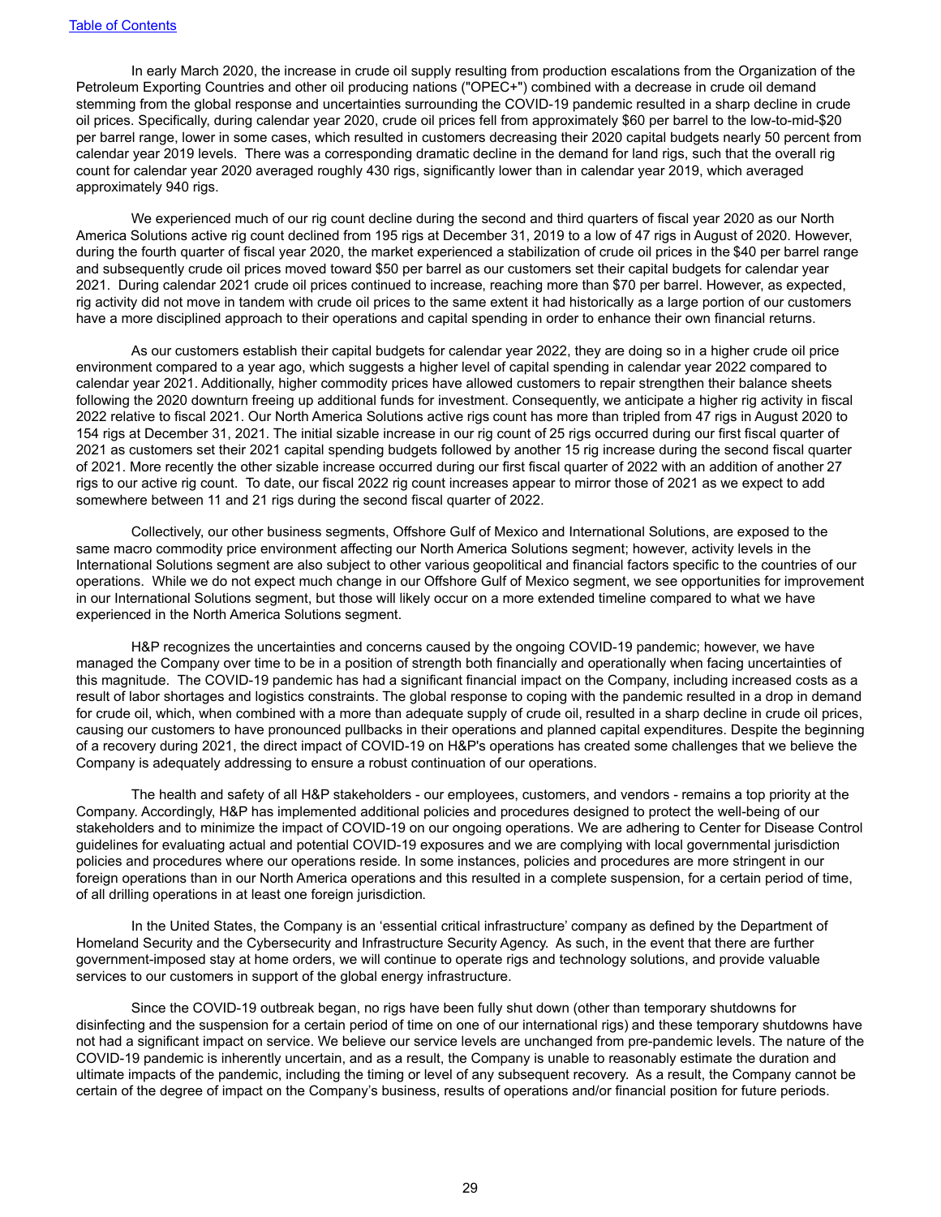In early March 2020, the increase in crude oil supply resulting from production escalations from the Organization of the Petroleum Exporting Countries and other oil producing nations ("OPEC+") combined with a decrease in crude oil demand stemming from the global response and uncertainties surrounding the COVID-19 pandemic resulted in a sharp decline in crude oil prices. Specifically, during calendar year 2020, crude oil prices fell from approximately \$60 per barrel to the low-to-mid-\$20 per barrel range, lower in some cases, which resulted in customers decreasing their 2020 capital budgets nearly 50 percent from calendar year 2019 levels. There was a corresponding dramatic decline in the demand for land rigs, such that the overall rig count for calendar year 2020 averaged roughly 430 rigs, significantly lower than in calendar year 2019, which averaged approximately 940 rigs.

We experienced much of our rig count decline during the second and third quarters of fiscal year 2020 as our North America Solutions active rig count declined from 195 rigs at December 31, 2019 to a low of 47 rigs in August of 2020. However, during the fourth quarter of fiscal year 2020, the market experienced a stabilization of crude oil prices in the \$40 per barrel range and subsequently crude oil prices moved toward \$50 per barrel as our customers set their capital budgets for calendar year 2021. During calendar 2021 crude oil prices continued to increase, reaching more than \$70 per barrel. However, as expected, rig activity did not move in tandem with crude oil prices to the same extent it had historically as a large portion of our customers have a more disciplined approach to their operations and capital spending in order to enhance their own financial returns.

As our customers establish their capital budgets for calendar year 2022, they are doing so in a higher crude oil price environment compared to a year ago, which suggests a higher level of capital spending in calendar year 2022 compared to calendar year 2021. Additionally, higher commodity prices have allowed customers to repair strengthen their balance sheets following the 2020 downturn freeing up additional funds for investment. Consequently, we anticipate a higher rig activity in fiscal 2022 relative to fiscal 2021. Our North America Solutions active rigs count has more than tripled from 47 rigs in August 2020 to 154 rigs at December 31, 2021. The initial sizable increase in our rig count of 25 rigs occurred during our first fiscal quarter of 2021 as customers set their 2021 capital spending budgets followed by another 15 rig increase during the second fiscal quarter of 2021. More recently the other sizable increase occurred during our first fiscal quarter of 2022 with an addition of another 27 rigs to our active rig count. To date, our fiscal 2022 rig count increases appear to mirror those of 2021 as we expect to add somewhere between 11 and 21 rigs during the second fiscal quarter of 2022.

Collectively, our other business segments, Offshore Gulf of Mexico and International Solutions, are exposed to the same macro commodity price environment affecting our North America Solutions segment; however, activity levels in the International Solutions segment are also subject to other various geopolitical and financial factors specific to the countries of our operations. While we do not expect much change in our Offshore Gulf of Mexico segment, we see opportunities for improvement in our International Solutions segment, but those will likely occur on a more extended timeline compared to what we have experienced in the North America Solutions segment.

H&P recognizes the uncertainties and concerns caused by the ongoing COVID-19 pandemic; however, we have managed the Company over time to be in a position of strength both financially and operationally when facing uncertainties of this magnitude. The COVID-19 pandemic has had a significant financial impact on the Company, including increased costs as a result of labor shortages and logistics constraints. The global response to coping with the pandemic resulted in a drop in demand for crude oil, which, when combined with a more than adequate supply of crude oil, resulted in a sharp decline in crude oil prices, causing our customers to have pronounced pullbacks in their operations and planned capital expenditures. Despite the beginning of a recovery during 2021, the direct impact of COVID-19 on H&P's operations has created some challenges that we believe the Company is adequately addressing to ensure a robust continuation of our operations.

The health and safety of all H&P stakeholders - our employees, customers, and vendors - remains a top priority at the Company. Accordingly, H&P has implemented additional policies and procedures designed to protect the well-being of our stakeholders and to minimize the impact of COVID-19 on our ongoing operations. We are adhering to Center for Disease Control guidelines for evaluating actual and potential COVID-19 exposures and we are complying with local governmental jurisdiction policies and procedures where our operations reside. In some instances, policies and procedures are more stringent in our foreign operations than in our North America operations and this resulted in a complete suspension, for a certain period of time, of all drilling operations in at least one foreign jurisdiction.

In the United States, the Company is an 'essential critical infrastructure' company as defined by the Department of Homeland Security and the Cybersecurity and Infrastructure Security Agency. As such, in the event that there are further government-imposed stay at home orders, we will continue to operate rigs and technology solutions, and provide valuable services to our customers in support of the global energy infrastructure.

Since the COVID-19 outbreak began, no rigs have been fully shut down (other than temporary shutdowns for disinfecting and the suspension for a certain period of time on one of our international rigs) and these temporary shutdowns have not had a significant impact on service. We believe our service levels are unchanged from pre-pandemic levels. The nature of the COVID-19 pandemic is inherently uncertain, and as a result, the Company is unable to reasonably estimate the duration and ultimate impacts of the pandemic, including the timing or level of any subsequent recovery. As a result, the Company cannot be certain of the degree of impact on the Company's business, results of operations and/or financial position for future periods.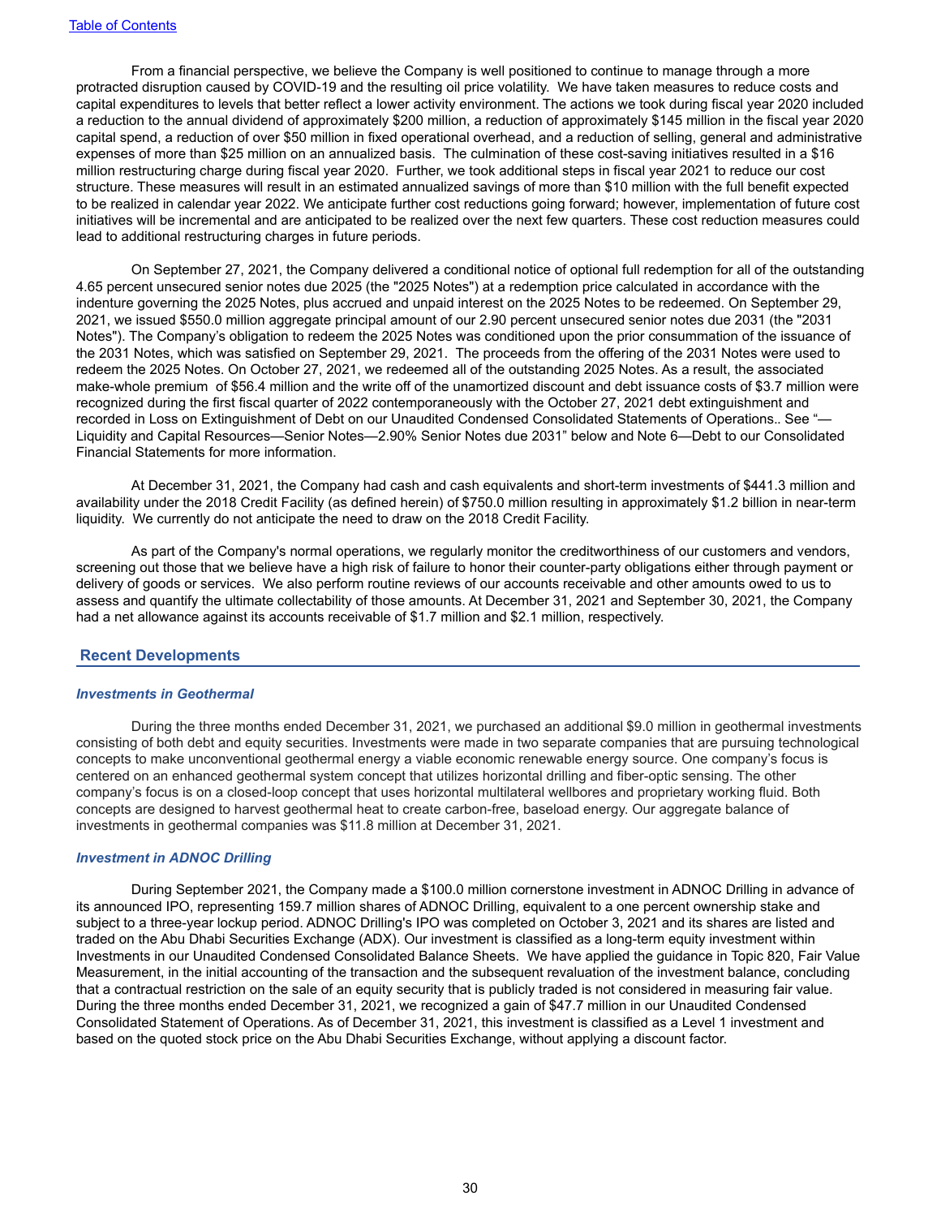From a financial perspective, we believe the Company is well positioned to continue to manage through a more protracted disruption caused by COVID-19 and the resulting oil price volatility. We have taken measures to reduce costs and capital expenditures to levels that better reflect a lower activity environment. The actions we took during fiscal year 2020 included a reduction to the annual dividend of approximately \$200 million, a reduction of approximately \$145 million in the fiscal year 2020 capital spend, a reduction of over \$50 million in fixed operational overhead, and a reduction of selling, general and administrative expenses of more than \$25 million on an annualized basis. The culmination of these cost-saving initiatives resulted in a \$16 million restructuring charge during fiscal year 2020. Further, we took additional steps in fiscal year 2021 to reduce our cost structure. These measures will result in an estimated annualized savings of more than \$10 million with the full benefit expected to be realized in calendar year 2022. We anticipate further cost reductions going forward; however, implementation of future cost initiatives will be incremental and are anticipated to be realized over the next few quarters. These cost reduction measures could lead to additional restructuring charges in future periods.

On September 27, 2021, the Company delivered a conditional notice of optional full redemption for all of the outstanding 4.65 percent unsecured senior notes due 2025 (the "2025 Notes") at a redemption price calculated in accordance with the indenture governing the 2025 Notes, plus accrued and unpaid interest on the 2025 Notes to be redeemed. On September 29, 2021, we issued \$550.0 million aggregate principal amount of our 2.90 percent unsecured senior notes due 2031 (the "2031 Notes"). The Company's obligation to redeem the 2025 Notes was conditioned upon the prior consummation of the issuance of the 2031 Notes, which was satisfied on September 29, 2021. The proceeds from the offering of the 2031 Notes were used to redeem the 2025 Notes. On October 27, 2021, we redeemed all of the outstanding 2025 Notes. As a result, the associated make-whole premium of \$56.4 million and the write off of the unamortized discount and debt issuance costs of \$3.7 million were recognized during the first fiscal quarter of 2022 contemporaneously with the October 27, 2021 debt extinguishment and recorded in Loss on Extinguishment of Debt on our Unaudited Condensed Consolidated Statements of Operations.. See "— Liquidity and Capital Resources—Senior Notes—2.90% Senior Notes due 2031" below and Note 6—Debt to our Consolidated Financial Statements for more information.

At December 31, 2021, the Company had cash and cash equivalents and short-term investments of \$441.3 million and availability under the 2018 Credit Facility (as defined herein) of \$750.0 million resulting in approximately \$1.2 billion in near-term liquidity. We currently do not anticipate the need to draw on the 2018 Credit Facility.

As part of the Company's normal operations, we regularly monitor the creditworthiness of our customers and vendors, screening out those that we believe have a high risk of failure to honor their counter-party obligations either through payment or delivery of goods or services. We also perform routine reviews of our accounts receivable and other amounts owed to us to assess and quantify the ultimate collectability of those amounts. At December 31, 2021 and September 30, 2021, the Company had a net allowance against its accounts receivable of \$1.7 million and \$2.1 million, respectively.

#### **Recent Developments**

#### *Investments in Geothermal*

During the three months ended December 31, 2021, we purchased an additional \$9.0 million in geothermal investments consisting of both debt and equity securities. Investments were made in two separate companies that are pursuing technological concepts to make unconventional geothermal energy a viable economic renewable energy source. One company's focus is centered on an enhanced geothermal system concept that utilizes horizontal drilling and fiber-optic sensing. The other company's focus is on a closed-loop concept that uses horizontal multilateral wellbores and proprietary working fluid. Both concepts are designed to harvest geothermal heat to create carbon-free, baseload energy. Our aggregate balance of investments in geothermal companies was \$11.8 million at December 31, 2021.

#### *Investment in ADNOC Drilling*

During September 2021, the Company made a \$100.0 million cornerstone investment in ADNOC Drilling in advance of its announced IPO, representing 159.7 million shares of ADNOC Drilling, equivalent to a one percent ownership stake and subject to a three-year lockup period. ADNOC Drilling's IPO was completed on October 3, 2021 and its shares are listed and traded on the Abu Dhabi Securities Exchange (ADX). Our investment is classified as a long-term equity investment within Investments in our Unaudited Condensed Consolidated Balance Sheets. We have applied the guidance in Topic 820, Fair Value Measurement, in the initial accounting of the transaction and the subsequent revaluation of the investment balance, concluding that a contractual restriction on the sale of an equity security that is publicly traded is not considered in measuring fair value. During the three months ended December 31, 2021, we recognized a gain of \$47.7 million in our Unaudited Condensed Consolidated Statement of Operations. As of December 31, 2021, this investment is classified as a Level 1 investment and based on the quoted stock price on the Abu Dhabi Securities Exchange, without applying a discount factor.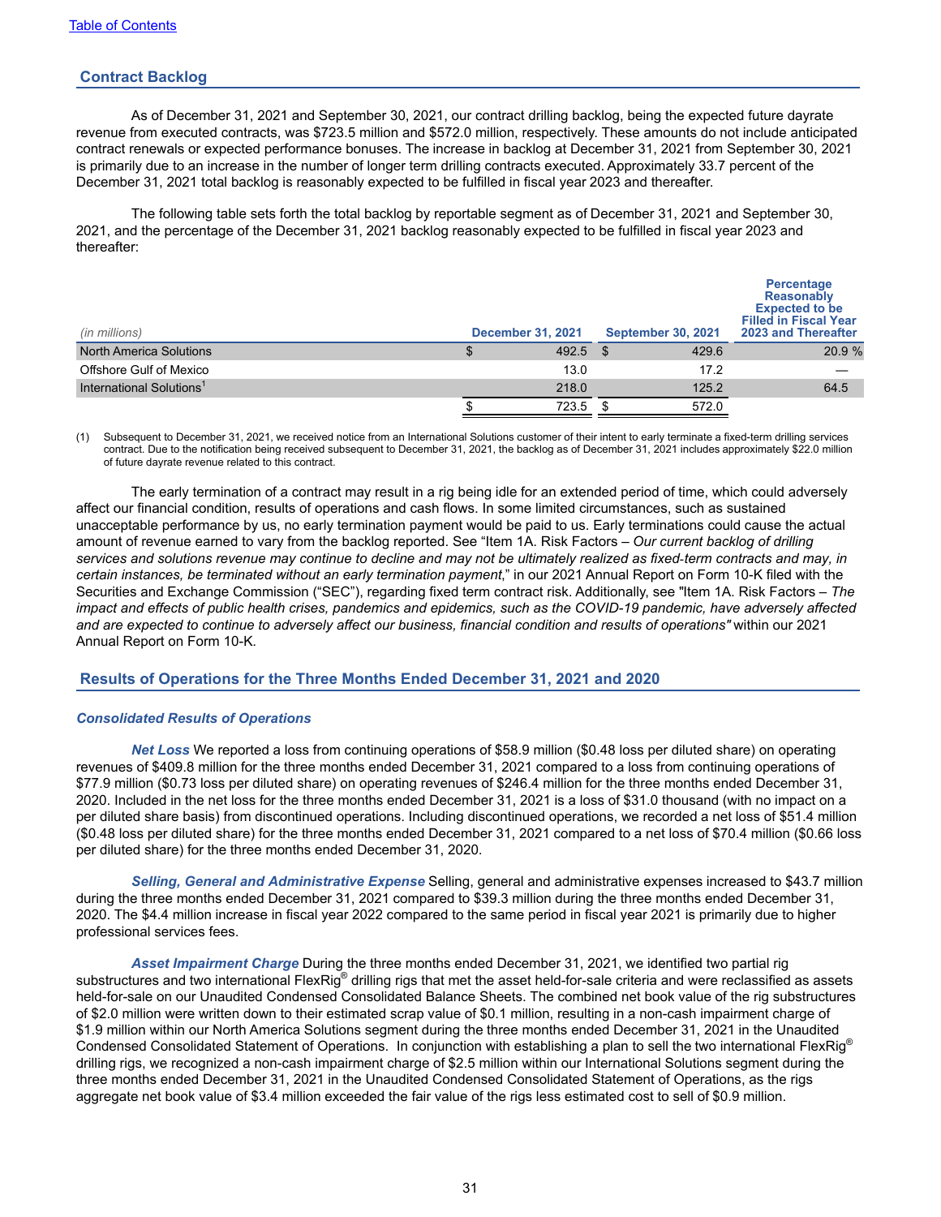## **Contract Backlog**

As of December 31, 2021 and September 30, 2021, our contract drilling backlog, being the expected future dayrate revenue from executed contracts, was \$723.5 million and \$572.0 million, respectively. These amounts do not include anticipated contract renewals or expected performance bonuses. The increase in backlog at December 31, 2021 from September 30, 2021 is primarily due to an increase in the number of longer term drilling contracts executed. Approximately 33.7 percent of the December 31, 2021 total backlog is reasonably expected to be fulfilled in fiscal year 2023 and thereafter.

The following table sets forth the total backlog by reportable segment as of December 31, 2021 and September 30, 2021, and the percentage of the December 31, 2021 backlog reasonably expected to be fulfilled in fiscal year 2023 and thereafter:

| (in millions)                        | <b>December 31, 2021</b> | <b>September 30, 2021</b> | Percentage<br><b>Reasonably</b><br><b>Expected to be</b><br><b>Filled in Fiscal Year</b><br>2023 and Thereafter |
|--------------------------------------|--------------------------|---------------------------|-----------------------------------------------------------------------------------------------------------------|
| <b>North America Solutions</b>       | 492.5                    | 429.6<br>\$               | 20.9 %                                                                                                          |
| Offshore Gulf of Mexico              | 13.0                     | 17.2                      |                                                                                                                 |
| International Solutions <sup>1</sup> | 218.0                    | 125.2                     | 64.5                                                                                                            |
|                                      | 723.5                    | 572.0                     |                                                                                                                 |

(1) Subsequent to December 31, 2021, we received notice from an International Solutions customer of their intent to early terminate a fixed-term drilling services contract. Due to the notification being received subsequent to December 31, 2021, the backlog as of December 31, 2021 includes approximately \$22.0 million of future dayrate revenue related to this contract.

The early termination of a contract may result in a rig being idle for an extended period of time, which could adversely affect our financial condition, results of operations and cash flows. In some limited circumstances, such as sustained unacceptable performance by us, no early termination payment would be paid to us. Early terminations could cause the actual amount of revenue earned to vary from the backlog reported. See "Item 1A. Risk Factors – *Our current backlog of drilling*  services and solutions revenue may continue to decline and may not be ultimately realized as fixed-term contracts and may, in *certain instances, be terminated without an early termination payment*," in our 2021 Annual Report on Form 10-K filed with the Securities and Exchange Commission ("SEC"), regarding fixed term contract risk. Additionally, see "Item 1A. Risk Factors – *The impact and effects of public health crises, pandemics and epidemics, such as the COVID-19 pandemic, have adversely affected and are expected to continue to adversely affect our business, financial condition and results of operations"* within our 2021 Annual Report on Form 10-K.

## **Results of Operations for the Three Months Ended December 31, 2021 and 2020**

### *Consolidated Results of Operations*

*Net Loss* We reported a loss from continuing operations of \$58.9 million (\$0.48 loss per diluted share) on operating revenues of \$409.8 million for the three months ended December 31, 2021 compared to a loss from continuing operations of \$77.9 million (\$0.73 loss per diluted share) on operating revenues of \$246.4 million for the three months ended December 31, 2020. Included in the net loss for the three months ended December 31, 2021 is a loss of \$31.0 thousand (with no impact on a per diluted share basis) from discontinued operations. Including discontinued operations, we recorded a net loss of \$51.4 million (\$0.48 loss per diluted share) for the three months ended December 31, 2021 compared to a net loss of \$70.4 million (\$0.66 loss per diluted share) for the three months ended December 31, 2020.

*Selling, General and Administrative Expense* Selling, general and administrative expenses increased to \$43.7 million during the three months ended December 31, 2021 compared to \$39.3 million during the three months ended December 31, 2020. The \$4.4 million increase in fiscal year 2022 compared to the same period in fiscal year 2021 is primarily due to higher professional services fees.

*Asset Impairment Charge* During the three months ended December 31, 2021, we identified two partial rig substructures and two international FlexRig® drilling rigs that met the asset held-for-sale criteria and were reclassified as assets held-for-sale on our Unaudited Condensed Consolidated Balance Sheets. The combined net book value of the rig substructures of \$2.0 million were written down to their estimated scrap value of \$0.1 million, resulting in a non-cash impairment charge of \$1.9 million within our North America Solutions segment during the three months ended December 31, 2021 in the Unaudited Condensed Consolidated Statement of Operations. In conjunction with establishing a plan to sell the two international FlexRig® drilling rigs, we recognized a non-cash impairment charge of \$2.5 million within our International Solutions segment during the three months ended December 31, 2021 in the Unaudited Condensed Consolidated Statement of Operations, as the rigs aggregate net book value of \$3.4 million exceeded the fair value of the rigs less estimated cost to sell of \$0.9 million.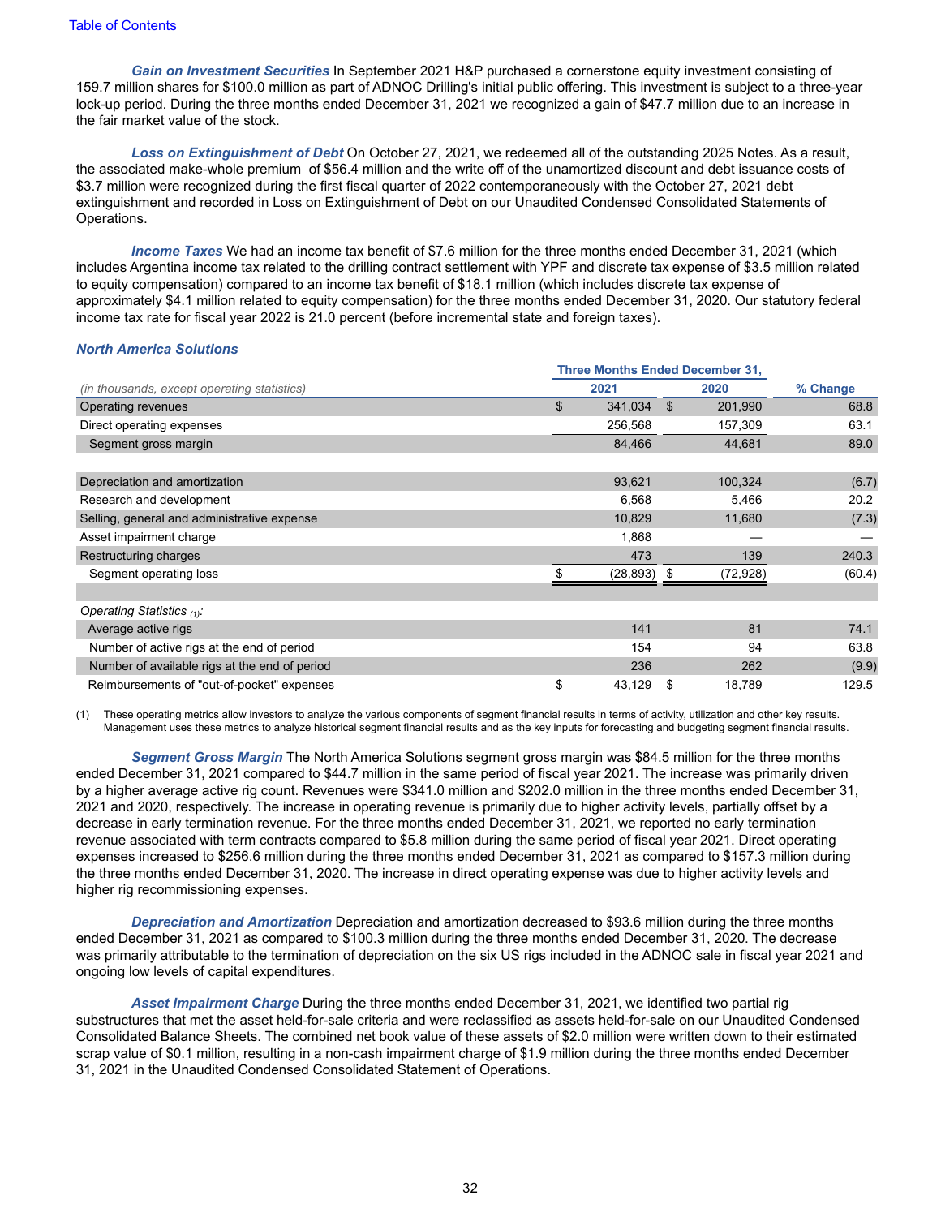*Gain on Investment Securities* In September 2021 H&P purchased a cornerstone equity investment consisting of 159.7 million shares for \$100.0 million as part of ADNOC Drilling's initial public offering. This investment is subject to a three-year lock-up period. During the three months ended December 31, 2021 we recognized a gain of \$47.7 million due to an increase in the fair market value of the stock.

*Loss on Extinguishment of Debt* On October 27, 2021, we redeemed all of the outstanding 2025 Notes. As a result, the associated make-whole premium of \$56.4 million and the write off of the unamortized discount and debt issuance costs of \$3.7 million were recognized during the first fiscal quarter of 2022 contemporaneously with the October 27, 2021 debt extinguishment and recorded in Loss on Extinguishment of Debt on our Unaudited Condensed Consolidated Statements of Operations.

*Income Taxes* We had an income tax benefit of \$7.6 million for the three months ended December 31, 2021 (which includes Argentina income tax related to the drilling contract settlement with YPF and discrete tax expense of \$3.5 million related to equity compensation) compared to an income tax benefit of \$18.1 million (which includes discrete tax expense of approximately \$4.1 million related to equity compensation) for the three months ended December 31, 2020. Our statutory federal income tax rate for fiscal year 2022 is 21.0 percent (before incremental state and foreign taxes).

#### *North America Solutions*

|                                               | <b>Three Months Ended December 31,</b> |                           |    |           |          |
|-----------------------------------------------|----------------------------------------|---------------------------|----|-----------|----------|
| (in thousands, except operating statistics)   | 2021                                   |                           |    | 2020      | % Change |
| Operating revenues                            |                                        | $\mathfrak{S}$<br>341,034 | \$ | 201,990   | 68.8     |
| Direct operating expenses                     |                                        | 256,568                   |    | 157,309   | 63.1     |
| Segment gross margin                          |                                        | 84,466                    |    | 44,681    | 89.0     |
| Depreciation and amortization                 |                                        | 93,621                    |    | 100,324   | (6.7)    |
| Research and development                      |                                        | 6,568                     |    | 5,466     | 20.2     |
| Selling, general and administrative expense   |                                        | 10,829                    |    | 11,680    | (7.3)    |
| Asset impairment charge                       |                                        | 1,868                     |    |           |          |
| Restructuring charges                         |                                        | 473                       |    | 139       | 240.3    |
| Segment operating loss                        |                                        | (28,893)                  | S  | (72, 928) | (60.4)   |
| Operating Statistics $(1)$ .                  |                                        |                           |    |           |          |
| Average active rigs                           |                                        | 141                       |    | 81        | 74.1     |
| Number of active rigs at the end of period    |                                        | 154                       |    | 94        | 63.8     |
| Number of available rigs at the end of period |                                        | 236                       |    | 262       | (9.9)    |
| Reimbursements of "out-of-pocket" expenses    |                                        | \$<br>43,129              | S  | 18,789    | 129.5    |

(1) These operating metrics allow investors to analyze the various components of segment financial results in terms of activity, utilization and other key results. Management uses these metrics to analyze historical segment financial results and as the key inputs for forecasting and budgeting segment financial results.

*Segment Gross Margin* The North America Solutions segment gross margin was \$84.5 million for the three months ended December 31, 2021 compared to \$44.7 million in the same period of fiscal year 2021. The increase was primarily driven by a higher average active rig count. Revenues were \$341.0 million and \$202.0 million in the three months ended December 31, 2021 and 2020, respectively. The increase in operating revenue is primarily due to higher activity levels, partially offset by a decrease in early termination revenue. For the three months ended December 31, 2021, we reported no early termination revenue associated with term contracts compared to \$5.8 million during the same period of fiscal year 2021. Direct operating expenses increased to \$256.6 million during the three months ended December 31, 2021 as compared to \$157.3 million during the three months ended December 31, 2020. The increase in direct operating expense was due to higher activity levels and higher rig recommissioning expenses.

*Depreciation and Amortization* Depreciation and amortization decreased to \$93.6 million during the three months ended December 31, 2021 as compared to \$100.3 million during the three months ended December 31, 2020. The decrease was primarily attributable to the termination of depreciation on the six US rigs included in the ADNOC sale in fiscal year 2021 and ongoing low levels of capital expenditures.

*Asset Impairment Charge* During the three months ended December 31, 2021, we identified two partial rig substructures that met the asset held-for-sale criteria and were reclassified as assets held-for-sale on our Unaudited Condensed Consolidated Balance Sheets. The combined net book value of these assets of \$2.0 million were written down to their estimated scrap value of \$0.1 million, resulting in a non-cash impairment charge of \$1.9 million during the three months ended December 31, 2021 in the Unaudited Condensed Consolidated Statement of Operations.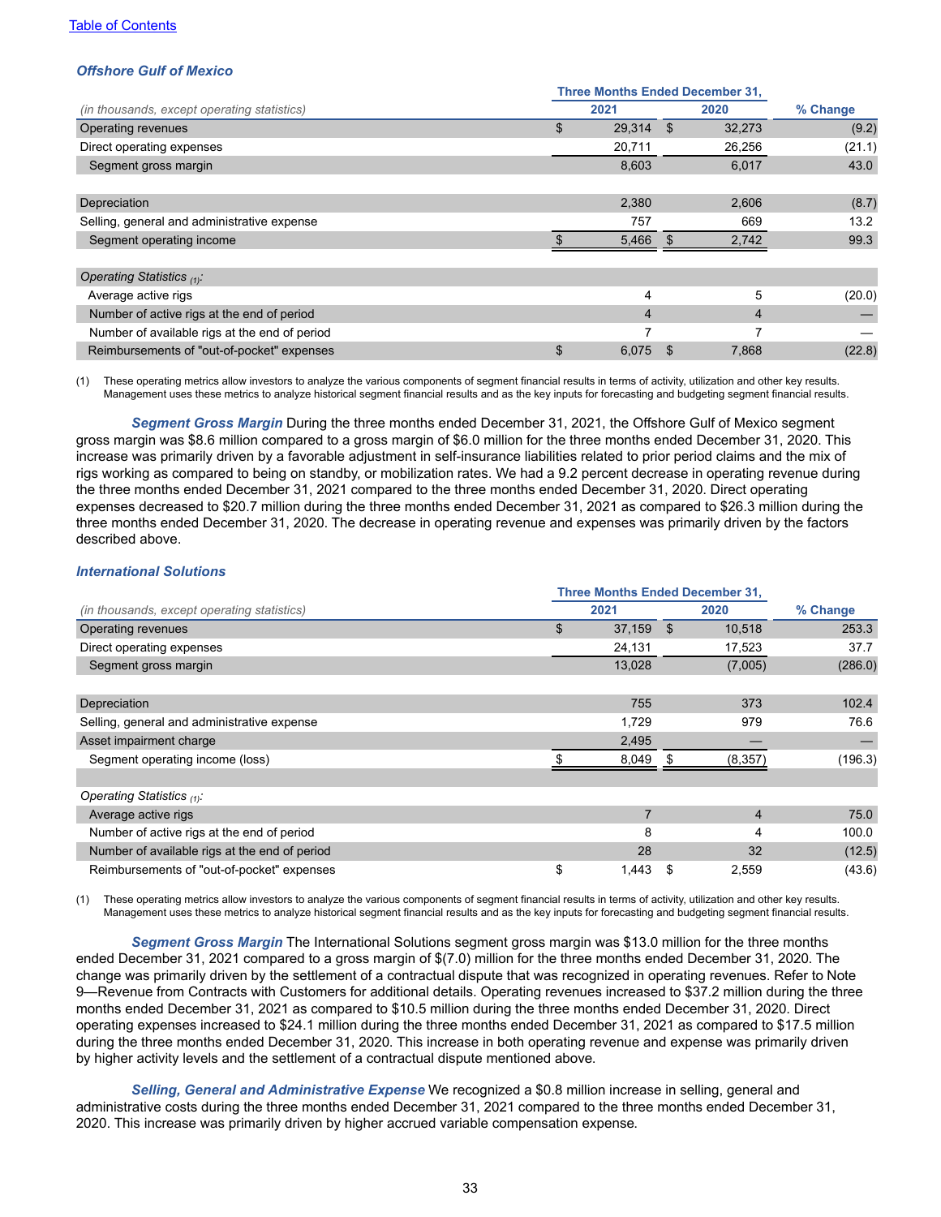### *Offshore Gulf of Mexico*

|                                               | <b>Three Months Ended December 31,</b> |        |     |                |          |
|-----------------------------------------------|----------------------------------------|--------|-----|----------------|----------|
| (in thousands, except operating statistics)   | 2021                                   |        |     | 2020           | % Change |
| Operating revenues                            | \$                                     | 29,314 | \$  | 32,273         | (9.2)    |
| Direct operating expenses                     |                                        | 20,711 |     | 26,256         | (21.1)   |
| Segment gross margin                          |                                        | 8,603  |     | 6,017          | 43.0     |
|                                               |                                        |        |     |                |          |
| Depreciation                                  |                                        | 2,380  |     | 2,606          | (8.7)    |
| Selling, general and administrative expense   |                                        | 757    |     | 669            | 13.2     |
| Segment operating income                      |                                        | 5,466  | \$. | 2,742          | 99.3     |
|                                               |                                        |        |     |                |          |
| Operating Statistics $(1)$ :                  |                                        |        |     |                |          |
| Average active rigs                           |                                        | 4      |     | 5              | (20.0)   |
| Number of active rigs at the end of period    |                                        | 4      |     | $\overline{4}$ |          |
| Number of available rigs at the end of period |                                        | ⇁      |     | 7              |          |
| Reimbursements of "out-of-pocket" expenses    | \$                                     | 6,075  | \$. | 7,868          | (22.8)   |

(1) These operating metrics allow investors to analyze the various components of segment financial results in terms of activity, utilization and other key results. Management uses these metrics to analyze historical segment financial results and as the key inputs for forecasting and budgeting segment financial results.

*Segment Gross Margin* During the three months ended December 31, 2021, the Offshore Gulf of Mexico segment gross margin was \$8.6 million compared to a gross margin of \$6.0 million for the three months ended December 31, 2020. This increase was primarily driven by a favorable adjustment in self-insurance liabilities related to prior period claims and the mix of rigs working as compared to being on standby, or mobilization rates. We had a 9.2 percent decrease in operating revenue during the three months ended December 31, 2021 compared to the three months ended December 31, 2020. Direct operating expenses decreased to \$20.7 million during the three months ended December 31, 2021 as compared to \$26.3 million during the three months ended December 31, 2020. The decrease in operating revenue and expenses was primarily driven by the factors described above.

#### *International Solutions*

|                                               | <b>Three Months Ended December 31,</b> |    |                |          |
|-----------------------------------------------|----------------------------------------|----|----------------|----------|
| (in thousands, except operating statistics)   | 2021                                   |    | 2020           | % Change |
| Operating revenues                            | \$<br>37,159                           | \$ | 10,518         | 253.3    |
| Direct operating expenses                     | 24,131                                 |    | 17,523         | 37.7     |
| Segment gross margin                          | 13,028                                 |    | (7,005)        | (286.0)  |
|                                               |                                        |    |                |          |
| Depreciation                                  | 755                                    |    | 373            | 102.4    |
| Selling, general and administrative expense   | 1,729                                  |    | 979            | 76.6     |
| Asset impairment charge                       | 2,495                                  |    |                |          |
| Segment operating income (loss)               | 8,049                                  | S  | (8, 357)       | (196.3)  |
|                                               |                                        |    |                |          |
| Operating Statistics $(1)$ :                  |                                        |    |                |          |
| Average active rigs                           | $\overline{7}$                         |    | $\overline{4}$ | 75.0     |
| Number of active rigs at the end of period    | 8                                      |    | 4              | 100.0    |
| Number of available rigs at the end of period | 28                                     |    | 32             | (12.5)   |
| Reimbursements of "out-of-pocket" expenses    | \$<br>1,443                            | \$ | 2,559          | (43.6)   |

(1) These operating metrics allow investors to analyze the various components of segment financial results in terms of activity, utilization and other key results. Management uses these metrics to analyze historical segment financial results and as the key inputs for forecasting and budgeting segment financial results.

*Segment Gross Margin* The International Solutions segment gross margin was \$13.0 million for the three months ended December 31, 2021 compared to a gross margin of \$(7.0) million for the three months ended December 31, 2020. The change was primarily driven by the settlement of a contractual dispute that was recognized in operating revenues. Refer to Note 9—Revenue from Contracts with Customers for additional details. Operating revenues increased to \$37.2 million during the three months ended December 31, 2021 as compared to \$10.5 million during the three months ended December 31, 2020. Direct operating expenses increased to \$24.1 million during the three months ended December 31, 2021 as compared to \$17.5 million during the three months ended December 31, 2020. This increase in both operating revenue and expense was primarily driven by higher activity levels and the settlement of a contractual dispute mentioned above.

*Selling, General and Administrative Expense* We recognized a \$0.8 million increase in selling, general and administrative costs during the three months ended December 31, 2021 compared to the three months ended December 31, 2020. This increase was primarily driven by higher accrued variable compensation expense.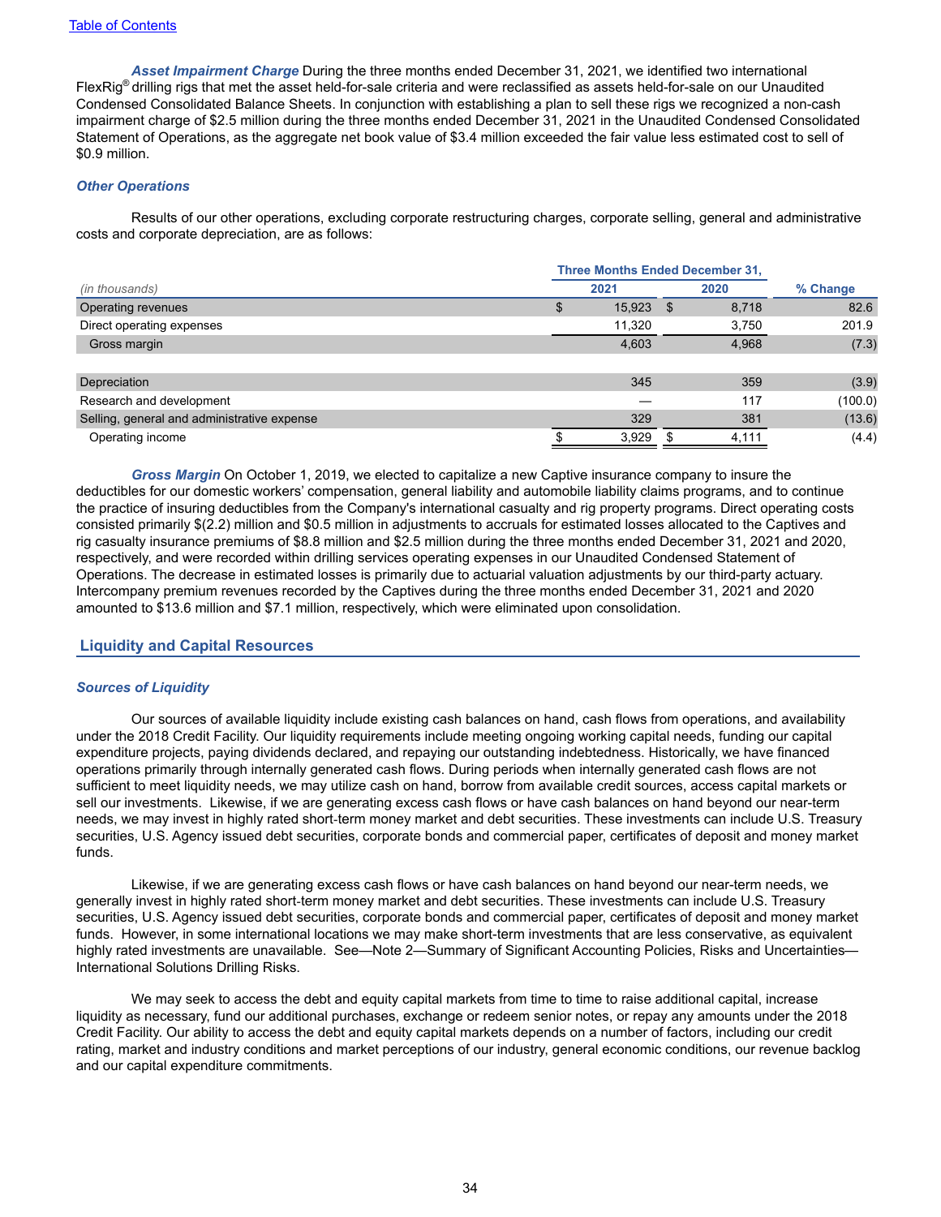*Asset Impairment Charge* During the three months ended December 31, 2021, we identified two international FlexRig® drilling rigs that met the asset held-for-sale criteria and were reclassified as assets held-for-sale on our Unaudited Condensed Consolidated Balance Sheets. In conjunction with establishing a plan to sell these rigs we recognized a non-cash impairment charge of \$2.5 million during the three months ended December 31, 2021 in the Unaudited Condensed Consolidated Statement of Operations, as the aggregate net book value of \$3.4 million exceeded the fair value less estimated cost to sell of \$0.9 million.

### *Other Operations*

Results of our other operations, excluding corporate restructuring charges, corporate selling, general and administrative costs and corporate depreciation, are as follows:

|                                             | <b>Three Months Ended December 31,</b> |      |        |      |       |          |  |
|---------------------------------------------|----------------------------------------|------|--------|------|-------|----------|--|
| (in thousands)                              |                                        | 2021 |        | 2020 |       | % Change |  |
| Operating revenues                          |                                        | C    | 15,923 | \$.  | 8,718 | 82.6     |  |
| Direct operating expenses                   |                                        |      | 11,320 |      | 3,750 | 201.9    |  |
| Gross margin                                |                                        |      | 4,603  |      | 4,968 | (7.3)    |  |
|                                             |                                        |      |        |      |       |          |  |
| Depreciation                                |                                        |      | 345    |      | 359   | (3.9)    |  |
| Research and development                    |                                        |      |        |      | 117   | (100.0)  |  |
| Selling, general and administrative expense |                                        |      | 329    |      | 381   | (13.6)   |  |
| Operating income                            |                                        |      | 3,929  |      | 4,111 | (4.4)    |  |

*Gross Margin* On October 1, 2019, we elected to capitalize a new Captive insurance company to insure the deductibles for our domestic workers' compensation, general liability and automobile liability claims programs, and to continue the practice of insuring deductibles from the Company's international casualty and rig property programs. Direct operating costs consisted primarily \$(2.2) million and \$0.5 million in adjustments to accruals for estimated losses allocated to the Captives and rig casualty insurance premiums of \$8.8 million and \$2.5 million during the three months ended December 31, 2021 and 2020, respectively, and were recorded within drilling services operating expenses in our Unaudited Condensed Statement of Operations. The decrease in estimated losses is primarily due to actuarial valuation adjustments by our third-party actuary. Intercompany premium revenues recorded by the Captives during the three months ended December 31, 2021 and 2020 amounted to \$13.6 million and \$7.1 million, respectively, which were eliminated upon consolidation.

### **Liquidity and Capital Resources**

#### *Sources of Liquidity*

Our sources of available liquidity include existing cash balances on hand, cash flows from operations, and availability under the 2018 Credit Facility. Our liquidity requirements include meeting ongoing working capital needs, funding our capital expenditure projects, paying dividends declared, and repaying our outstanding indebtedness. Historically, we have financed operations primarily through internally generated cash flows. During periods when internally generated cash flows are not sufficient to meet liquidity needs, we may utilize cash on hand, borrow from available credit sources, access capital markets or sell our investments. Likewise, if we are generating excess cash flows or have cash balances on hand beyond our near-term needs, we may invest in highly rated short-term money market and debt securities. These investments can include U.S. Treasury securities, U.S. Agency issued debt securities, corporate bonds and commercial paper, certificates of deposit and money market funds.

Likewise, if we are generating excess cash flows or have cash balances on hand beyond our near-term needs, we generally invest in highly rated short-term money market and debt securities. These investments can include U.S. Treasury securities, U.S. Agency issued debt securities, corporate bonds and commercial paper, certificates of deposit and money market funds. However, in some international locations we may make short-term investments that are less conservative, as equivalent highly rated investments are unavailable. See—Note 2—Summary of Significant Accounting Policies, Risks and Uncertainties— International Solutions Drilling Risks.

We may seek to access the debt and equity capital markets from time to time to raise additional capital, increase liquidity as necessary, fund our additional purchases, exchange or redeem senior notes, or repay any amounts under the 2018 Credit Facility. Our ability to access the debt and equity capital markets depends on a number of factors, including our credit rating, market and industry conditions and market perceptions of our industry, general economic conditions, our revenue backlog and our capital expenditure commitments.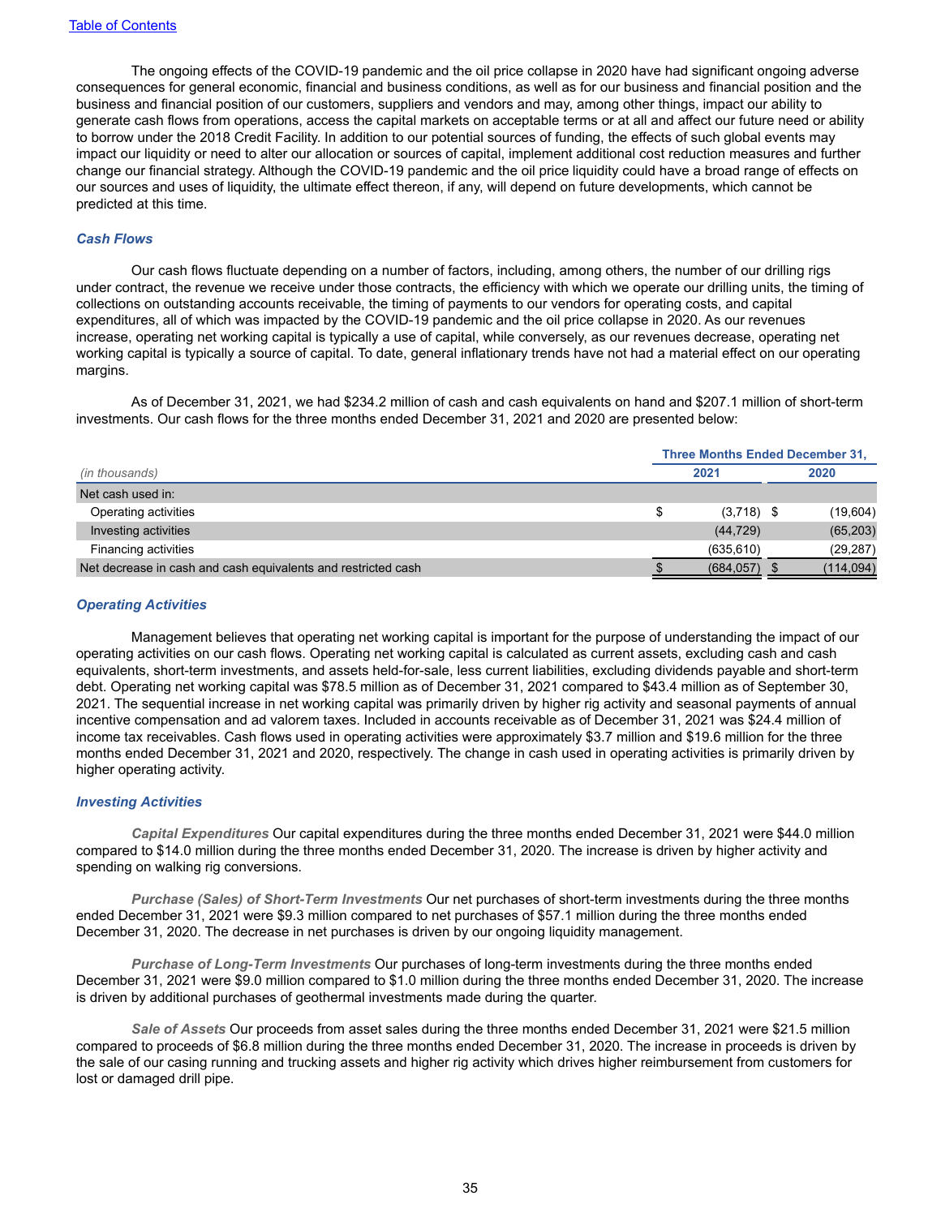The ongoing effects of the COVID-19 pandemic and the oil price collapse in 2020 have had significant ongoing adverse consequences for general economic, financial and business conditions, as well as for our business and financial position and the business and financial position of our customers, suppliers and vendors and may, among other things, impact our ability to generate cash flows from operations, access the capital markets on acceptable terms or at all and affect our future need or ability to borrow under the 2018 Credit Facility. In addition to our potential sources of funding, the effects of such global events may impact our liquidity or need to alter our allocation or sources of capital, implement additional cost reduction measures and further change our financial strategy. Although the COVID-19 pandemic and the oil price liquidity could have a broad range of effects on our sources and uses of liquidity, the ultimate effect thereon, if any, will depend on future developments, which cannot be predicted at this time.

#### *Cash Flows*

Our cash flows fluctuate depending on a number of factors, including, among others, the number of our drilling rigs under contract, the revenue we receive under those contracts, the efficiency with which we operate our drilling units, the timing of collections on outstanding accounts receivable, the timing of payments to our vendors for operating costs, and capital expenditures, all of which was impacted by the COVID-19 pandemic and the oil price collapse in 2020. As our revenues increase, operating net working capital is typically a use of capital, while conversely, as our revenues decrease, operating net working capital is typically a source of capital. To date, general inflationary trends have not had a material effect on our operating margins.

As of December 31, 2021, we had \$234.2 million of cash and cash equivalents on hand and \$207.1 million of short-term investments. Our cash flows for the three months ended December 31, 2021 and 2020 are presented below:

|                                                               | <b>Three Months Ended December 31,</b> |              |      |            |
|---------------------------------------------------------------|----------------------------------------|--------------|------|------------|
| (in thousands)                                                | 2021                                   |              | 2020 |            |
| Net cash used in:                                             |                                        |              |      |            |
| Operating activities                                          | S                                      | $(3,718)$ \$ |      | (19,604)   |
| Investing activities                                          |                                        | (44, 729)    |      | (65, 203)  |
| Financing activities                                          |                                        | (635, 610)   |      | (29, 287)  |
| Net decrease in cash and cash equivalents and restricted cash |                                        | (684, 057)   |      | (114, 094) |

#### *Operating Activities*

Management believes that operating net working capital is important for the purpose of understanding the impact of our operating activities on our cash flows. Operating net working capital is calculated as current assets, excluding cash and cash equivalents, short-term investments, and assets held-for-sale, less current liabilities, excluding dividends payable and short-term debt. Operating net working capital was \$78.5 million as of December 31, 2021 compared to \$43.4 million as of September 30, 2021. The sequential increase in net working capital was primarily driven by higher rig activity and seasonal payments of annual incentive compensation and ad valorem taxes. Included in accounts receivable as of December 31, 2021 was \$24.4 million of income tax receivables. Cash flows used in operating activities were approximately \$3.7 million and \$19.6 million for the three months ended December 31, 2021 and 2020, respectively. The change in cash used in operating activities is primarily driven by higher operating activity.

#### *Investing Activities*

*Capital Expenditures* Our capital expenditures during the three months ended December 31, 2021 were \$44.0 million compared to \$14.0 million during the three months ended December 31, 2020. The increase is driven by higher activity and spending on walking rig conversions.

*Purchase (Sales) of Short-Term Investments* Our net purchases of short-term investments during the three months ended December 31, 2021 were \$9.3 million compared to net purchases of \$57.1 million during the three months ended December 31, 2020. The decrease in net purchases is driven by our ongoing liquidity management.

*Purchase of Long-Term Investments* Our purchases of long-term investments during the three months ended December 31, 2021 were \$9.0 million compared to \$1.0 million during the three months ended December 31, 2020. The increase is driven by additional purchases of geothermal investments made during the quarter.

*Sale of Assets* Our proceeds from asset sales during the three months ended December 31, 2021 were \$21.5 million compared to proceeds of \$6.8 million during the three months ended December 31, 2020. The increase in proceeds is driven by the sale of our casing running and trucking assets and higher rig activity which drives higher reimbursement from customers for lost or damaged drill pipe.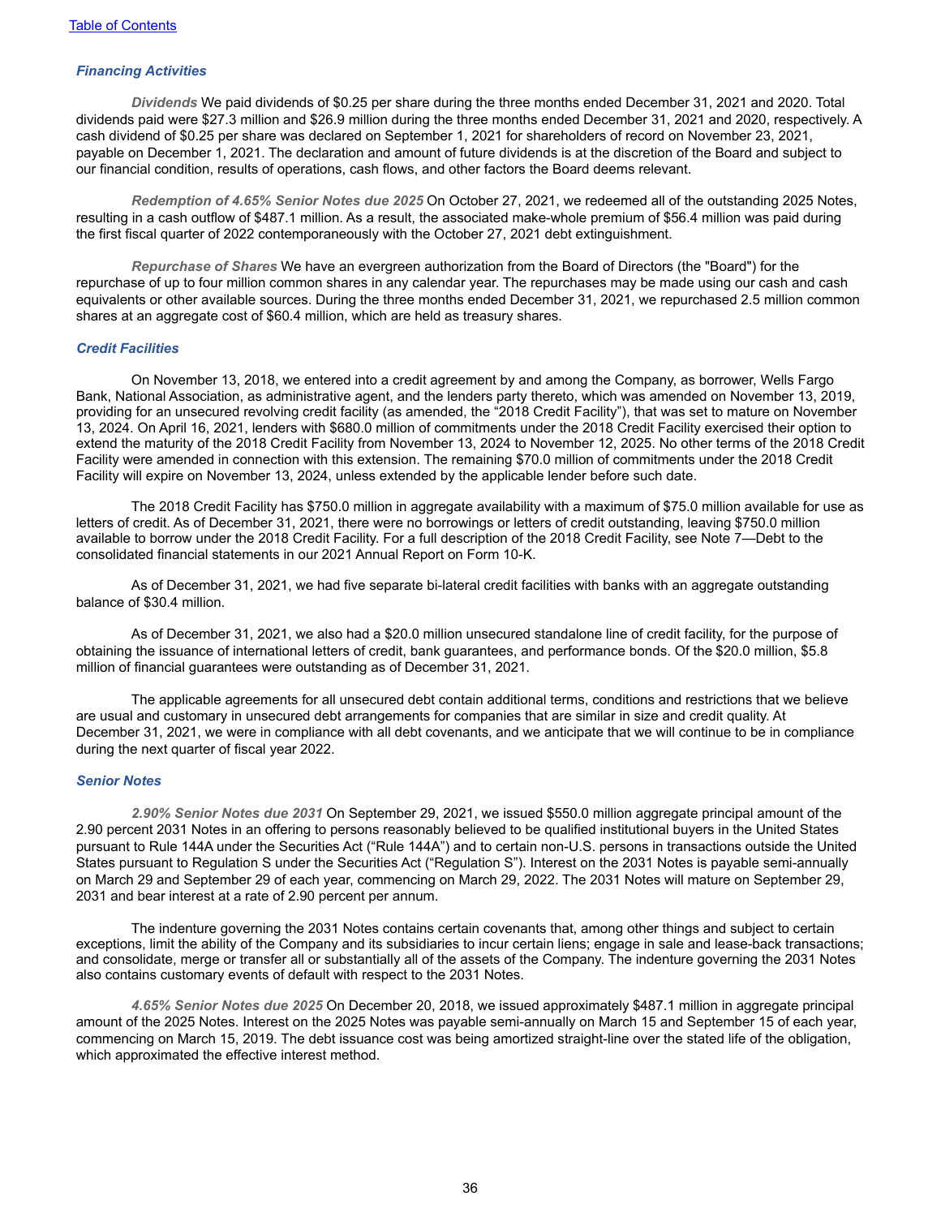#### *Financing Activities*

*Dividends* We paid dividends of \$0.25 per share during the three months ended December 31, 2021 and 2020. Total dividends paid were \$27.3 million and \$26.9 million during the three months ended December 31, 2021 and 2020, respectively. A cash dividend of \$0.25 per share was declared on September 1, 2021 for shareholders of record on November 23, 2021, payable on December 1, 2021. The declaration and amount of future dividends is at the discretion of the Board and subject to our financial condition, results of operations, cash flows, and other factors the Board deems relevant.

*Redemption of 4.65% Senior Notes due 2025* On October 27, 2021, we redeemed all of the outstanding 2025 Notes, resulting in a cash outflow of \$487.1 million. As a result, the associated make-whole premium of \$56.4 million was paid during the first fiscal quarter of 2022 contemporaneously with the October 27, 2021 debt extinguishment.

*Repurchase of Shares* We have an evergreen authorization from the Board of Directors (the "Board") for the repurchase of up to four million common shares in any calendar year. The repurchases may be made using our cash and cash equivalents or other available sources. During the three months ended December 31, 2021, we repurchased 2.5 million common shares at an aggregate cost of \$60.4 million, which are held as treasury shares.

#### *Credit Facilities*

On November 13, 2018, we entered into a credit agreement by and among the Company, as borrower, Wells Fargo Bank, National Association, as administrative agent, and the lenders party thereto, which was amended on November 13, 2019, providing for an unsecured revolving credit facility (as amended, the "2018 Credit Facility"), that was set to mature on November 13, 2024. On April 16, 2021, lenders with \$680.0 million of commitments under the 2018 Credit Facility exercised their option to extend the maturity of the 2018 Credit Facility from November 13, 2024 to November 12, 2025. No other terms of the 2018 Credit Facility were amended in connection with this extension. The remaining \$70.0 million of commitments under the 2018 Credit Facility will expire on November 13, 2024, unless extended by the applicable lender before such date.

The 2018 Credit Facility has \$750.0 million in aggregate availability with a maximum of \$75.0 million available for use as letters of credit. As of December 31, 2021, there were no borrowings or letters of credit outstanding, leaving \$750.0 million available to borrow under the 2018 Credit Facility. For a full description of the 2018 Credit Facility, see Note 7—Debt to the consolidated financial statements in our 2021 Annual Report on Form 10-K.

As of December 31, 2021, we had five separate bi-lateral credit facilities with banks with an aggregate outstanding balance of \$30.4 million.

As of December 31, 2021, we also had a \$20.0 million unsecured standalone line of credit facility, for the purpose of obtaining the issuance of international letters of credit, bank guarantees, and performance bonds. Of the \$20.0 million, \$5.8 million of financial guarantees were outstanding as of December 31, 2021.

The applicable agreements for all unsecured debt contain additional terms, conditions and restrictions that we believe are usual and customary in unsecured debt arrangements for companies that are similar in size and credit quality. At December 31, 2021, we were in compliance with all debt covenants, and we anticipate that we will continue to be in compliance during the next quarter of fiscal year 2022.

#### *Senior Notes*

*2.90% Senior Notes due 2031* On September 29, 2021, we issued \$550.0 million aggregate principal amount of the 2.90 percent 2031 Notes in an offering to persons reasonably believed to be qualified institutional buyers in the United States pursuant to Rule 144A under the Securities Act ("Rule 144A") and to certain non-U.S. persons in transactions outside the United States pursuant to Regulation S under the Securities Act ("Regulation S"). Interest on the 2031 Notes is payable semi-annually on March 29 and September 29 of each year, commencing on March 29, 2022. The 2031 Notes will mature on September 29, 2031 and bear interest at a rate of 2.90 percent per annum.

The indenture governing the 2031 Notes contains certain covenants that, among other things and subject to certain exceptions, limit the ability of the Company and its subsidiaries to incur certain liens; engage in sale and lease-back transactions; and consolidate, merge or transfer all or substantially all of the assets of the Company. The indenture governing the 2031 Notes also contains customary events of default with respect to the 2031 Notes.

*4.65% Senior Notes due 2025* On December 20, 2018, we issued approximately \$487.1 million in aggregate principal amount of the 2025 Notes. Interest on the 2025 Notes was payable semi-annually on March 15 and September 15 of each year, commencing on March 15, 2019. The debt issuance cost was being amortized straight-line over the stated life of the obligation, which approximated the effective interest method.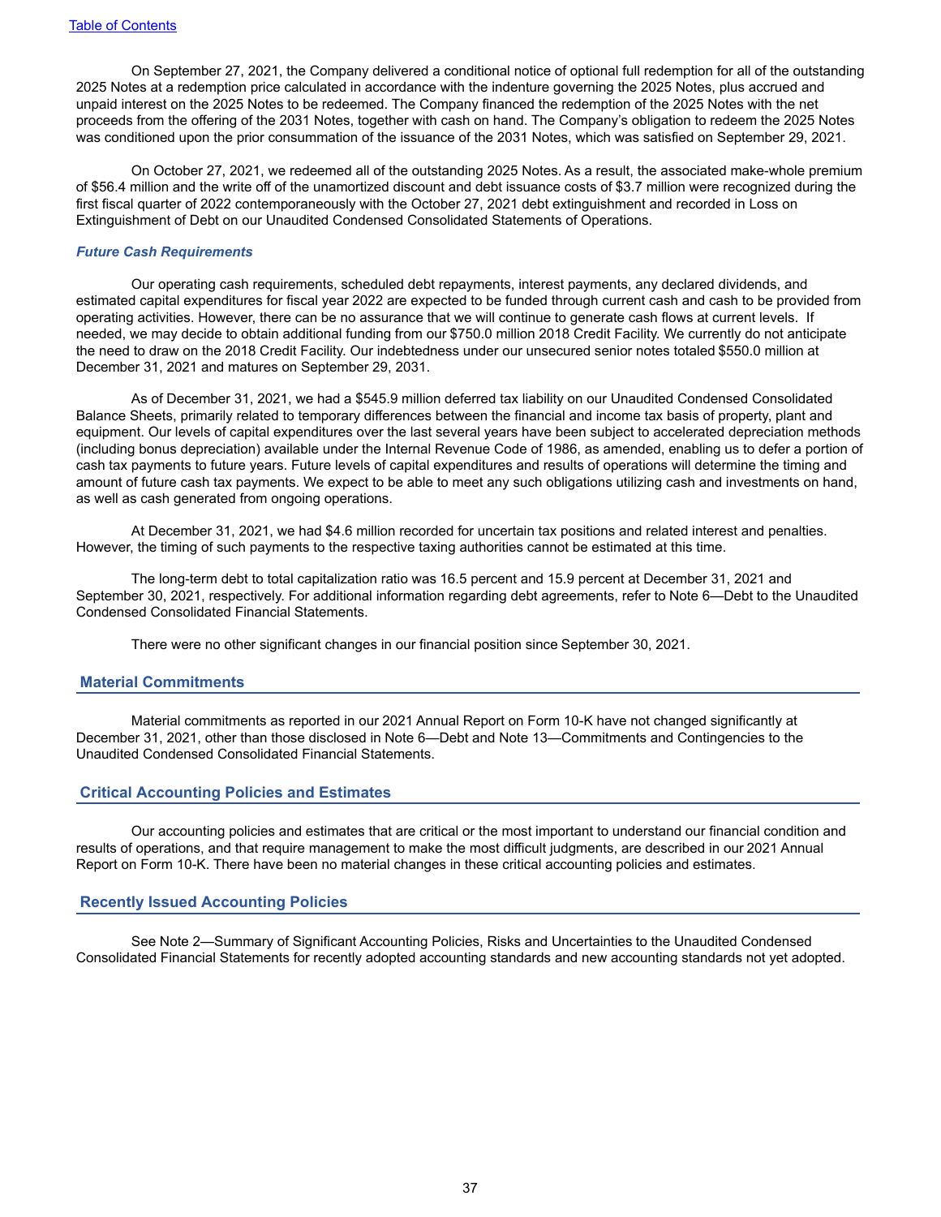On September 27, 2021, the Company delivered a conditional notice of optional full redemption for all of the outstanding 2025 Notes at a redemption price calculated in accordance with the indenture governing the 2025 Notes, plus accrued and unpaid interest on the 2025 Notes to be redeemed. The Company financed the redemption of the 2025 Notes with the net proceeds from the offering of the 2031 Notes, together with cash on hand. The Company's obligation to redeem the 2025 Notes was conditioned upon the prior consummation of the issuance of the 2031 Notes, which was satisfied on September 29, 2021.

On October 27, 2021, we redeemed all of the outstanding 2025 Notes. As a result, the associated make-whole premium of \$56.4 million and the write off of the unamortized discount and debt issuance costs of \$3.7 million were recognized during the first fiscal quarter of 2022 contemporaneously with the October 27, 2021 debt extinguishment and recorded in Loss on Extinguishment of Debt on our Unaudited Condensed Consolidated Statements of Operations.

### *Future Cash Requirements*

Our operating cash requirements, scheduled debt repayments, interest payments, any declared dividends, and estimated capital expenditures for fiscal year 2022 are expected to be funded through current cash and cash to be provided from operating activities. However, there can be no assurance that we will continue to generate cash flows at current levels. If needed, we may decide to obtain additional funding from our \$750.0 million 2018 Credit Facility. We currently do not anticipate the need to draw on the 2018 Credit Facility. Our indebtedness under our unsecured senior notes totaled \$550.0 million at December 31, 2021 and matures on September 29, 2031.

As of December 31, 2021, we had a \$545.9 million deferred tax liability on our Unaudited Condensed Consolidated Balance Sheets, primarily related to temporary differences between the financial and income tax basis of property, plant and equipment. Our levels of capital expenditures over the last several years have been subject to accelerated depreciation methods (including bonus depreciation) available under the Internal Revenue Code of 1986, as amended, enabling us to defer a portion of cash tax payments to future years. Future levels of capital expenditures and results of operations will determine the timing and amount of future cash tax payments. We expect to be able to meet any such obligations utilizing cash and investments on hand, as well as cash generated from ongoing operations.

At December 31, 2021, we had \$4.6 million recorded for uncertain tax positions and related interest and penalties. However, the timing of such payments to the respective taxing authorities cannot be estimated at this time.

The long-term debt to total capitalization ratio was 16.5 percent and 15.9 percent at December 31, 2021 and September 30, 2021, respectively. For additional information regarding debt agreements, refer to Note 6—Debt to the Unaudited Condensed Consolidated Financial Statements.

There were no other significant changes in our financial position since September 30, 2021.

#### **Material Commitments**

Material commitments as reported in our 2021 Annual Report on Form 10-K have not changed significantly at December 31, 2021, other than those disclosed in Note 6—Debt and Note 13—Commitments and Contingencies to the Unaudited Condensed Consolidated Financial Statements.

#### **Critical Accounting Policies and Estimates**

Our accounting policies and estimates that are critical or the most important to understand our financial condition and results of operations, and that require management to make the most difficult judgments, are described in our 2021 Annual Report on Form 10-K. There have been no material changes in these critical accounting policies and estimates.

### **Recently Issued Accounting Policies**

See Note 2—Summary of Significant Accounting Policies, Risks and Uncertainties to the Unaudited Condensed Consolidated Financial Statements for recently adopted accounting standards and new accounting standards not yet adopted.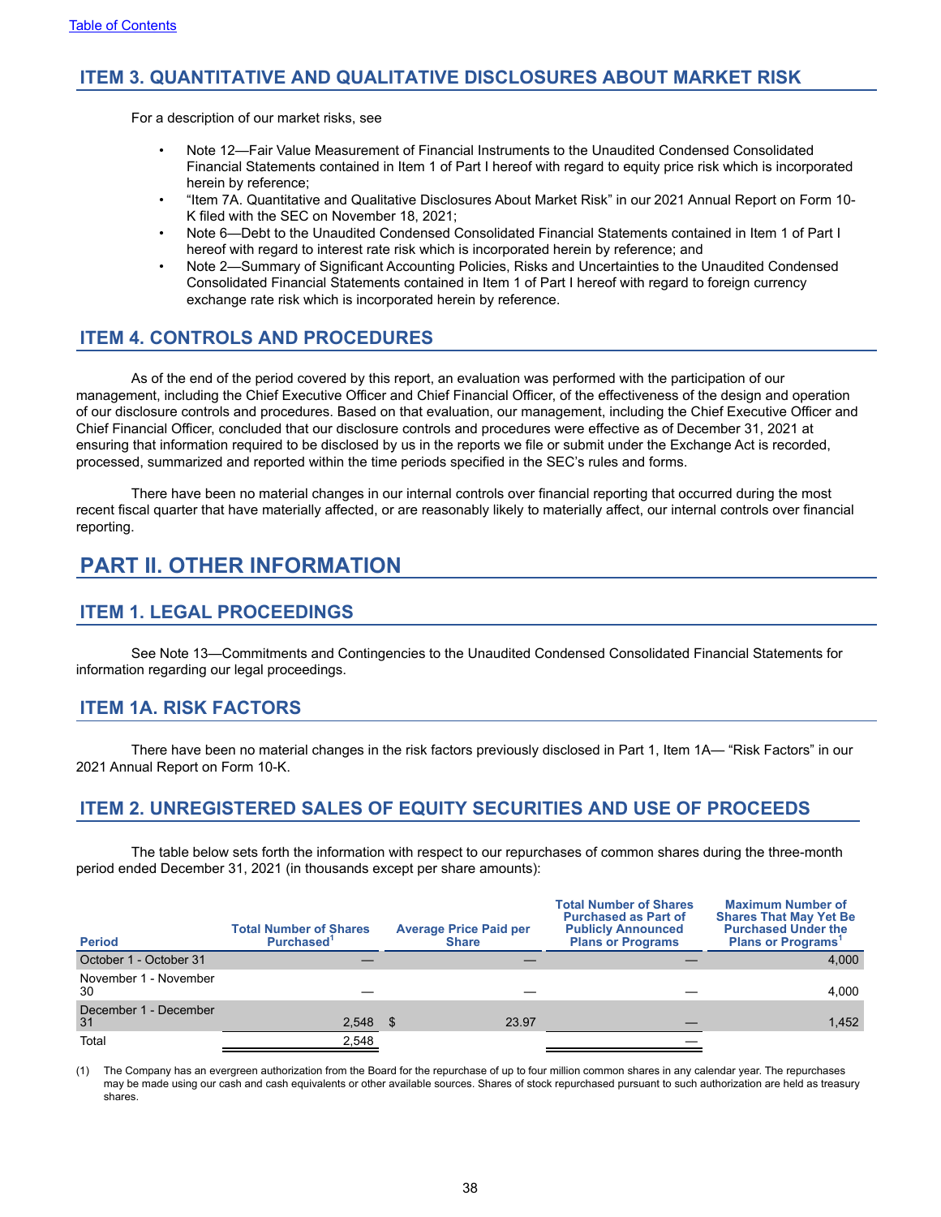# <span id="page-37-0"></span>**ITEM 3. QUANTITATIVE AND QUALITATIVE DISCLOSURES ABOUT MARKET RISK**

For a description of our market risks, see

- Note 12—Fair Value Measurement of Financial Instruments to the Unaudited Condensed Consolidated Financial Statements contained in Item 1 of Part I hereof with regard to equity price risk which is incorporated herein by reference;
- "Item 7A. Quantitative and Qualitative Disclosures About Market Risk" in our 2021 Annual Report on Form 10- K filed with the SEC on November 18, 2021;
- Note 6—Debt to the Unaudited Condensed Consolidated Financial Statements contained in Item 1 of Part I hereof with regard to interest rate risk which is incorporated herein by reference; and
- Note 2—Summary of Significant Accounting Policies, Risks and Uncertainties to the Unaudited Condensed Consolidated Financial Statements contained in Item 1 of Part I hereof with regard to foreign currency exchange rate risk which is incorporated herein by reference.

# **ITEM 4. CONTROLS AND PROCEDURES**

As of the end of the period covered by this report, an evaluation was performed with the participation of our management, including the Chief Executive Officer and Chief Financial Officer, of the effectiveness of the design and operation of our disclosure controls and procedures. Based on that evaluation, our management, including the Chief Executive Officer and Chief Financial Officer, concluded that our disclosure controls and procedures were effective as of December 31, 2021 at ensuring that information required to be disclosed by us in the reports we file or submit under the Exchange Act is recorded, processed, summarized and reported within the time periods specified in the SEC's rules and forms.

There have been no material changes in our internal controls over financial reporting that occurred during the most recent fiscal quarter that have materially affected, or are reasonably likely to materially affect, our internal controls over financial reporting.

# **PART II. OTHER INFORMATION**

# **ITEM 1. LEGAL PROCEEDINGS**

See Note 13—Commitments and Contingencies to the Unaudited Condensed Consolidated Financial Statements for information regarding our legal proceedings.

# **ITEM 1A. RISK FACTORS**

There have been no material changes in the risk factors previously disclosed in Part 1, Item 1A— "Risk Factors" in our 2021 Annual Report on Form 10-K.

# **ITEM 2. UNREGISTERED SALES OF EQUITY SECURITIES AND USE OF PROCEEDS**

The table below sets forth the information with respect to our repurchases of common shares during the three-month period ended December 31, 2021 (in thousands except per share amounts):

| <b>Period</b>               | <b>Total Number of Shares</b><br>Purchased <sup>1</sup> | <b>Average Price Paid per</b><br><b>Share</b> | <b>Total Number of Shares</b><br><b>Purchased as Part of</b><br><b>Publicly Announced</b><br><b>Plans or Programs</b> | <b>Maximum Number of</b><br><b>Shares That May Yet Be</b><br><b>Purchased Under the</b><br><b>Plans or Programs</b> |
|-----------------------------|---------------------------------------------------------|-----------------------------------------------|-----------------------------------------------------------------------------------------------------------------------|---------------------------------------------------------------------------------------------------------------------|
| October 1 - October 31      |                                                         |                                               |                                                                                                                       | 4,000                                                                                                               |
| November 1 - November<br>30 |                                                         |                                               |                                                                                                                       | 4.000                                                                                                               |
| December 1 - December<br>31 | $2,548$ \$                                              | 23.97                                         |                                                                                                                       | 1,452                                                                                                               |
| Total                       | 2,548                                                   |                                               |                                                                                                                       |                                                                                                                     |

(1) The Company has an evergreen authorization from the Board for the repurchase of up to four million common shares in any calendar year. The repurchases may be made using our cash and cash equivalents or other available sources. Shares of stock repurchased pursuant to such authorization are held as treasury shares.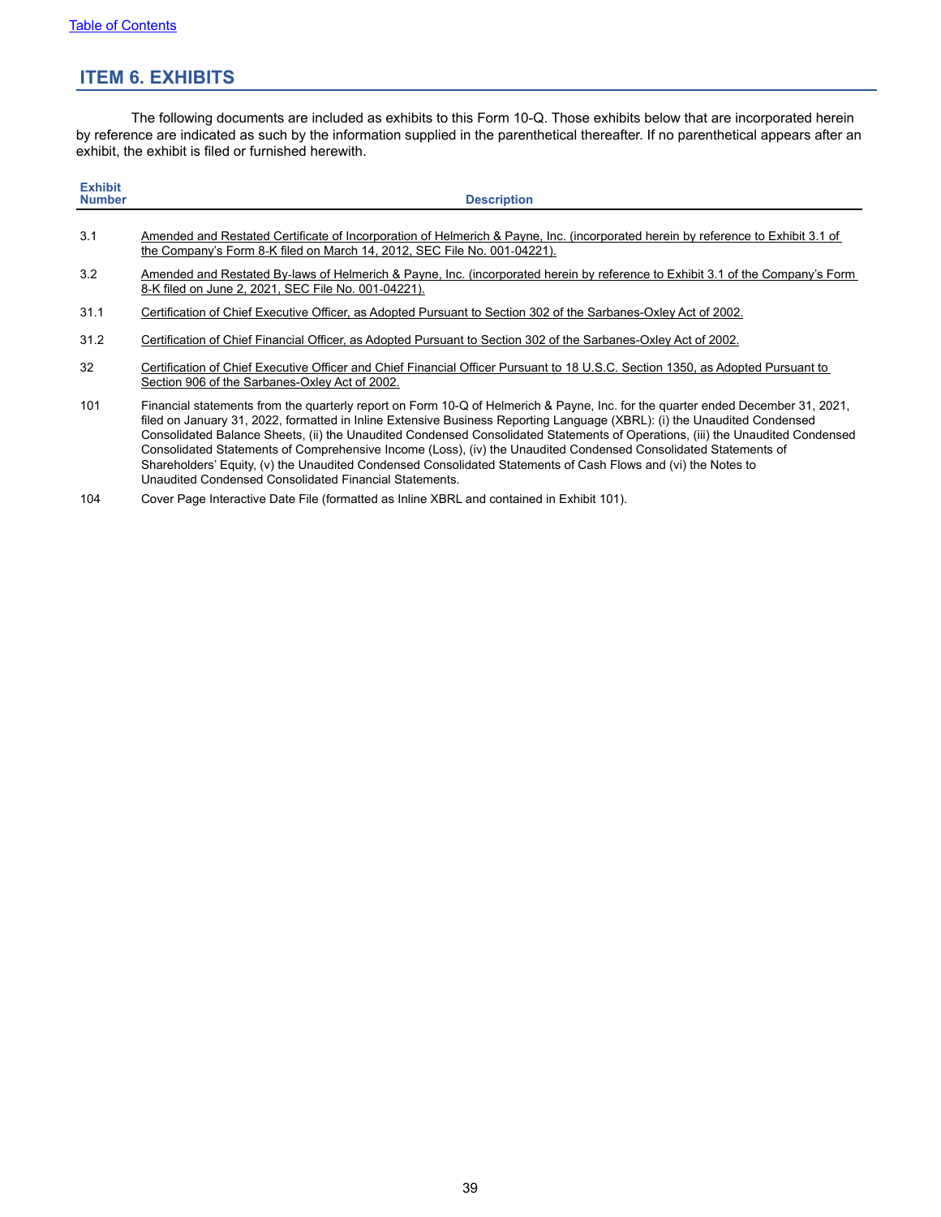# <span id="page-38-0"></span>**ITEM 6. EXHIBITS**

The following documents are included as exhibits to this Form 10-Q. Those exhibits below that are incorporated herein by reference are indicated as such by the information supplied in the parenthetical thereafter. If no parenthetical appears after an exhibit, the exhibit is filed or furnished herewith.

| <b>Exhibit</b><br><b>Number</b> | <b>Description</b>                                                                                                                                                                                                                                                                                                                                                                                                                                                                                                                                                                                                                |
|---------------------------------|-----------------------------------------------------------------------------------------------------------------------------------------------------------------------------------------------------------------------------------------------------------------------------------------------------------------------------------------------------------------------------------------------------------------------------------------------------------------------------------------------------------------------------------------------------------------------------------------------------------------------------------|
| 3.1                             | Amended and Restated Certificate of Incorporation of Helmerich & Payne, Inc. (incorporated herein by reference to Exhibit 3.1 of<br>the Company's Form 8-K filed on March 14, 2012, SEC File No. 001-04221).                                                                                                                                                                                                                                                                                                                                                                                                                      |
| 3.2                             | Amended and Restated By-laws of Helmerich & Payne, Inc. (incorporated herein by reference to Exhibit 3.1 of the Company's Form<br>8-K filed on June 2, 2021, SEC File No. 001-04221).                                                                                                                                                                                                                                                                                                                                                                                                                                             |
| 31.1                            | Certification of Chief Executive Officer, as Adopted Pursuant to Section 302 of the Sarbanes-Oxley Act of 2002.                                                                                                                                                                                                                                                                                                                                                                                                                                                                                                                   |
| 31.2                            | Certification of Chief Financial Officer, as Adopted Pursuant to Section 302 of the Sarbanes-Oxley Act of 2002.                                                                                                                                                                                                                                                                                                                                                                                                                                                                                                                   |
| 32                              | Certification of Chief Executive Officer and Chief Financial Officer Pursuant to 18 U.S.C. Section 1350, as Adopted Pursuant to<br>Section 906 of the Sarbanes-Oxley Act of 2002.                                                                                                                                                                                                                                                                                                                                                                                                                                                 |
| 101                             | Financial statements from the quarterly report on Form 10-Q of Helmerich & Payne, Inc. for the quarter ended December 31, 2021,<br>filed on January 31, 2022, formatted in Inline Extensive Business Reporting Language (XBRL): (i) the Unaudited Condensed<br>Consolidated Balance Sheets, (ii) the Unaudited Condensed Consolidated Statements of Operations, (iii) the Unaudited Condensed<br>Consolidated Statements of Comprehensive Income (Loss), (iv) the Unaudited Condensed Consolidated Statements of<br>Shareholders' Equity, (v) the Unaudited Condensed Consolidated Statements of Cash Flows and (vi) the Notes to |

Unaudited Condensed Consolidated Financial Statements.

104 Cover Page Interactive Date File (formatted as Inline XBRL and contained in Exhibit 101).